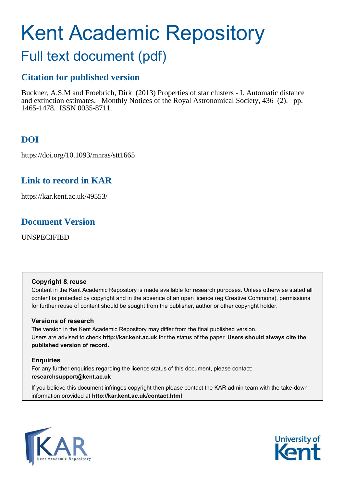# Kent Academic Repository

# Full text document (pdf)

# **Citation for published version**

Buckner, A.S.M and Froebrich, Dirk (2013) Properties of star clusters - I. Automatic distance and extinction estimates. Monthly Notices of the Royal Astronomical Society, 436 (2). pp. 1465-1478. ISSN 0035-8711.

# **DOI**

https://doi.org/10.1093/mnras/stt1665

# **Link to record in KAR**

https://kar.kent.ac.uk/49553/

# **Document Version**

UNSPECIFIED

# **Copyright & reuse**

Content in the Kent Academic Repository is made available for research purposes. Unless otherwise stated all content is protected by copyright and in the absence of an open licence (eg Creative Commons), permissions for further reuse of content should be sought from the publisher, author or other copyright holder.

# **Versions of research**

The version in the Kent Academic Repository may differ from the final published version. Users are advised to check **http://kar.kent.ac.uk** for the status of the paper. **Users should always cite the published version of record.**

# **Enquiries**

For any further enquiries regarding the licence status of this document, please contact: **researchsupport@kent.ac.uk**

If you believe this document infringes copyright then please contact the KAR admin team with the take-down information provided at **http://kar.kent.ac.uk/contact.html**



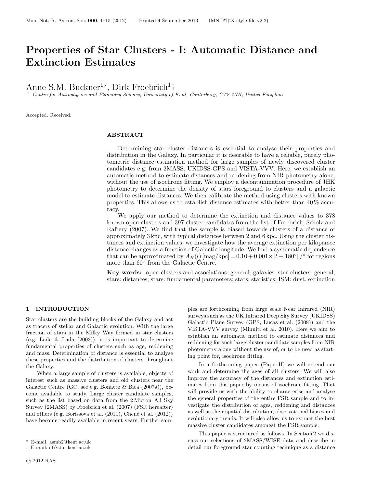# Properties of Star Clusters - I: Automatic Distance and Extinction Estimates

Anne S.M. Buckner<sup>1\*</sup>, Dirk Froebrich<sup>1</sup>†

<sup>1</sup> Centre for Astrophysics and Planetary Science, University of Kent, Canterbury, CT2 7NH, United Kingdom

Accepted. Received.

#### ABSTRACT

Determining star cluster distances is essential to analyse their properties and distribution in the Galaxy. In particular it is desirable to have a reliable, purely photometric distance estimation method for large samples of newly discovered cluster candidates e.g. from 2MASS, UKIDSS-GPS and VISTA-VVV. Here, we establish an automatic method to estimate distances and reddening from NIR photometry alone, without the use of isochrone fitting. We employ a decontamination procedure of JHK photometry to determine the density of stars foreground to clusters and a galactic model to estimate distances. We then calibrate the method using clusters with known properties. This allows us to establish distance estimates with better than  $40\%$  accuracy.

We apply our method to determine the extinction and distance values to 378 known open clusters and 397 cluster candidates from the list of Froebrich, Scholz and Raftery (2007). We find that the sample is biased towards clusters of a distance of approximately 3 kpc, with typical distances between 2 and 6 kpc. Using the cluster distances and extinction values, we investigate how the average extinction per kiloparsec distance changes as a function of Galactic longitude. We find a systematic dependence that can be approximated by  $A_H(l)$   $\text{[mag/kpc]} = 0.10 + 0.001 \times |l - 180^\circ|$  of regions more than  $60^\circ$  from the Galactic Centre.

Key words: open clusters and associations: general; galaxies: star clusters: general; stars: distances; stars: fundamental parameters; stars: statistics; ISM: dust, extinction

#### 1 INTRODUCTION

Star clusters are the building blocks of the Galaxy and act as tracers of stellar and Galactic evolution. With the large fraction of stars in the Milky Way formed in star clusters (e.g. Lada & Lada (2003)), it is important to determine fundamental properties of clusters such as age, reddening and mass. Determination of distance is essential to analyse these properties and the distribution of clusters throughout the Galaxy.

When a large sample of clusters is available, objects of interest such as massive clusters and old clusters near the Galactic Centre (GC, see e.g. Bonatto & Bica (2007a)), become available to study. Large cluster candidate samples, such as the list based on data from the 2 Micron All Sky Survey (2MASS) by Froebrich et al. (2007) (FSR hereafter) and others (e.g. Borissova et al.  $(2011)$ , Chené et al.  $(2012)$ ) have become readily available in recent years. Further samples are forthcoming from large scale Near Infrared (NIR) surveys such as the UK Infrared Deep Sky Survey (UKIDSS) Galactic Plane Survey (GPS, Lucas et al. (2008)) and the VISTA-VVV survey (Minniti et al. 2010). Here we aim to establish an automatic method to estimate distances and reddening for such large cluster candidate samples from NIR photometry alone without the use of, or to be used as starting point for, isochrone fitting.

In a forthcoming paper (Paper II) we will extend our work and determine the ages of all clusters. We will also improve the accuracy of the distances and extinction estimates from this paper by means of isochrone fitting. That will provide us with the ability to characterise and analyse the general properties of the entire FSR sample and to investigate the distribution of ages, reddening and distances as well as their spatial distribution, observational biases and evolutionary trends. It will also allow us to extract the best massive cluster candidates amongst the FSR sample.

This paper is structured as follows. In Section 2 we discuss our selections of 2MASS/WISE data and describe in detail our foreground star counting technique as a distance

<sup>⋆</sup> E-mail: asmb2@kent.ac.uk

<sup>†</sup> E-mail: df@star.kent.ac.uk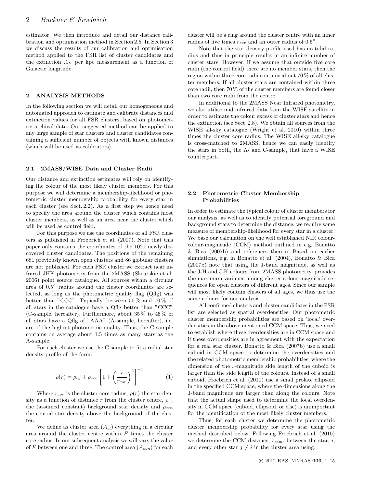estimator. We then introduce and detail our distance calibration and optimisation method in Section 2.5. In Section 3 we discuss the results of our calibration and optimisation method applied to the FSR list of cluster candidates and the extinction  $A_H$  per kpc measurement as a function of Galactic longitude.

#### 2 ANALYSIS METHODS

In the following section we will detail our homogeneous and automated approach to estimate and calibrate distances and extinction values for all FSR clusters, based on photometric archival data. Our suggested method can be applied to any large sample of star clusters and cluster candidates containing a sufficient number of objects with known distances (which will be used as calibrators).

#### 2.1 2MASS/WISE Data and Cluster Radii

Our distance and extinction estimates will rely on identifying the colour of the most likely cluster members. For this purpose we will determine a membership-likelihood or photometric cluster membership probability for every star in each cluster (see Sect. 2.2). As a first step we hence need to specify the area around the cluster which contains most cluster members, as well as an area near the cluster which will be used as control field.

For this purpose we use the coordinates of all FSR clusters as published in Froebrich et al. (2007). Note that this paper only contains the coordinates of the 1021 newly discovered cluster candidates. The positions of the remaining 681 previously known open clusters and 86 globular clusters are not published. For each FSR cluster we extract near infrared JHK photometry from the 2MASS (Skrutskie et al. 2006) point source catalogue. All sources within a circular area of 0.5 ◦ radius around the cluster coordinates are selected, as long as the photometric quality flag (Qflg) was better than "CCC". Typically, between 50 % and 70 % of all stars in the catalogue have a Qflg better than "CCC" (C-sample, hereafter). Furthermore, about 35 % to 45 % of all stars have a Qflg of "AAA" (A-sample, hereafter), i.e. are of the highest photometric quality. Thus, the C-sample contains on average about 1.5 times as many stars as the A-sample.

For each cluster we use the C-sample to fit a radial star density profile of the form:

$$
\rho(r) = \rho_{bg} + \rho_{cen} \left[ 1 + \left(\frac{r}{r_{cor}}\right)^2 \right]^{-1} \tag{1}
$$

Where  $r_{cor}$  is the cluster core radius,  $\rho(r)$  the star density as a function of distance r from the cluster centre,  $\rho_{ba}$ the (assumed constant) background star density and  $\rho_{cen}$ the central star density above the background of the cluster.

We define as cluster area  $(A_{cl})$  everything in a circular area around the cluster centre within  $F$  times the cluster core radius. In our subsequent analysis we will vary the value of F between one and three. The control area  $(A_{con})$  for each

cluster will be a ring around the cluster centre with an inner radius of five times  $r_{cor}$  and an outer radius of  $0.5^{\circ}$ .

Note that the star density profile used has no tidal radius and thus in principle results in an infinite number of cluster stars. However, if we assume that outside five core radii (the control field) there are no member stars, then the region within three core radii contains about 70 % of all cluster members. If all cluster stars are contained within three core radii, then 70 % of the cluster members are found closer than two core radii from the centre.

In additional to the 2MASS Near Infrared photometry, we also utilise mid infrared data from the WISE satellite in order to estimate the colour excess of cluster stars and hence the extinction (see Sect. 2.8). We obtain all sources from the WISE all-sky catalogue (Wright et al. 2010) within three times the cluster core radius. The WISE all-sky catalogue is cross-matched to 2MASS, hence we can easily identify the stars in both, the A- and C-sample, that have a WISE counterpart.

#### 2.2 Photometric Cluster Membership Probabilities

In order to estimate the typical colour of cluster members for our analysis, as well as to identify potential foreground and background stars to determine the distance, we require some measure of membership-likelihood for every star in a cluster. We base our calculation on the well established NIR colourcolour-magnitude (CCM) method outlined in e.g. Bonatto & Bica (2007b) and references therein. Based on earlier simulations, e.g. in Bonatto et al. (2004), Bonatto & Bica (2007b) note that using the J-band magnitude, as well as the J-H and J-K colours from 2MASS photometry, provides the maximum variance among cluster colour-magnitude sequences for open clusters of different ages. Since our sample will most likely contain clusters of all ages, we thus use the same colours for our analysis.

All confirmed clusters and cluster candidates in the FSR list are selected as spatial overdensities. Our photometric cluster membership probabilities are based on 'local' overdensities in the above mentioned CCM space. Thus, we need to establish where these overdensities are in CCM space and if these overdensities are in agreement with the expectation for a real star cluster. Bonatto & Bica (2007b) use a small cuboid in CCM space to determine the overdensities and the related photometric membership probabilities, where the dimension of the J-magnitude side length of the cuboid is larger than the side length of the colours. Instead of a small cuboid, Froebrich et al. (2010) use a small prolate ellipsoid in the specified CCM space, where the dimensions along the J-band magnitude are larger than along the colours. Note that the actual shape used to determine the local overdensity in CCM space (cuboid, ellipsoid, or else) is unimportant for the identification of the most likely cluster members.

Thus, for each cluster we determine the photometric cluster membership probability for every star using the method described below. Following Froebrich et al. (2010) we determine the CCM distance,  $r_{ccm}$ , between the star, i, and every other star  $j \neq i$  in the cluster area using: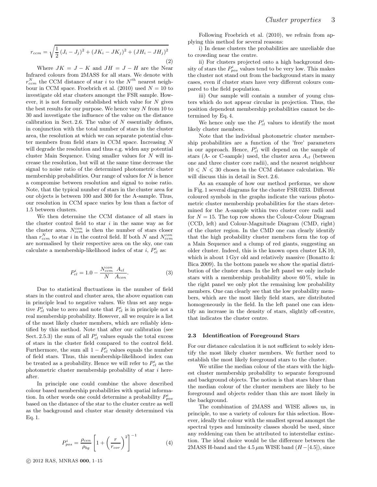$$
r_{ccm} = \sqrt{\frac{1}{2} (J_i - J_j)^2 + (JK_i - JK_j)^2 + (JH_i - JH_j)^2}
$$
\n(2)

Where  $JK = J - K$  and  $JH = J - H$  are the Near Infrared colours from 2MASS for all stars. We denote with  $r_{ccm}^N$  the CCM distance of star i to the  $N^{th}$  nearest neighbour in CCM space. Froebrich et al. (2010) used  $N = 10$  to investigate old star clusters amongst the FSR sample. However, it is not formally established which value for  $N$  gives the best results for our purpose. We hence vary  $N$  from 10 to 30 and investigate the influence of the value on the distance calibration in Sect. 2.6. The value of  $N$  essentially defines, in conjunction with the total number of stars in the cluster area, the resolution at which we can separate potential cluster members from field stars in CCM space. Increasing N will degrade the resolution and thus e.g. widen any potential cluster Main Sequence. Using smaller values for  $N$  will increase the resolution, but will at the same time decrease the signal to noise ratio of the determined photometric cluster membership probabilities. Our range of values for  $N$  is hence a compromise between resolution and signal to noise ratio. Note, that the typical number of stars in the cluster area for our objects is between 100 and 300 for the A-sample. Thus, our resolution in CCM space varies by less than a factor of 1.5 between clusters.

We then determine the CCM distance of all stars in the cluster control field to star  $i$  in the same way as for the cluster area.  $N_{ccm}^{con}$  is then the number of stars closer than  $r_{ccm}^N$  to star *i* in the control field. If both N and  $N_{ccm}^{con}$ are normalised by their respective area on the sky, one can calculate a membership-likelihood index of star *i*,  $P_{cl}^{i}$  as:

$$
P_{cl}^{i} = 1.0 - \frac{N_{ccm}^{con}}{N} \frac{A_{cl}}{A_{con}}.
$$
 (3)

Due to statistical fluctuations in the number of field stars in the control and cluster area, the above equation can in principle lead to negative values. We thus set any negative  $P_{cl}^{i}$  value to zero and note that  $P_{cl}^{i}$  is in principle not a real membership probability. However, all we require is a list of the most likely cluster members, which are reliably identified by this method. Note that after our calibration (see Sect. 2.5.3) the sum of all  $P_{cl}^{i}$  values equals the total excess of stars in the cluster field compared to the control field. Furthermore, the sum all  $1 - P_{cl}^{i}$  values equals the number of field stars. Thus, this membership-likelihood index can be treated as a probability. Hence we will refer to  $P_{cl}^i$  as the photometric cluster membership probability of star i hereafter.

In principle one could combine the above described colour based membership probabilities with spatial information. In other words one could determine a probability  $P_{pos}^i$ based on the distance of the star to the cluster centre as well as the background and cluster star density determined via Eq. 1.

$$
P_{pos}^{i} = \frac{\rho_{cen}}{\rho_{bg}} \left[ 1 + \left(\frac{r}{r_{cor}}\right)^{2} \right]^{-1}
$$
 (4)

Following Froebrich et al. (2010), we refrain from applying this method for several reasons:

i) In dense clusters the probabilities are unreliable due to crowding near the centre.

ii) For clusters projected onto a high background density of stars the  $P_{pos}^i$  values tend to be very low. This makes the cluster not stand out from the background stars in many cases, even if cluster stars have very different colours compared to the field population.

iii) Our sample will contain a number of young clusters which do not appear circular in projection. Thus, the position dependent membership probabilities cannot be determined by Eq. 4.

We hence only use the  $P_{cl}^i$  values to identify the most likely cluster members.

Note that the individual photometric cluster membership probabilities are a function of the 'free' parameters in our approach. Hence,  $P_{cl}^{i}$  will depend on the sample of stars (A- or C-sample) used, the cluster area  $A_{cl}$  (between one and three cluster core radii), and the nearest neighbour  $10 \leq N \leq 30$  chosen in the CCM distance calculation. We will discuss this in detail in Sect. 2.6.

As an example of how our method performs, we show in Fig. 1 several diagrams for the cluster FSR 0233. Different coloured symbols in the graphs indicate the various photometric cluster membership probabilities for the stars determined for the A-sample within two cluster core radii and for  $N = 15$ . The top row shows the Colour-Colour Diagram (CCD, left) and Colour-Magnitude Diagram (CMD, right) of the cluster region. In the CMD one can clearly identify that the high probability cluster members form the top of a Main Sequence and a clump of red giants, suggesting an older cluster. Indeed, this is the known open cluster LK 10, which is about 1 Gyr old and relatively massive (Bonatto  $\&$ Bica 2009). In the bottom panels we show the spatial distribution of the cluster stars. In the left panel we only include stars with a membership probability above 60 %, while in the right panel we only plot the remaining low probability members. One can clearly see that the low probability members, which are the most likely field stars, are distributed homogeneously in the field. In the left panel one can identify an increase in the density of stars, slightly off-centre, that indicates the cluster centre.

#### 2.3 Identification of Foreground Stars

For our distance calculation it is not sufficient to solely identify the most likely cluster members. We further need to establish the most likely foreground stars to the cluster.

We utilise the median colour of the stars with the highest cluster membership probability to separate foreground and background objects. The notion is that stars bluer than the median colour of the cluster members are likely to be foreground and objects redder than this are most likely in the background.

The combination of 2MASS and WISE allows us, in principle, to use a variety of colours for this selection. However, ideally the colour with the smallest spread amongst the spectral types and luminosity classes should be used, since any reddening can then be attributed to interstellar extinction. The ideal choice would be the difference between the 2MASS H-band and the 4.5  $\mu$ m WISE band (H–[4.5]), since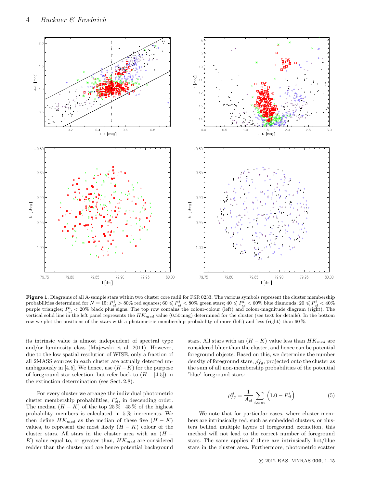

Figure 1. Diagrams of all A-sample stars within two cluster core radii for FSR 0233. The various symbols represent the cluster membership probabilities determined for  $N=15$ :  $P_{cl}^i > 80\%$  red squares;  $60 \leqslant P_{cl}^i < 80\%$  green stars;  $40 \leqslant P_{cl}^i < 60\%$  blue diamonds;  $20 \leqslant P_{cl}^i < 40\%$ purple triangles;  $P_{cl}^{i} < 20\%$  black plus signs. The top row contains the colour-colour (left) and colour-magnitude diagram (right). The vertical solid line in the left panel represents the  $HK_{med}$  value (0.50 mag) determined for the cluster (see text for details). In the bottom row we plot the positions of the stars with a photometric membership probability of more (left) and less (right) than 60 %.

its intrinsic value is almost independent of spectral type and/or luminosity class (Majewski et al. 2011). However, due to the low spatial resolution of WISE, only a fraction of all 2MASS sources in each cluster are actually detected unambiguously in [4.5]. We hence, use  $(H - K)$  for the purpose of foreground star selection, but refer back to  $(H - [4.5])$  in the extinction determination (see Sect. 2.8).

For every cluster we arrange the individual photometric cluster membership probabilities,  $P_{cl}^{i}$ , in descending order. The median  $(H - K)$  of the top 25% – 45% of the highest probability members is calculated in 5 % increments. We then define  $HK_{med}$  as the median of these five  $(H - K)$ values, to represent the most likely  $(H - K)$  colour of the cluster stars. All stars in the cluster area with an  $(H -$ K) value equal to, or greater than,  $HK_{med}$  are considered redder than the cluster and are hence potential background stars. All stars with an  $(H - K)$  value less than  $HK_{med}$  are considered bluer than the cluster, and hence can be potential foreground objects. Based on this, we determine the number density of foreground stars,  $\rho_{fg}^{cl}$ , projected onto the cluster as the sum of all non-membership probabilities of the potential 'blue' foreground stars:

$$
\rho_{fg}^{cl} = \frac{1}{A_{cl}} \sum_{i, blue} \left( 1.0 - P_{cl}^i \right) \tag{5}
$$

We note that for particular cases, where cluster members are intrinsically red, such as embedded clusters, or clusters behind multiple layers of foreground extinction, this method will not lead to the correct number of foreground stars. The same applies if there are intrinsically hot/blue stars in the cluster area. Furthermore, photometric scatter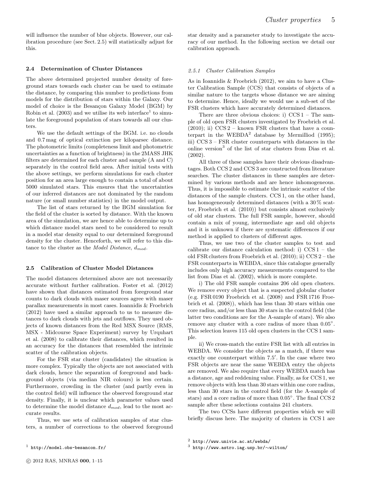will influence the number of blue objects. However, our calibration procedure (see Sect. 2.5) will statistically adjust for this.

#### 2.4 Determination of Cluster Distances

The above determined projected number density of foreground stars towards each cluster can be used to estimate the distance, by comparing this number to predictions from models for the distribution of stars within the Galaxy. Our model of choice is the Besançon Galaxy Model (BGM) by Robin et al. (2003) and we utilise its web interface<sup>1</sup> to simulate the foreground population of stars towards all our clusters.

We use the default settings of the BGM. i.e. no clouds and 0.7 mag of optical extinction per kiloparsec distance. The photometric limits (completeness limit and photometric uncertainties as a function of brightness) in the 2MASS JHK filters are determined for each cluster and sample (A and C) separately in the control field area. After initial tests with the above settings, we perform simulations for each cluster position for an area large enough to contain a total of about 5000 simulated stars. This ensures that the uncertainties of our inferred distances are not dominated by the random nature (or small number statistics) in the model output.

The list of stars returned by the BGM simulation for the field of the cluster is sorted by distance. With the known area of the simulation, we are hence able to determine up to which distance model stars need to be considered to result in a model star density equal to our determined foreground density for the cluster. Henceforth, we will refer to this distance to the cluster as the Model Distance,  $d_{mod}$ .

#### 2.5 Calibration of Cluster Model Distances

The model distances determined above are not necessarily accurate without further calibration. Foster et al. (2012) have shown that distances estimated from foreground star counts to dark clouds with maser sources agree with maser parallax measurements in most cases. Ioannidis & Froebrich (2012) have used a similar approach to us to measure distances to dark clouds with jets and outflows. They used objects of known distances from the Red MSX Source (RMS, MSX - Midcourse Space Experiment) survey by Urquhart et al. (2008) to calibrate their distances, which resulted in an accuracy for the distances that resembled the intrinsic scatter of the calibration objects.

For the FSR star cluster (candidates) the situation is more complex. Typically the objects are not associated with dark clouds, hence the separation of foreground and background objects (via median NIR colours) is less certain. Furthermore, crowding in the cluster (and partly even in the control field) will influence the observed foreground star density. Finally, it is unclear which parameter values used to determine the model distance  $d_{mod}$ , lead to the most accurate results.

Thus, we use sets of calibration samples of star clusters, a number of corrections to the observed foreground

#### 2.5.1 Cluster Calibration Samples

As in Ioannidis & Froebrich (2012), we aim to have a Cluster Calibration Sample (CCS) that consists of objects of a similar nature to the targets whose distance we are aiming to determine. Hence, ideally we would use a sub-set of the FSR clusters which have accurately determined distances.

There are three obvious choices: i)  $CCS1 - The sam$ ple of old open FSR clusters investigated by Froebrich et al.  $(2010)$ ; ii) CCS 2 – known FSR clusters that have a counterpart in the WEBDA<sup>2</sup> database by Mermilliod (1995); iii) CCS 3 – FSR cluster counterparts with distances in the online version<sup>3</sup> of the list of star clusters from Dias et al. (2002).

All three of these samples have their obvious disadvantages. Both CCS 2 and CCS 3 are constructed from literature searches. The cluster distances in these samples are determined by various methods and are hence inhomogeneous. Thus, it is impossible to estimate the intrinsic scatter of the distances of the sample clusters. CCS 1, on the other hand, has homogeneously determined distances (with a  $30\%$  scatter, Froebrich et al. (2010)) but consists almost exclusively of old star clusters. The full FSR sample, however, should contain a mix of young, intermediate age and old objects and it is unknown if there are systematic differences if our method is applied to clusters of different ages.

Thus, we use two of the cluster samples to test and calibrate our distance calculation method: i) CCS 1 – the old FSR clusters from Froebrich et al. (2010); ii) CCS 2 – the FSR counterparts in WEBDA, since this catalogue generally includes only high accuracy measurements compared to the list from Dias et al. (2002), which is more complete.

i) The old FSR sample contains 206 old open clusters. We remove every object that is a suspected globular cluster (e.g. FSR 0190 Froebrich et al. (2008) and FSR 1716 Froebrich et al. (2008)), which has less than 30 stars within one core radius, and/or less than 30 stars in the control field (the latter two conditions are for the A-sample of stars). We also remove any cluster with a core radius of more than  $0.05^{\circ}$ . This selection leaves 115 old open clusters in the CCS 1 sample.

ii) We cross-match the entire FSR list with all entries in WEBDA. We consider the objects as a match, if there was exactly one counterpart within 7.5′ . In the case where two FSR objects are near the same WEBDA entry the objects are removed. We also require that every WEBDA match has a distance, age and reddening value. Finally, as for CCS 1, we remove objects with less than 30 stars within one core radius, less than 30 stars in the control field (for the A-sample of stars) and a core radius of more than  $0.05^{\circ}$ . The final CCS 2 sample after these selections contains 241 clusters.

The two CCSs have different properties which we will briefly discuss here. The majority of clusters in CCS 1 are

star density and a parameter study to investigate the accuracy of our method. In the following section we detail our calibration approach.

 $1$  http://model.obs-besancon.fr/

 $<sup>2</sup>$  http://www.univie.ac.at/webda/</sup>

<sup>3</sup> http://www.astro.iag.usp.br/∼wilton/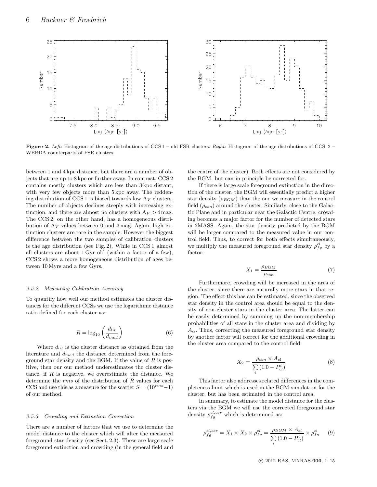

**Figure 2.** Left: Histogram of the age distributions of CCS  $1 - old$ FSR clusters. *Right:* Histogram of the age distributions of CCS  $2 -$ WEBDA counterparts of FSR clusters.

between 1 and 4 kpc distance, but there are a number of objects that are up to 8 kpc or further away. In contrast, CCS 2 contains mostly clusters which are less than 3 kpc distant, with very few objects more than 5 kpc away. The reddening distribution of CCS 1 is biased towards low  $A_V$  clusters. The number of objects declines steeply with increasing extinction, and there are almost no clusters with  $A_V > 4$  mag. The CCS 2, on the other hand, has a homogeneous distribution of  $A_V$  values between 0 and 3 mag. Again, high extinction clusters are rare in the sample. However the biggest difference between the two samples of calibration clusters is the age distribution (see Fig. 2). While in CCS 1 almost all clusters are about 1 Gyr old (within a factor of a few), CCS 2 shows a more homogeneous distribution of ages between 10 Myrs and a few Gyrs.

#### 2.5.2 Measuring Calibration Accuracy

To quantify how well our method estimates the cluster distances for the different CCSs we use the logarithmic distance ratio defined for each cluster as:

$$
R = \log_{10} \left( \frac{d_{lit}}{d_{mod}} \right) \tag{6}
$$

Where  $d_{lit}$  is the cluster distance as obtained from the literature and  $d_{mod}$  the distance determined from the foreground star density and the BGM. If the value of  $R$  is positive, then our our method underestimates the cluster distance, if  $R$  is negative, we overestimate the distance. We determine the rms of the distribution of R values for each CCS and use this as a measure for the scatter  $S = (10^{rms} - 1)$ of our method.

#### 2.5.3 Crowding and Extinction Correction

There are a number of factors that we use to determine the model distance to the cluster which will alter the measured foreground star density (see Sect. 2.3). These are large scale foreground extinction and crowding (in the general field and

the centre of the cluster). Both effects are not considered by the BGM, but can in principle be corrected for.

If there is large scale foreground extinction in the direction of the cluster, the BGM will essentially predict a higher star density  $(\rho_{BGM})$  than the one we measure in the control field  $(\rho_{con})$  around the cluster. Similarly, close to the Galactic Plane and in particular near the Galactic Centre, crowding becomes a major factor for the number of detected stars in 2MASS. Again, the star density predicted by the BGM will be larger compared to the measured value in our control field. Thus, to correct for both effects simultaneously, we multiply the measured foreground star density  $\rho_{fg}^{cl}$  by a factor:

$$
X_1 = \frac{\rho_{BGM}}{\rho_{con}}\tag{7}
$$

Furthermore, crowding will be increased in the area of the cluster, since there are naturally more stars in that region. The effect this has can be estimated, since the observed star density in the control area should be equal to the density of non-cluster stars in the cluster area. The latter can be easily determined by summing up the non-membership probabilities of all stars in the cluster area and dividing by  $A_{cl}$ . Thus, correcting the measured foreground star density by another factor will correct for the additional crowding in the cluster area compared to the control field:

$$
X_2 = \frac{\rho_{con} \times A_{cl}}{\sum_{i} (1.0 - P_{cl}^i)}
$$
(8)

This factor also addresses related differences in the completeness limit which is used in the BGM simulation for the cluster, but has been estimated in the control area.

In summary, to estimate the model distance for the clusters via the BGM we will use the corrected foreground star density  $\rho_{fg}^{cl,cor}$  which is determined as:

$$
\rho_{fg}^{cl,cor} = X_1 \times X_2 \times \rho_{fg}^{cl} = \frac{\rho_{BGM} \times A_{cl}}{\sum_{i} (1.0 - P_{cl}^i)} \times \rho_{fg}^{cl} \tag{9}
$$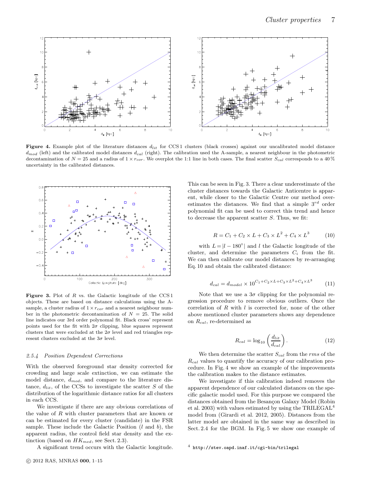

Figure 4. Example plot of the literature distances  $d_{lit}$  for CCS1 clusters (black crosses) against our uncalibrated model distance  $d_{mod}$  (left) and the calibrated model distances  $d_{cal}$  (right). The calibration used the A-sample, a nearest neighbour in the photometric decontamination of  $N = 25$  and a radius of  $1 \times r_{cor}$ . We overplot the 1:1 line in both cases. The final scatter  $S_{cal}$  corresponds to a 40 % uncertainty in the calibrated distances.



**Figure 3.** Plot of R vs. the Galactic longitude of the CCS 1 objects. These are based on distance calculations using the Asample, a cluster radius of  $1 \times r_{cor}$  and a nearest neighbour number in the photometric decontamination of  $N = 25$ . The solid line indicates our 3rd order polynomal fit. Black cross' represent points used for the fit with  $2\sigma$  clipping, blue squares represent clusters that were excluded at the  $2\sigma$  level and red triangles represent clusters excluded at the  $3\sigma$  level.

#### 2.5.4 Position Dependent Corrections

With the observed foreground star density corrected for crowding and large scale extinction, we can estimate the model distance,  $d_{mod}$ , and compare to the literature distance,  $d_{lit}$ , of the CCSs to investigate the scatter S of the distribution of the logarithmic distance ratios for all clusters in each CCS.

We investigate if there are any obvious correlations of the value of R with cluster parameters that are known or can be estimated for every cluster (candidate) in the FSR sample. These include the Galactic Position  $(l \text{ and } b)$ , the apparent radius, the control field star density and the extinction (based on  $HK_{med}$ , see Sect. 2.3).

A significant trend occurs with the Galactic longitude.

This can be seen in Fig. 3. There a clear underestimate of the cluster distances towards the Galactic Anticentre is apparent, while closer to the Galactic Centre our method overestimates the distances. We find that a simple  $3^{rd}$  order polynomial fit can be used to correct this trend and hence to decrease the apparent scatter S. Thus, we fit:

$$
R = C_1 + C_2 \times L + C_3 \times L^2 + C_4 \times L^3 \tag{10}
$$

with  $L = |l - 180^{\circ}|$  and l the Galactic longitude of the cluster, and determine the parameters  $C_i$  from the fit. We can then calibrate our model distances by re-arranging Eq. 10 and obtain the calibrated distance:

$$
d_{cal} = d_{model} \times 10^{C_1 + C_2 \times L + C_3 \times L^2 + C_4 \times L^3}
$$
 (11)

Note that we use a  $3\sigma$  clipping for the polynomial regression procedure to remove obvious outliers. Once the correlation of  $R$  with  $l$  is corrected for, none of the other above mentioned cluster parameters shows any dependence on  $R_{cal}$ , re-determined as

$$
R_{cal} = \log_{10} \left( \frac{d_{lit}}{d_{cal}} \right). \tag{12}
$$

We then determine the scatter  ${\cal S}_{cal}$  from the  $rms$  of the  $R_{cal}$  values to quantify the accuracy of our calibration procedure. In Fig. 4 we show an example of the improvements the calibration makes to the distance estimates.

We investigate if this calibration indeed removes the apparent dependence of our calculated distances on the specific galactic model used. For this purpose we compared the distances obtained from the Besançon Galaxy Model (Robin et al. 2003) with values estimated by using the TRILEGAL<sup>4</sup> model from (Girardi et al. 2012, 2005). Distances from the latter model are obtained in the same way as described in Sect. 2.4 for the BGM. In Fig. 5 we show one example of

<sup>4</sup> http://stev.oapd.inaf.it/cgi-bin/trilegal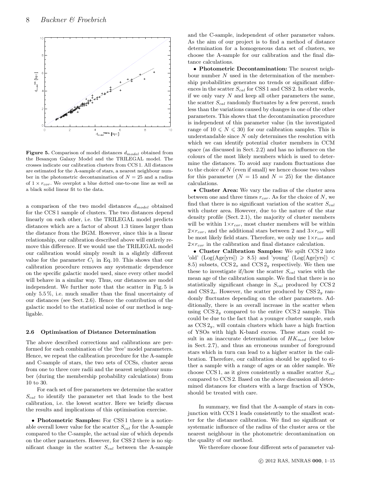

Figure 5. Comparison of model distances  $\boldsymbol{d}_{model}$  obtained from the Besançon Galaxy Model and the TRILEGAL model. The crosses indicate our calibration clusters from CCS 1. All distances are estimated for the A-sample of stars, a nearest neighbour number in the photometric decontamination of  $N = 25$  and a radius of  $1 \times r_{cor}$ . We overplot a blue dotted one-to-one line as well as a black solid linear fit to the data.

a comparison of the two model distances  $d_{model}$  obtained for the CCS 1 sample of clusters. The two distances depend linearly on each other, i.e. the TRILEGAL model predicts distances which are a factor of about 1.3 times larger than the distance from the BGM. However, since this is a linear relationship, our calibration described above will entirely remove this difference. If we would use the TRILEGAL model our calibration would simply result in a slightly different value for the parameter  $C_1$  in Eq. 10. This shows that our calibration procedure removes any systematic dependence on the specific galactic model used, since every other model will behave in a similar way. Thus, our distances are model independent. We further note that the scatter in Fig. 5 is only 5.5 %, i.e. much smaller than the final uncertainty of our distances (see Sect. 2.6). Hence the contribution of the galactic model to the statistical noise of our method is negligable.

#### 2.6 Optimisation of Distance Determination

The above described corrections and calibrations are performed for each combination of the 'free' model parameters. Hence, we repeat the calibration procedure for the A-sample and C-sample of stars, the two sets of CCSs, cluster areas from one to three core radii and the nearest neighbour number (during the membership probability calculations) from 10 to 30.

For each set of free parameters we determine the scatter  $S_{cal}$  to identify the parameter set that leads to the best calibration, i.e. the lowest scatter. Here we briefly discuss the results and implications of this optimisation exercise.

• Photometric Samples: For CSS 1 there is a noticeable overall lower value for the scatter  $S_{cal}$  for the A-sample compared to the C-sample, the actual size of which depends on the other parameters. However, for CSS 2 there is no significant change in the scatter  $S_{cal}$  between the A-sample and the C-sample, independent of other parameter values. As the aim of our project is to find a method of distance determination for a homogeneous data set of clusters, we choose the A-sample for our calibration and the final distance calculations.

• Photometric Decontamination: The nearest neighbour number N used in the determination of the membership probabilities generates no trends or significant differences in the scatter  $S_{cal}$  for CSS 1 and CSS 2. In other words, if we only vary  $N$  and keep all other parameters the same, the scatter  $S_{cal}$  randomly fluctuates by a few percent, much less than the variations caused by changes in one of the other parameters. This shows that the decontamination procedure is independent of this parameter value (in the investigated range of  $10 \le N \le 30$  for our calibration samples. This is understandable since  $N$  only determines the resolution with which we can identify potential cluster members in CCM space (as discussed in Sect. 2.2) and has no influence on the colours of the most likely members which is used to determine the distances. To avoid any random fluctuations due to the choice of  $N$  (even if small) we hence choose two values for this parameter  $(N = 15$  and  $N = 25)$  for the distance calculations.

• Cluster Area: We vary the radius of the cluster area between one and three times  $r_{cor}$ . As for the choice of N, we find that there is no significant variation of the scatter  $S_{cal}$ with cluster area. However, due to the nature of the star density profile (Sect. 2.1), the majority of cluster members will be within  $1 \times r_{cor}$ , most cluster members will be within  $2\times r_{cor}$ , and the additional stars between 2 and  $3\times r_{cor}$  will be most likely field stars. Therefore, we only use  $1 \times r_{cor}$  and  $2\times r_{cor}$  in the calibration and final distance calculation.

• Cluster Calibration Samples: We spilt CCS 2 into 'old'  $(Log(Age[yrs]) \ge 8.5)$  and 'young'  $(Log(Age[yrs]) <$ 8.5) subsets,  $CCS 2<sub>o</sub>$  and  $CCS 2<sub>y</sub>$  respectively. We then use these to investigate if/how the scatter  $S_{cal}$  varies with the mean age of the calibration sample. We find that there is no statistically significant change in  $S_{cal}$  produced by CCS 2 and CSS  $2<sub>o</sub>$ . However, the scatter produced by CSS  $2<sub>y</sub>$  randomly fluctuates depending on the other parameters. Additionally, there is an overall increase in the scatter when using  $CCS 2<sub>y</sub>$  compared to the entire  $CCS 2$  sample. This could be due to the fact that a younger cluster sample, such as  $CCS 2<sub>y</sub>$ , will contain clusters which have a high fraction of YSOs with high K-band excess. These stars could result in an inaccurate determination of  $HK_{med}$  (see below in Sect. 2.7), and thus an erroneous number of foreground stars which in turn can lead to a higher scatter in the calibration. Therefore, our calibration should be applied to either a sample with a range of ages or an older sample. We choose CCS 1, as it gives consistently a smaller scatter  $S_{cal}$ compared to CCS 2. Based on the above discussion all determined distances for clusters with a large fraction of YSOs, should be treated with care.

In summary, we find that the A-sample of stars in conjunction with CCS 1 leads consistently to the smallest scatter for the distance calibration. We find no significant or systematic influence of the radius of the cluster area or the nearest neighbour in the photometric decontamination on the quality of our method.

We therefore choose four different sets of parameter val-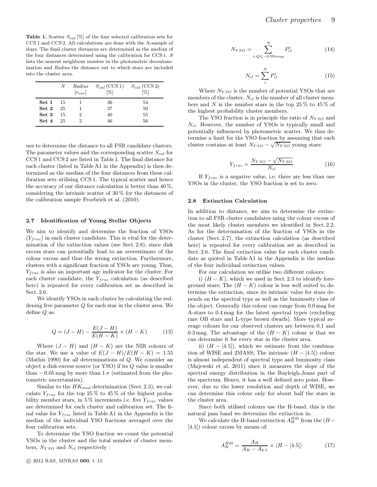**Table 1.** Scatter  $S_{cal}$  [%] of the four selected calibration sets for CCS 1 and CCS 2. All calculations are done with the A-sample of stars. The final cluster distances are determined as the median of the four distances determined using the calibration for CCS 1. N lists the nearest neighbour number in the photometric decontamination and Radius the distance out to which stars are included into the cluster area.

|                 | N  | Radius<br>$[r_{cor}]$ | $S_{cal}$ (CCS 1) $S_{cal}$ (CCS 2)<br>[%] | [%] |
|-----------------|----|-----------------------|--------------------------------------------|-----|
| <b>Set 1</b> 15 |    |                       | 36                                         | 54  |
| $Set\ 2$        | 25 |                       | 37                                         | 50  |
| Set 3           | 15 | 2                     | 40                                         | 55  |
| Set 4           | 25 | 2                     | 46                                         | 56  |

ues to determine the distance to all FSR candidate clusters. The parameter values and the corresponding scatter  $S_{cal}$  for CCS 1 and CCS 2 are listed in Table 1. The final distance for each cluster (listed in Table A1 in the Appendix) is then determined as the median of the four distances from these calibration sets utilising CCS 1. The typical scatter and hence the accuracy of our distance calculation is better than  $40\%$ , considering the intrinsic scatter of 30 % for the distances of the calibration sample Froebrich et al. (2010).

#### 2.7 Identification of Young Stellar Objects

We aim to identify and determine the fraction of YSOs  $(Y_{frac})$  in each cluster candidate. This is vital for the determination of the extinction values (see Sect. 2.8), since disk excess stars can potentially lead to an overestimate of the colour excess and thus the wrong extinction. Furthermore, clusters with a significant fraction of YSOs are young. Thus,  $Y_{frac}$  is also an important age indicator for the cluster. For each cluster candidate, the  $Y_{frac}$  calculation (as described here) is repeated for every calibration set as described in Sect. 2.6.

We identify YSOs in each cluster by calculating the reddening free parameter Q for each star in the cluster area. We define Q as:

$$
Q = (J - H) - \frac{E(J - H)}{E(H - K)} \times (H - K)
$$
 (13)

Where  $(J - H)$  and  $(H - K)$  are the NIR colours of the star. We use a value of  $E(J-H)/E(H - K) = 1.55$ (Mathis 1990) for all determinations of Q. We consider an object a disk-excess source (or YSO) if its Q value is smaller than  $-0.05$  mag by more than  $1\sigma$  (estimated from the photometric uncertainties).

Similar to the  $HK_{med}$  determination (Sect. 2.3), we calculate  $Y_{frac}$  for the top 25 % to 45 % of the highest probability member stars, in 5% increments i.e. five  $Y_{frac}$  values are determined for each cluster and calibration set. The final value for  $Y_{frac}$  listed in Table A1 in the Appendix is the median of the individual YSO fractions averaged over the four calibration sets.

To determine the YSO fraction we count the potential YSOs in the cluster and the total number of cluster members,  $N_{YSO}$  and  $N_{cl}$  respectively :

$$
N_{YSO} = \sum_{i,Q \le -0.05 mag}^{N} P_{cl}^{i} \tag{14}
$$

$$
N_{cl} = \sum_{i}^{N} P_{cl}^{i} \tag{15}
$$

Where  $N_{YSO}$  is the number of potential YSOs that are members of the cluster,  $N_{cl}$  is the number of all cluster members and N is the number stars in the top  $25\%$  to  $45\%$  of the highest probability cluster members.

The YSO fraction is in principle the ratio of  $N_{YSO}$  and  $N_{cl}$ . However, the number of YSOs is typically small and potentially influenced by photometric scatter. We thus determine a limit for the YSO fraction by assuming that each cluster contains at least  $N_{YSO} - \sqrt{N_{YSO}}$  young stars:

$$
Y_{frac} = \frac{N_{YSO} - \sqrt{N_{YSO}}}{N_{cl}}
$$
\n(16)

If  $Y_{frac}$  is a negative value, i.e. there are less than one YSOs in the cluster, the YSO fraction is set to zero.

#### 2.8 Extinction Calculation

In addition to distance, we aim to determine the extinction to all FSR cluster candidates using the colour excess of the most likely cluster members we identified in Sect. 2.2. As for the determination of the fraction of YSOs in the cluster (Sect. 2.7), the extinction calculation (as described here) is repeated for every calibration set as described in Sect. 2.6. The final extinction value for each cluster candidate as quoted in Table A1 in the Appendix is the median of the four individual extinction values.

For our calculation we utilise two different colours:

i)  $(H - K)$ , which we used in Sect. 2.3 to identify foreground stars; The  $(H - K)$  colour is less well suited to determine the extinction, since its intrinsic value for stars depends on the spectral type as well as the luminosity class of the object. Generally this colour can range from 0.0 mag for A-stars to 0.4 mag for the latest spectral types (excluding rare OB stars and L-type brown dwarfs). More typical average colours for our observed clusters are between 0.1 and 0.3 mag. The advantage of the  $(H - K)$  colour is that we can determine it for every star in the cluster area.

ii)  $(H - [4.5])$ , which we estimate from the combination of WISE and 2MASS; The intrinsic  $(H - [4.5])$  colour is almost independent of spectral type and luminosity class (Majewski et al. 2011) since it measures the slope of the spectral energy distribution in the Rayleigh-Jeans part of the spectrum. Hence, it has a well defined zero point. However, due to the lower resolution and depth of WISE, we can determine this colour only for about half the stars in the cluster area.

Since both utilised colours use the H-band, this is the natural pass band we determine the extinction in.

We calculate the H-band extinction  $A_H^{H45}$  from the  $(H-$ [4.5]) colour excess by means of:

$$
A_H^{H45} = \frac{A_H}{A_H - A_{4.5}} \times \langle H - [4.5] \rangle \tag{17}
$$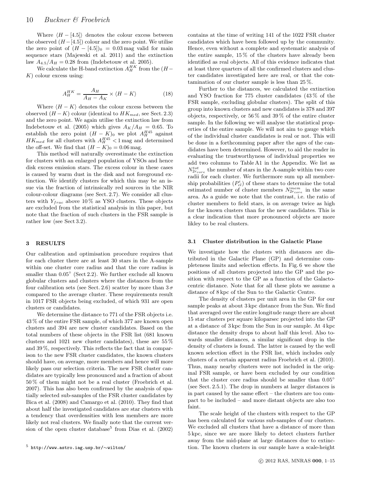Where  $(H - [4.5])$  denotes the colour excess between the observed  $(H - [4.5])$  colour and the zero point. We utilise the zero point of  $(H - [4.5])_0 = 0.03$  mag valid for main sequence stars (Majewski et al. 2011) and the extinction law  $A_{4.5}/A_H = 0.28$  from (Indebetouw et al. 2005).

We calculate the H-band extinction  $A_H^{HK}$  from the  $(H K$ ) colour excess using:

$$
A_H^{HK} = \frac{A_H}{A_H - A_K} \times \langle H - K \rangle \tag{18}
$$

Where  $\langle H - K \rangle$  denotes the colour excess between the observed  $(H - K)$  colour (identical to  $HK_{med}$ , see Sect. 2.3) and the zero point. We again utilise the extinction law from Indebetouw et al. (2005) which gives  $A_K/A_H = 0.65$ . To establish the zero point  $(H - K)$ <sub>0</sub> we plot  $A_H^{H45}$  against  $HK_{med}$  for all clusters with  $A_H^{H45}$  < 1 mag and determined the off-set. We find that  $(H - K)_0 = 0.06$  mag.

This method will naturally overestimate the extinction for clusters with an enlarged population of YSOs and hence disk excess emission stars. The excess colour in these cases is caused by warm dust in the disk and not foreground extinction. We identify clusters for which this may be an issue via the fraction of intrinsically red sources in the NIR colour-colour diagrams (see Sect. 2.7). We consider all clusters with  $Y_{frac}$  above 10% as YSO clusters. These objects are excluded from the statistical analysis in this paper, but note that the fraction of such clusters in the FSR sample is rather low (see Sect 3.2).

#### 3 RESULTS

Our calibration and optimisation procedure requires that for each cluster there are at least 30 stars in the A-sample within one cluster core radius and that the core radius is smaller than  $0.05^{\circ}$  (Sect 2.2). We further exclude all known globular clusters and clusters where the distances from the four calibration sets (see Sect. 2.6) scatter by more than  $3\sigma$ compared to the average cluster. These requirements result in 1017 FSR objects being excluded, of which 931 are open clusters or candidates.

We determine the distance to 771 of the FSR objects i.e. 43 % of the entire FSR sample, of which 377 are known open clusters and 394 are new cluster candidates. Based on the total numbers of these objects in the FSR list (681 known clusters and 1021 new cluster candidates), these are 55 % and 39 %, respectively. This reflects the fact that in comparison to the new FSR cluster candidates, the known clusters should have, on average, more members and hence will more likely pass our selection criteria. The new FSR cluster candidates are typically less pronounced and a fraction of about 50 % of them might not be a real cluster (Froebrich et al. 2007). This has also been confirmed by the analysis of spatially selected sub-samples of the FSR cluster candidates by Bica et al. (2008) and Camargo et al. (2010). They find that about half the investigated candidates are star clusters with a tendency that overdensities with less members are more likely not real clusters. We finally note that the current version of the open cluster database<sup>5</sup> from Dias et al.  $(2002)$ 

contains at the time of writing 141 of the 1022 FSR cluster candidates which have been followed up by the community. Hence, even without a complete and systematic analysis of the entire sample,  $15\%$  of the clusters have already been identified as real objects. All of this evidence indicates that at least three quarters of all the confirmed clusters and cluster candidates investigated here are real, or that the contamination of our cluster sample is less than 25 %.

Further to the distances, we calculated the extinction and YSO fraction for 775 cluster candidates (43 % of the FSR sample, excluding globular clusters). The split of this group into known clusters and new candidates is 378 and 397 objects, respectively, or 56 % and 39 % of the entire cluster sample. In the following we will analyse the statistical properties of the entire sample. We will not aim to gauge which of the individual cluster candidates is real or not. This will be done in a forthcomming paper after the ages of the candidates have been determined. However, to aid the reader in evaluating the trustworthyness of individual properties we add two columns to Table A1 in the Appendix. We list as  $N_{2r_{core}}^{tot}$  the number of stars in the A-sample within two core radii for each cluster. We furthermore sum up all membership probabilities  $(P_{cl}^i)$  of these stars to determine the total estimated number of cluster members  $N_{2r_{core}}^{mem}$  in the same area. As a guide we note that the contrast, i.e. the ratio of cluster members to field stars, is on average twice as high for the known clusters than for the new candidates. This is a clear indication that more pronounced objects are more likley to be real clusters.

#### 3.1 Cluster distribution in the Galactic Plane

We investigate how the clusters with distances are distributed in the Galactic Plane (GP) and determine completeness limits and selection effects. In Fig. 6 we show the positions of all clusters projected into the GP and the position with respect to the GP as a function of the Galactocentric distance. Note that for all these plots we assume a distance of 8 kpc of the Sun to the Galactic Centre.

The density of clusters per unit area in the GP for our sample peaks at about 3 kpc distance from the Sun. We find that averaged over the entire longitude range there are about 15 star clusters per square kiloparsec projected into the GP at a distance of 3 kpc from the Sun in our sample. At 4 kpc distance the density drops to about half this level. Also towards smaller distances, a similar significant drop in the density of clusters is found. The latter is caused by the well known selection effect in the FSR list, which includes only clusters of a certain apparent radius Froebrich et al. (2010). Thus, many nearby clusters were not included in the original FSR sample, or have been excluded by our condition that the cluster core radius should be smaller than 0.05◦ (see Sect. 2.5.1). The drop in numbers at larger distances is in part caused by the same effect – the clusters are too compact to be included – and more distant objects are also too faint.

The scale height of the clusters with respect to the GP has been calculated for various sub-samples of our clusters. We excluded all clusters that have a distance of more than 5 kpc, since we are more likely to detect clusters further away from the mid-plane at large distances due to extinction. The known clusters in our sample have a scale-height

<sup>5</sup> http://www.astro.iag.usp.br/∼wilton/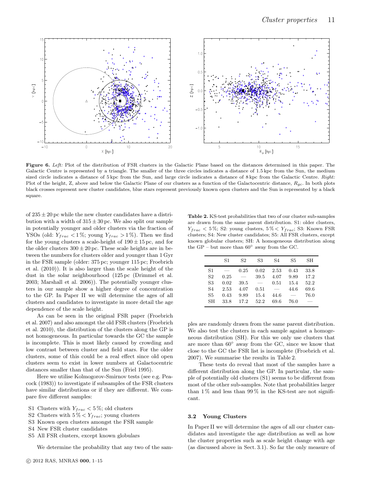

Figure 6. Left: Plot of the distribution of FSR clusters in the Galactic Plane based on the distances determined in this paper. The Galactic Centre is represented by a triangle. The smaller of the three circles indicates a distance of 1.5 kpc from the Sun, the medium sized circle indicates a distance of 5 kpc from the Sun, and large circle indicates a distance of 8 kpc from the Galactic Centre. Right: Plot of the height, Z, above and below the Galactic Plane of our clusters as a function of the Galactocentric distance,  $R_{qc}$ . In both plots black crosses represent new cluster candidates, blue stars represent previously known open clusters and the Sun is represented by a black square.

of  $235 \pm 20$  pc while the new cluster candidates have a distribution with a width of  $315 \pm 30$  pc. We also split our sample in potentially younger and older clusters via the fraction of YSOs (old:  $Y_{frac} < 1\%$ ; young  $Y_{frac} > 1\%$ ). Then we find for the young clusters a scale-height of  $190 \pm 15$  pc, and for the older clusters  $300 \pm 20$  pc. These scale heights are in between the numbers for clusters older and younger than 1 Gyr in the FSR sample (older: 375 pc; younger 115 pc; Froebrich et al. (2010)). It is also larger than the scale height of the dust in the solar neighbourhood (125 pc (Drimmel et al. 2003; Marshall et al. 2006)). The potentially younger clusters in our sample show a higher degree of concentration to the GP. In Paper II we will determine the ages of all clusters and candidates to investigate in more detail the age dependence of the scale height.

As can be seen in the original FSR paper (Froebrich et al. 2007) and also amongst the old FSR clusters (Froebrich et al. 2010), the distribution of the clusters along the GP is not homogeneous. In particular towards the GC the sample is incomplete. This is most likely caused by crowding and low contrast between cluster and field stars. For the older clusters, some of this could be a real effect since old open clusters seem to exist in lower numbers at Galactocentric distances smaller than that of the Sun (Friel 1995).

Here we utilise Kolmogorov-Smirnov tests (see e.g. Peacock (1983)) to investigate if subsamples of the FSR clusters have similar distributions or if they are different. We compare five different samples:

- S1 Clusters with  $Y_{frac} < 5\%$ ; old clusters
- S2 Clusters with  $5\% \lt Y_{frac}$ ; young clusters
- S3 Known open clusters amongst the FSR sample
- S4 New FSR cluster candidates
- S5 All FSR clusters, except known globulars

We determine the probability that any two of the sam-

Table 2. KS-test probabilities that two of our cluster sub-samples are drawn from the same parent distribution. S1: older clusters,  $Y_{frac} < 5\%$ ; S2: young clusters,  $5\% < Y_{frac}$ ; S3: Known FSR clusters; S4: New cluster candidates; S5: All FSR clusters, except known globular clusters; SH: A homogeneous distribution along the GP – but more than  $60°$  away from the GC.

|                | S1   | S <sub>2</sub> | S3   | S4   | S5   | SН   |
|----------------|------|----------------|------|------|------|------|
| S1             |      | 0.25           | 0.02 | 2.53 | 0.43 | 33.8 |
| S <sub>2</sub> | 0.25 |                | 39.5 | 4.07 | 9.89 | 17.2 |
| S3             | 0.02 | 39.5           |      | 0.51 | 15.4 | 52.2 |
| S4             | 2.53 | 4.07           | 0.51 |      | 44.6 | 69.6 |
| S5             | 0.43 | 9.89           | 15.4 | 44.6 |      | 76.0 |
| SH             | 33.8 | 17.2           | 52.2 | 69.6 | 76.0 |      |
|                |      |                |      |      |      |      |

ples are randomly drawn from the same parent distribution. We also test the clusters in each sample against a homogeneous distribution (SH). For this we only use clusters that are more than 60◦ away from the GC, since we know that close to the GC the FSR list is incomplete (Froebrich et al. 2007). We summarise the results in Table 2.

These tests do reveal that most of the samples have a different distribution along the GP. In particular, the sample of potentially old clusters (S1) seems to be different from most of the other sub-samples. Note that probabilities larger than  $1\%$  and less than  $99\%$  in the KS-test are not significant.

#### 3.2 Young Clusters

In Paper II we will determine the ages of all our cluster candidates and investigate the age distribution as well as how the cluster properties such as scale height change with age (as discussed above in Sect. 3.1). So far the only measure of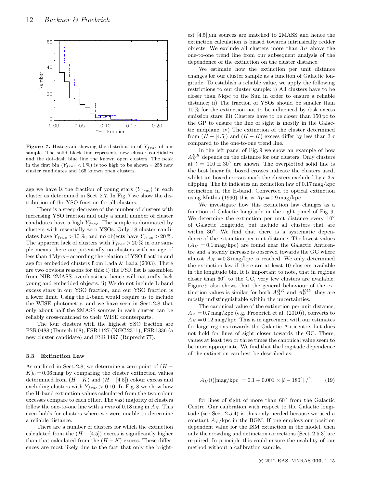

**Figure 7.** Histogram showing the distribution of  $Y_{frac}$  of our sample. The solid black line represents new cluster candidates and the dot-dash blue line the known open clusters. The peak in the first bin  $(Y_{frac} < 1\%)$  is too high to be shown – 258 new cluster candidates and 165 known open clusters.

age we have is the fraction of young stars  $(Y_{frac})$  in each cluster as determined in Sect. 2.7. In Fig. 7 we show the distribution of the YSO fraction for all clusters.

There is a steep decrease of the number of clusters with increasing YSO fraction and only a small number of cluster candidates have a high  $Y_{frac}$ . The sample is dominated by clusters with essentially zero YSOs. Only 18 cluster candidates have  $Y_{frac} > 10\%$ , and no objects have  $Y_{frac} > 20\%$ . The apparent lack of clusters with  $Y_{frac} > 20\%$  in our sample means there are potentially no clusters with an age of less than 4 Myrs – according the relation of YSO fraction and age for embedded clusters from Lada & Lada (2003). There are two obvious reasons for this: i) the FSR list is assembled from NIR 2MASS overdensities, hence will naturally lack young and embedded objects. ii) We do not include L-band excess stars in our YSO fraction, and our YSO fraction is a lower limit. Using the L-band would require us to include the WISE photometry, and we have seen in Sect. 2.8 that only about half the 2MASS sources in each cluster can be reliably cross-matched to their WISE counterparts.

The four clusters with the highest YSO fraction are FSR 0488 (Teutsch 168), FSR 1127 (NGC 2311), FSR 1336 (a new cluster candidate) and FSR 1497 (Ruprecht 77).

#### 3.3 Extinction Law

As outlined in Sect. 2.8, we determine a zero point of  $(H K<sub>0</sub> = 0.06$  mag by comparing the cluster extinction values determined from  $(H - K)$  and  $(H - [4.5])$  colour excess and excluding clusters with  $Y_{frac} > 0.10$ . In Fig. 8 we show how the H-band extinction values calculated from the two colour excesses compare to each other. The vast majority of clusters follow the one-to-one line with a rms of 0.18 mag in  $A_H$ . This even holds for clusters where we were unable to determine a reliable distance.

There are a number of clusters for which the extinction calculated from the  $(H - [4.5])$  excess is significantly higher than that calculated from the  $(H - K)$  excess. These differences are most likely due to the fact that only the brightest  $[4.5] \mu$ m sources are matched to 2MASS and hence the extinction calculation is biased towards intrinsically redder objects. We exclude all clusters more than  $3\sigma$  above the one-to-one trend line from our subsequent analysis of the dependence of the extinction on the cluster distance.

We estimate how the extinction per unit distance changes for our cluster sample as a function of Galactic longitude. To establish a reliable value, we apply the following restrictions to our cluster sample: i) All clusters have to be closer than 5 kpc to the Sun in order to ensure a reliable distance; ii) The fraction of YSOs should be smaller than 10 % for the extinction not to be influenced by disk excess emission stars; iii) Clusters have to be closer than 150 pc to the GP to ensure the line of sight is mostly in the Galactic midplane; iv) The extinction of the cluster determined from  $(H - [4.5])$  and  $(H - K)$  excess differ by less than  $3\sigma$ compared to the one-to-one trend line.

In the left panel of Fig. 9 we show an example of how  $A_H^{HK}$  depends on the distance for our clusters. Only clusters at  $l = 110 \pm 30^{\circ}$  are shown. The overplotted solid line is the best linear fit, boxed crosses indicate the clusters used, whilst un-boxed crosses mark the clusters excluded by a  $3\sigma$ clipping. The fit indicates an extinction law of 0.17 mag/kpc extinction in the H-band. Converted to optical extinction using Mathis (1990) this is  $A_V = 0.9$  mag/kpc.

We investigate how this extinction law changes as a function of Galactic longitude in the right panel of Fig. 9. We determine the extinction per unit distance every  $10^{\circ}$ of Galactic longitude, but include all clusters that are within 30°. We find that there is a systematic dependence of the extinction per unit distance. The lowest values  $(A_H = 0.1$  mag/kpc) are found near the Galactic Anticentre and a steady increase is observed towards the GC where almost  $A_H = 0.3$  mag/kpc is reached. We only determined the extinction law if there are at least 10 clusters available in the longitude bin. It is important to note, that in regions closer than  $60°$  to the GC, very few clusters are available. Figure 9 also shows that the general behaviour of the extinction values is similar for both  $A_H^{HK}$  and  $A_H^{H45}$ ; they are mostly indistinguishable within the uncertainties.

The canonical value of the extinction per unit distance,  $A_V = 0.7$  mag/kpc (e.g. Froebrich et al. (2010)), converts to  $A_H = 0.12$  mag/kpc. This is in agreement with our estimates for large regions towards the Galactic Anticentre, but does not hold for lines of sight closer towards the GC. There, values at least two or three times the canonical value seem to be more appropriate. We find that the longitude dependence of the extinction can best be described as:

$$
A_H(l)[\text{mag}/\text{kpc}] = 0.1 + 0.001 \times |l - 180^{\circ}|^2, \qquad (19)
$$

for lines of sight of more than  $60^{\circ}$  from the Galactic Centre. Our calibration with respect to the Galactic longitude (see Sect. 2.5.4) is thus only needed because we used a constant  $A_V$ /kpc in the BGM. If one employs our position dependent value for the ISM extinction in the model, then only the crowding and extinction corrections (Sect. 2.5.3) are required. In principle this could ensure the usability of our method without a calibration sample.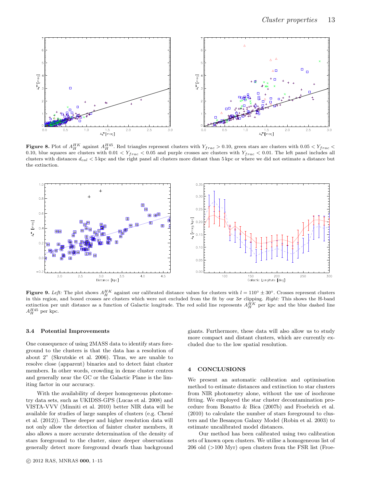

**Figure 8.** Plot of  $A_H^{HK}$  against  $A_H^{H45}$ . Red triangles represent clusters with  $Y_{frac} > 0.10$ , green stars are clusters with  $0.05 < Y_{frac} <$ 0.10, blue squares are clusters with  $0.01 < Y_{frac}$  < 0.05 and purple crosses are clusters with  $Y_{frac}$  < 0.01. The left panel includes all clusters with distances  $d_{cal} < 5$  kpc and the right panel all clusters more distant than  $5$  kpc or where we did not estimate a distance but the extinction.



**Figure 9.** Left: The plot shows  $A_H^{HK}$  against our calibrated distance values for clusters with  $l = 110° ± 30°$ . Crosses represent clusters in this region, and boxed crosses are clusters which were not excluded from the fit by our  $3\sigma$  clipping. Right: This shows the H-band extinction per unit distance as a function of Galactic longitude. The red solid line represents  $A_H^{HK}$  per kpc and the blue dashed line  $A_H^{H45}$  per kpc.

#### 3.4 Potential Improvements

One consequence of using 2MASS data to identify stars foreground to the clusters is that the data has a resolution of about 2" (Skrutskie et al. 2006). Thus, we are unable to resolve close (apparent) binaries and to detect faint cluster members. In other words, crowding in dense cluster centres and generally near the GC or the Galactic Plane is the limiting factor in our accuracy.

With the availability of deeper homogeneous photometry data sets, such as UKIDSS-GPS (Lucas et al. 2008) and VISTA-VVV (Minniti et al. 2010) better NIR data will be available for studies of large samples of clusters (e.g. Chen´e et al. (2012)). These deeper and higher resolution data will not only allow the detection of fainter cluster members, it also allows a more accurate determination of the density of stars foreground to the cluster, since deeper observations generally detect more foreground dwarfs than background

c 2012 RAS, MNRAS 000, 1–15

giants. Furthermore, these data will also allow us to study more compact and distant clusters, which are currently excluded due to the low spatial resolution.

#### 4 CONCLUSIONS

We present an automatic calibration and optimisation method to estimate distances and extinction to star clusters from NIR photometry alone, without the use of isochrone fitting. We employed the star cluster decontamination procedure from Bonatto & Bica (2007b) and Froebrich et al. (2010) to calculate the number of stars foreground to clusters and the Besancon Galaxy Model (Robin et al. 2003) to estimate uncalibrated model distances.

Our method has been calibrated using two calibration sets of known open clusters. We utilise a homogeneous list of 206 old (>100 Myr) open clusters from the FSR list (Froe-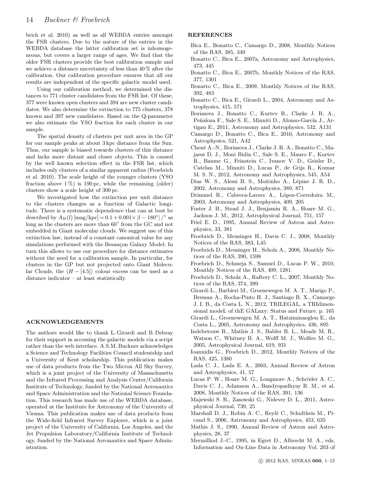brich et al. 2010) as well as all WEBDA entries amongst the FSR clusters. Due to the nature of the entries in the WEBDA database the latter calibration set is inhomogeneous, but covers a larger range of ages. We find that the older FSR clusters provide the best calibration sample and we achieve a distance uncertainty of less than 40 % after the calibration. Our calibration procedure ensures that all our results are independent of the specific galactic model used.

Using our calibration method, we determined the distances to 771 cluster candidates from the FSR list. Of these, 377 were known open clusters and 394 are new cluster candidates. We also determine the extinction to 775 clusters, 378 known and 397 new candidates. Based on the Q-parameter we also estimate the YSO fraction for each cluster in our sample.

The spatial density of clusters per unit area in the GP for our sample peaks at about 3 kpc distance from the Sun. Thus, our sample is biased towards clusters of this distance and lacks more distant and closer objects. This is caused by the well known selection effect in the FSR list, which includes only clusters of a similar apparent radius (Froebrich et al. 2010). The scale height of the younger clusters (YSO fraction above  $1\%$  is 190 pc, while the remaining (older) clusters show a scale height of 300 pc.

We investigated how the extinction per unit distance to the clusters changes as a function of Galactic longitude. There is a systematic dependence that can at best be described by  $A_H(l)$  [mag/kpc] =  $0.1 + 0.001 \times |l - 180^{\circ}|/^{\circ}$  as long as the clusters are more than  $60^{\circ}$  from the GC and not embedded in Giant molecular clouds. We suggest use of this extinction law, instead of a constant canonical value for any simulations performed with the Besançon Galaxy Model. In turn this allows to use our procedure for distance estimates without the need for a calibration sample. In particular, for clusters in the GP but not projected onto Giant Molecular Clouds, the  $(H - [4.5])$  colour excess can be used as a distance indicator – at least statistically.

#### ACKNOWLEDGEMENTS

The authors would like to thank L. Girardi and B. Debray for their support in accessing the galactic models via a script rather than the web interface. A.S.M. Buckner acknowledges a Science and Technology Facilities Council studentship and a University of Kent scholarship. This publication makes use of data products from the Two Micron All Sky Survey, which is a joint project of the University of Massachusetts and the Infrared Processing and Analysis Center/California Institute of Technology, funded by the National Aeronautics and Space Administration and the National Science Foundation. This research has made use of the WEBDA database, operated at the Institute for Astronomy of the University of Vienna. This publication makes use of data products from the Wide-field Infrared Survey Explorer, which is a joint project of the University of California, Los Angeles, and the Jet Propulsion Laboratory/California Institute of Technology, funded by the National Aeronautics and Space Administration.

#### REFERENCES

- Bica E., Bonatto C., Camargo D., 2008, Monthly Notices of the RAS, 385, 349
- Bonatto C., Bica E., 2007a, Astronomy and Astrophysics, 473, 445
- Bonatto C., Bica E., 2007b, Monthly Notices of the RAS, 377, 1301
- Bonatto C., Bica E., 2009, Monthly Notices of the RAS, 392, 483
- Bonatto C., Bica E., Girardi L., 2004, Astronomy and Astrophysics, 415, 571
- Borissova J., Bonatto C., Kurtev R., Clarke J. R. A., Peñaloza F., Sale S. E., Minniti D., Alonso-García J., Artigau E., 2011, Astronomy and Astrophysics, 532, A131
- Camargo D., Bonatto C., Bica E., 2010, Astronomy and Astrophysics, 521, A42
- Chen´e A.-N., Borissova J., Clarke J. R. A., Bonatto C., Majaess D. J., Moni Bidin C., Sale S. E., Mauro F., Kurtev R., Baume G., Feinstein C., Ivanov V. D., Geisler D., Catelan M., Minniti D., Lucas P., de Grijs R., Kumar M. S. N., 2012, Astronomy and Astrophysics, 545, A54
- Dias W. S., Alessi B. S., Moitinho A., Lépine J. R. D., 2002, Astronomy and Astrophysics, 389, 871
- Drimmel R., Cabrera-Lavers A., López-Corredoira M., 2003, Astronomy and Astrophysics, 409, 205
- Foster J. B., Stead J. J., Benjamin R. A., Hoare M. G., Jackson J. M., 2012, Astrophysical Journal, 751, 157
- Friel E. D., 1995, Annual Review of Astron and Astrophysics, 33, 381
- Froebrich D., Meusinger H., Davis C. J., 2008, Monthly Notices of the RAS, 383, L45
- Froebrich D., Meusinger H., Scholz A., 2008, Monthly Notices of the RAS, 390, 1598
- Froebrich D., Schmeja S., Samuel D., Lucas P. W., 2010, Monthly Notices of the RAS, 409, 1281
- Froebrich D., Scholz A., Raftery C. L., 2007, Monthly Notices of the RAS, 374, 399
- Girardi L., Barbieri M., Groenewegen M. A. T., Marigo P., Bressan A., Rocha-Pinto H. J., Santiago B. X., Camargo J. I. B., da Costa L. N., 2012, TRILEGAL, a TRIdimensional modeL of thE GALaxy: Status and Future. p. 165
- Girardi L., Groenewegen M. A. T., Hatziminaoglou E., da Costa L., 2005, Astronomy and Astrophysics, 436, 895
- Indebetouw R., Mathis J. S., Babler B. L., Meade M. R., Watson C., Whitney B. A., Wolff M. J., Wolfire M. G., 2005, Astrophysical Journal, 619, 931
- Ioannidis G., Froebrich D., 2012, Monthly Notices of the RAS, 425, 1380
- Lada C. J., Lada E. A., 2003, Annual Review of Astron and Astrophysics, 41, 57
- Lucas P. W., Hoare M. G., Longmore A., Schröder A. C., Davis C. J., Adamson A., Bandyopadhyay R. M., et al. 2008, Monthly Notices of the RAS, 391, 136
- Majewski S. R., Zasowski G., Nidever D. L., 2011, Astrophysical Journal, 739, 25
- Marshall D. J., Robin A. C., Reylé C., Schultheis M., Picaud S., 2006, Astronomy and Astrophysics, 453, 635
- Mathis J. S., 1990, Annual Review of Astron and Astrophysics, 28, 37
- Mermilliod J.-C., 1995, in Egret D., Albrecht M. A., eds, Information and On-Line Data in Astronomy Vol. 203 of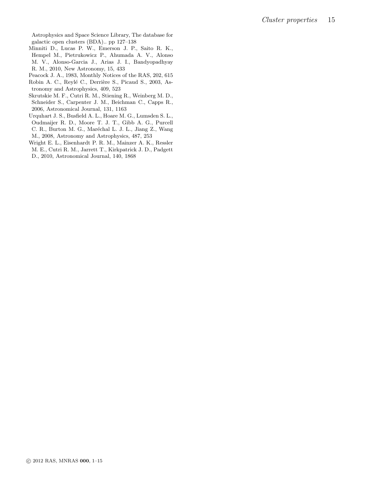Astrophysics and Space Science Library, The database for galactic open clusters (BDA).. pp 127–138

- Minniti D., Lucas P. W., Emerson J. P., Saito R. K., Hempel M., Pietrukowicz P., Ahumada A. V., Alonso M. V., Alonso-Garcia J., Arias J. I., Bandyopadhyay R. M., 2010, New Astronomy, 15, 433
- Peacock J. A., 1983, Monthly Notices of the RAS, 202, 615
- Robin A. C., Reylé C., Derrière S., Picaud S., 2003, Astronomy and Astrophysics, 409, 523
- Skrutskie M. F., Cutri R. M., Stiening R., Weinberg M. D., Schneider S., Carpenter J. M., Beichman C., Capps R., 2006, Astronomical Journal, 131, 1163
- Urquhart J. S., Busfield A. L., Hoare M. G., Lumsden S. L., Oudmaijer R. D., Moore T. J. T., Gibb A. G., Purcell C. R., Burton M. G., Maréchal L. J. L., Jiang Z., Wang M., 2008, Astronomy and Astrophysics, 487, 253
- Wright E. L., Eisenhardt P. R. M., Mainzer A. K., Ressler M. E., Cutri R. M., Jarrett T., Kirkpatrick J. D., Padgett
- D., 2010, Astronomical Journal, 140, 1868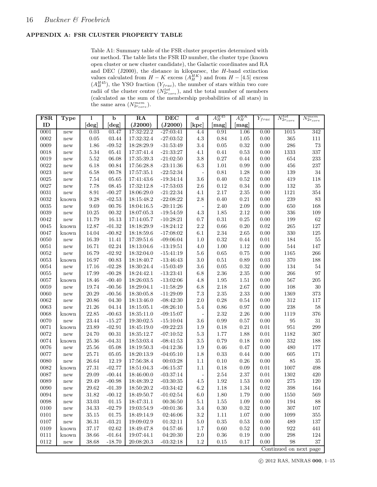#### APPENDIX A: FSR CLUSTER PROPERTY TABLE

Table A1: Summary table of the FSR cluster properties determined with our method. The table lists the FSR ID number, the cluster type (known open cluster or new cluster candidate), the Galactic coordinates and RA and DEC (J2000), the distance in kiloparsec, the  $H$ -band extinction values calculated from  $H - K$  excess  $(A_H^{HK})$  and from  $H - [4.5]$  excess  $(A_H^{H45})$ , the YSO fraction  $(Y_{frac})$ , the number of stars within two core radii of the cluster centre  $(N_{2r_{core}}^{tot})$ , and the total number of members (calculated as the sum of the membership probabilities of all stars) in the same area  $(N_{2r_{core}}^{mem})$ .

| (J2000)<br>ID<br>(J2000)<br>[kpc]<br>$[\deg]$<br>$[\deg]$<br>[mag]<br>[mag]<br>17:32:22.2<br>0001<br>0.03<br>03.47<br>$-27:03:41$<br>4.4<br>0.91<br>1.06<br>1015<br>342<br>0.00<br>new<br>$0.05\,$<br>$4.3\,$<br>0.84<br>0.00<br>365<br>0002<br>03.44<br>17:32:32.4<br>$-27:03:52$<br>1.05<br>111<br>new<br>286<br>$1.86\,$<br>$-31:53:49$<br>$3.4\,$<br>$0.05\,$<br>$\rm 0.32$<br>0.00<br>$73\,$<br>0009<br>$-09.52$<br>18:28:29.9<br>new<br>1333<br>$5.34\,$<br>$0.41\,$<br>$\rm 0.53$<br>0.00<br>337<br>0018<br>05.41<br>17:37:41.4<br>$-21:33:27$<br>4.1<br>new<br>$5.52\,$<br>06.08<br>17:35:39.3<br>$3.8\,$<br>$0.27\,$<br>0.00<br>654<br>233<br>0019<br>$-21:02:50$<br>0.44<br>new<br>0022<br>6.18<br>$6.3\,$<br>$1.01\,$<br>0.99<br>0.00<br>456<br>237<br>00.84<br>17:56:28.8<br>$-23:11:36$<br>new<br>0023<br>$6.58\,$<br>$0.81\,$<br>0.00<br>$139\,$<br>$34\,$<br>00.78<br>17:57:35.1<br>$-22:52:34$<br>$1.28\,$<br>new<br>$\blacksquare$<br>$7.54\,$<br>419<br>0025<br>05.65<br>17:41:43.6<br>$-19:34:14$<br>3.6<br>$0.40\,$<br>$0.52\,$<br>0.00<br>118<br>new<br>0027<br>7.78<br>$-17:53:03$<br>0.12<br>$\rm 0.34$<br>0.00<br>$132\,$<br>35<br>08.45<br>17:32:12.8<br>$2.6\,$<br>new<br>$1121\,$<br>0031<br>$8.91\,$<br>$-00.27$<br>$-21:22:34$<br>$2.17\,$<br>$2.35\,$<br>0.00<br>$354\,$<br>18:06:29.0<br>4.1<br>new<br>$9.28\,$<br>$-02.53$<br>$2.8\,$<br>$0.40\,$<br>$\rm 0.21$<br>$\,239$<br>$83\,$<br>0032<br>18:15:48.2<br>$-22:08:22$<br>$0.00\,$<br>known<br>9.69<br>0035<br>2.40<br>$2.09\,$<br>0.00<br>650<br>168<br>00.76<br>18:04:16.5<br>$-20:11:26$<br>new<br>$\Box$<br>336<br>0039<br>$10.25\,$<br>00.32<br>$4.3\,$<br>1.85<br>2.12<br>0.00<br>109<br>18:07:05.3<br>$-19:54:59$<br>new<br>11.79<br>$0.7\,$<br>$0.31\,$<br>$0.00\,$<br>62<br>0042<br>16.13<br>17:14:05.7<br>$-10:28:21$<br>$0.25\,$<br>$199\,$<br>new<br>12.87<br>$2.2\,$<br>$0.66\,$<br>$0.20\,$<br>0.02<br>$265\,$<br>0045<br>$-01.32$<br>18:18:29.9<br>$-18:24:12$<br>127<br>known<br>330<br>0047<br>14.04<br>$-00.82$<br>$2.34\,$<br>$2.65\,$<br>0.00<br>$125\,$<br>18:18:59.6<br>$-17:08:02$<br>6.1<br>known<br>0050<br>$16.39\,$<br>0.32<br>184<br>$55\,$<br>11.41<br>17:39:51.6<br>$-09:06:04$<br>1.0<br>0.44<br>0.01<br>new<br>0051<br>02.24<br>1.00<br>0.00<br>544<br>$147\,$<br>16.71<br>18:13:04.6<br>$-13:19:51$<br>4.0<br>1.12<br>new<br>16.79<br>$-02.92$<br>18:32:04.0<br>$0.65\,$<br>0.75<br>0.00<br>1165<br>266<br>0052<br>$-15:41:19$<br>$5.6\,$<br>new<br>370<br>$16.97\,$<br>$0.51\,$<br>0.03<br>0053<br>00.83<br>18:18:40.7<br>$-13:46:43$<br>3.0<br>0.89<br>188<br>known<br>$3.6\,$<br>$0.05\,$<br>$\rm 0.32$<br>$0.00\,$<br>$134\,$<br>$54\,$<br>0054<br>17.16<br>$-02.28$<br>18:30:24.4<br>$-15:03:49$<br>new<br>0055<br>17.99<br>$-00.28$<br>18:24:42.1<br>$-13:23:41$<br>$6.8\,$<br>$2.36\,$<br>$2.35\,$<br>0.00<br>$266\,$<br>97<br>new<br>567<br>18.46<br>18:26:03.5<br>$1.95\,$<br>$1.51\,$<br>0.00<br>$205\,$<br>0057<br>$-00.40$<br>$-13:02:06$<br>4.8<br>known<br>$30\,$<br>0059<br>2.18<br>$0.00\,$<br>$108\,$<br>19.74<br>$-00.56$<br>18:29:04.1<br>$-11:58:29$<br>$6.8\,$<br>2.67<br>new<br>$20.29\,$<br>$7.3\,$<br>$2.35\,$<br>2.33<br>0.00<br>1369<br>373<br>0060<br>$-00.56$<br>18:30:05.8<br>$-11:29:09$<br>new<br>$20.86\,$<br>$2.0\,$<br>0.28<br>0.00<br>$312\,$<br>0062<br>04.30<br>18:13:46.0<br>$-08:42:30$<br>0.54<br>117<br>new<br>$\,238$<br>$21.26\,$<br>04.14<br>$5.4\,$<br>$0.86\,$<br>0.00<br>$58\,$<br>0063<br>18:15:05.1<br>$-08:26:10$<br>$0.97\,$<br>new<br>22.85<br>$-00.63$<br>$2.32\,$<br>$2.26\,$<br>0.00<br>1119<br>$376\,$<br>0068<br>18:35:11.0<br>$-09:15:07$<br>known<br>$\overline{\phantom{a}}$<br>$23.44\,$<br>$3.6\,$<br>0.99<br>$\rm 95$<br>$31\,$<br>0070<br>$-15.27$<br>19:30:02.5<br>$-15:10:04$<br>$0.57\,$<br>0.00<br>new<br>951<br>23.89<br>$0.01\,$<br>299<br>0071<br>$-02.91$<br>18:45:19.0<br>$-09:22:23$<br>$1.9\,$<br>0.18<br>$0.21\,$<br>known<br>24.70<br>$-07:10:52$<br>$5.3\,$<br>1.77<br>1.88<br>$0.01\,$<br>1182<br>307<br>0072<br>00.31<br>18:35:12.7<br>new<br>332<br>0.79<br>0.00<br>0074<br>25.36<br>$-04.31$<br>18:53:03.4<br>$-08:41:53$<br>$3.5\,$<br>0.18<br>188<br>known<br>0076<br>$25.56\,$<br>$0.46\,$<br>0.47<br>0.00<br>480<br>05.08<br>18:19:50.3<br>$-04:12:36$<br>1.9<br>177<br>new<br>$25.71\,$<br>$1.8\,$<br>$0.33\,$<br>$605\,$<br>0077<br>05.05<br>18:20:13.9<br>$-04:05:10$<br>0.44<br>0.00<br>$171\,$<br>new<br>0080<br>12.19<br>0.10<br>$0.26\,$<br>0.00<br>85<br>35<br>26.64<br>17:56:38.4<br>00:03:28<br>1.1<br>new<br>$27.31\,$<br>$-02.77$<br>0.18<br>$0.01\,$<br>1007<br>498<br>0082<br>18:51:04.3<br>$-06:15:37$<br>1.1<br>0.09<br>known<br>$2.54\,$<br>1302<br>0087<br>29.09<br>$-00.44$<br>18:46:00.0<br>$-03:37:14$<br>$2.37\,$<br>$\rm 0.01$<br>420<br>new<br>$\blacksquare$<br>1.92<br>0.00<br>$275\,$<br>120<br>0089<br>29.49<br>$-00.98$<br>18:48:39.2<br>$-03:30:35$<br>4.5<br>1.53<br>new<br>6.2<br>$1.34\,$<br>0.02<br>398<br>0090<br>29.62<br>$-01.39$<br>18:50:20.2<br>$-03:34:42$<br>1.18<br>164<br>new<br>0094<br>$-00.12$<br>31.82<br>18:49:50.7<br>$-01:02:54$<br>6.0<br>1.80<br>1.79<br>0.00<br>1550<br>569<br>new<br>$\,0098\,$<br>$\ensuremath{01.15}\xspace$<br>0.00<br>$33.03\,$<br>18:47:31.1<br>00:36:50<br>$5.1\,$<br>1.55<br>$1.09\,$<br>194<br>88<br>new<br>$-02.79$<br>$307\,$<br>0100<br>34.33<br>19:03:54.9<br>$-00:01:36$<br>$3.4\,$<br>$0.30\,$<br>0.32<br>0.00<br>107<br>$\operatorname{new}$<br>0101<br>35.15<br>01.75<br>18:49:14.9<br>02:46:06<br>3.2<br>1.11<br>1.07<br>0.00<br>1099<br>355<br>$\operatorname{new}$<br>$\rm 0107$<br>$36.31\,$<br>$-03.21$<br>19:09:02.9<br>01:32:11<br>$0.35\,$<br>$\rm 0.53$<br>0.00<br>489<br>5.0<br>137<br>$\operatorname{new}$<br>02.62<br>0109<br>$37.17\,$<br>18:49:47.8<br>04:57:46<br>1.7<br>0.60<br>0.52<br>0.00<br>922<br>441<br>known<br>$38.66\,$<br>0.36<br>298<br>0111<br>known<br>$-01.64$<br>19:07:44.1<br>04:20:30<br>2.0<br>0.19<br>0.00<br>124<br>0112<br>$38.68\,$<br>$-18.70$<br>20:08:20.3<br>$-03:32:18$<br>1.2<br>$0.15\,$<br>$0.17\,$<br>0.00<br>98<br>37<br>new<br>Continued on next page | $_{\rm FSR}$ | Type | 1 | $\mathbf b$ | RA | DEC | $\mathbf d$ | $A_H^{H45}$ | $A_H^{HK}$ | $Y_{frac}$ | $N_{2r_{core}}^{tot}$ | $N_{2r_{core}}^{mem}$ |
|---------------------------------------------------------------------------------------------------------------------------------------------------------------------------------------------------------------------------------------------------------------------------------------------------------------------------------------------------------------------------------------------------------------------------------------------------------------------------------------------------------------------------------------------------------------------------------------------------------------------------------------------------------------------------------------------------------------------------------------------------------------------------------------------------------------------------------------------------------------------------------------------------------------------------------------------------------------------------------------------------------------------------------------------------------------------------------------------------------------------------------------------------------------------------------------------------------------------------------------------------------------------------------------------------------------------------------------------------------------------------------------------------------------------------------------------------------------------------------------------------------------------------------------------------------------------------------------------------------------------------------------------------------------------------------------------------------------------------------------------------------------------------------------------------------------------------------------------------------------------------------------------------------------------------------------------------------------------------------------------------------------------------------------------------------------------------------------------------------------------------------------------------------------------------------------------------------------------------------------------------------------------------------------------------------------------------------------------------------------------------------------------------------------------------------------------------------------------------------------------------------------------------------------------------------------------------------------------------------------------------------------------------------------------------------------------------------------------------------------------------------------------------------------------------------------------------------------------------------------------------------------------------------------------------------------------------------------------------------------------------------------------------------------------------------------------------------------------------------------------------------------------------------------------------------------------------------------------------------------------------------------------------------------------------------------------------------------------------------------------------------------------------------------------------------------------------------------------------------------------------------------------------------------------------------------------------------------------------------------------------------------------------------------------------------------------------------------------------------------------------------------------------------------------------------------------------------------------------------------------------------------------------------------------------------------------------------------------------------------------------------------------------------------------------------------------------------------------------------------------------------------------------------------------------------------------------------------------------------------------------------------------------------------------------------------------------------------------------------------------------------------------------------------------------------------------------------------------------------------------------------------------------------------------------------------------------------------------------------------------------------------------------------------------------------------------------------------------------------------------------------------------------------------------------------------------------------------------------------------------------------------------------------------------------------------------------------------------------------------------------------------------------------------------------------------------------------------------------------------------------------------------------------------------------------------------------------------------------------------------------------------------------------------------------------------------------------------------------------------------------------------------------------------------------------------------------------------------------------------------------------------------------------------------------------------------------------------------------------------------------------------------------------------------------------------------------------------------------------------------------------------------------------------------------------------------------------------------------------------------------------------------------------------------------------------------------------------------------------------------------------------------------------------------------------------------------------------------------------|--------------|------|---|-------------|----|-----|-------------|-------------|------------|------------|-----------------------|-----------------------|
|                                                                                                                                                                                                                                                                                                                                                                                                                                                                                                                                                                                                                                                                                                                                                                                                                                                                                                                                                                                                                                                                                                                                                                                                                                                                                                                                                                                                                                                                                                                                                                                                                                                                                                                                                                                                                                                                                                                                                                                                                                                                                                                                                                                                                                                                                                                                                                                                                                                                                                                                                                                                                                                                                                                                                                                                                                                                                                                                                                                                                                                                                                                                                                                                                                                                                                                                                                                                                                                                                                                                                                                                                                                                                                                                                                                                                                                                                                                                                                                                                                                                                                                                                                                                                                                                                                                                                                                                                                                                                                                                                                                                                                                                                                                                                                                                                                                                                                                                                                                                                                                                                                                                                                                                                                                                                                                                                                                                                                                                                                                                                                                                                                                                                                                                                                                                                                                                                                                                                                                                                                                                                                         |              |      |   |             |    |     |             |             |            |            |                       |                       |
|                                                                                                                                                                                                                                                                                                                                                                                                                                                                                                                                                                                                                                                                                                                                                                                                                                                                                                                                                                                                                                                                                                                                                                                                                                                                                                                                                                                                                                                                                                                                                                                                                                                                                                                                                                                                                                                                                                                                                                                                                                                                                                                                                                                                                                                                                                                                                                                                                                                                                                                                                                                                                                                                                                                                                                                                                                                                                                                                                                                                                                                                                                                                                                                                                                                                                                                                                                                                                                                                                                                                                                                                                                                                                                                                                                                                                                                                                                                                                                                                                                                                                                                                                                                                                                                                                                                                                                                                                                                                                                                                                                                                                                                                                                                                                                                                                                                                                                                                                                                                                                                                                                                                                                                                                                                                                                                                                                                                                                                                                                                                                                                                                                                                                                                                                                                                                                                                                                                                                                                                                                                                                                         |              |      |   |             |    |     |             |             |            |            |                       |                       |
|                                                                                                                                                                                                                                                                                                                                                                                                                                                                                                                                                                                                                                                                                                                                                                                                                                                                                                                                                                                                                                                                                                                                                                                                                                                                                                                                                                                                                                                                                                                                                                                                                                                                                                                                                                                                                                                                                                                                                                                                                                                                                                                                                                                                                                                                                                                                                                                                                                                                                                                                                                                                                                                                                                                                                                                                                                                                                                                                                                                                                                                                                                                                                                                                                                                                                                                                                                                                                                                                                                                                                                                                                                                                                                                                                                                                                                                                                                                                                                                                                                                                                                                                                                                                                                                                                                                                                                                                                                                                                                                                                                                                                                                                                                                                                                                                                                                                                                                                                                                                                                                                                                                                                                                                                                                                                                                                                                                                                                                                                                                                                                                                                                                                                                                                                                                                                                                                                                                                                                                                                                                                                                         |              |      |   |             |    |     |             |             |            |            |                       |                       |
|                                                                                                                                                                                                                                                                                                                                                                                                                                                                                                                                                                                                                                                                                                                                                                                                                                                                                                                                                                                                                                                                                                                                                                                                                                                                                                                                                                                                                                                                                                                                                                                                                                                                                                                                                                                                                                                                                                                                                                                                                                                                                                                                                                                                                                                                                                                                                                                                                                                                                                                                                                                                                                                                                                                                                                                                                                                                                                                                                                                                                                                                                                                                                                                                                                                                                                                                                                                                                                                                                                                                                                                                                                                                                                                                                                                                                                                                                                                                                                                                                                                                                                                                                                                                                                                                                                                                                                                                                                                                                                                                                                                                                                                                                                                                                                                                                                                                                                                                                                                                                                                                                                                                                                                                                                                                                                                                                                                                                                                                                                                                                                                                                                                                                                                                                                                                                                                                                                                                                                                                                                                                                                         |              |      |   |             |    |     |             |             |            |            |                       |                       |
|                                                                                                                                                                                                                                                                                                                                                                                                                                                                                                                                                                                                                                                                                                                                                                                                                                                                                                                                                                                                                                                                                                                                                                                                                                                                                                                                                                                                                                                                                                                                                                                                                                                                                                                                                                                                                                                                                                                                                                                                                                                                                                                                                                                                                                                                                                                                                                                                                                                                                                                                                                                                                                                                                                                                                                                                                                                                                                                                                                                                                                                                                                                                                                                                                                                                                                                                                                                                                                                                                                                                                                                                                                                                                                                                                                                                                                                                                                                                                                                                                                                                                                                                                                                                                                                                                                                                                                                                                                                                                                                                                                                                                                                                                                                                                                                                                                                                                                                                                                                                                                                                                                                                                                                                                                                                                                                                                                                                                                                                                                                                                                                                                                                                                                                                                                                                                                                                                                                                                                                                                                                                                                         |              |      |   |             |    |     |             |             |            |            |                       |                       |
|                                                                                                                                                                                                                                                                                                                                                                                                                                                                                                                                                                                                                                                                                                                                                                                                                                                                                                                                                                                                                                                                                                                                                                                                                                                                                                                                                                                                                                                                                                                                                                                                                                                                                                                                                                                                                                                                                                                                                                                                                                                                                                                                                                                                                                                                                                                                                                                                                                                                                                                                                                                                                                                                                                                                                                                                                                                                                                                                                                                                                                                                                                                                                                                                                                                                                                                                                                                                                                                                                                                                                                                                                                                                                                                                                                                                                                                                                                                                                                                                                                                                                                                                                                                                                                                                                                                                                                                                                                                                                                                                                                                                                                                                                                                                                                                                                                                                                                                                                                                                                                                                                                                                                                                                                                                                                                                                                                                                                                                                                                                                                                                                                                                                                                                                                                                                                                                                                                                                                                                                                                                                                                         |              |      |   |             |    |     |             |             |            |            |                       |                       |
|                                                                                                                                                                                                                                                                                                                                                                                                                                                                                                                                                                                                                                                                                                                                                                                                                                                                                                                                                                                                                                                                                                                                                                                                                                                                                                                                                                                                                                                                                                                                                                                                                                                                                                                                                                                                                                                                                                                                                                                                                                                                                                                                                                                                                                                                                                                                                                                                                                                                                                                                                                                                                                                                                                                                                                                                                                                                                                                                                                                                                                                                                                                                                                                                                                                                                                                                                                                                                                                                                                                                                                                                                                                                                                                                                                                                                                                                                                                                                                                                                                                                                                                                                                                                                                                                                                                                                                                                                                                                                                                                                                                                                                                                                                                                                                                                                                                                                                                                                                                                                                                                                                                                                                                                                                                                                                                                                                                                                                                                                                                                                                                                                                                                                                                                                                                                                                                                                                                                                                                                                                                                                                         |              |      |   |             |    |     |             |             |            |            |                       |                       |
|                                                                                                                                                                                                                                                                                                                                                                                                                                                                                                                                                                                                                                                                                                                                                                                                                                                                                                                                                                                                                                                                                                                                                                                                                                                                                                                                                                                                                                                                                                                                                                                                                                                                                                                                                                                                                                                                                                                                                                                                                                                                                                                                                                                                                                                                                                                                                                                                                                                                                                                                                                                                                                                                                                                                                                                                                                                                                                                                                                                                                                                                                                                                                                                                                                                                                                                                                                                                                                                                                                                                                                                                                                                                                                                                                                                                                                                                                                                                                                                                                                                                                                                                                                                                                                                                                                                                                                                                                                                                                                                                                                                                                                                                                                                                                                                                                                                                                                                                                                                                                                                                                                                                                                                                                                                                                                                                                                                                                                                                                                                                                                                                                                                                                                                                                                                                                                                                                                                                                                                                                                                                                                         |              |      |   |             |    |     |             |             |            |            |                       |                       |
|                                                                                                                                                                                                                                                                                                                                                                                                                                                                                                                                                                                                                                                                                                                                                                                                                                                                                                                                                                                                                                                                                                                                                                                                                                                                                                                                                                                                                                                                                                                                                                                                                                                                                                                                                                                                                                                                                                                                                                                                                                                                                                                                                                                                                                                                                                                                                                                                                                                                                                                                                                                                                                                                                                                                                                                                                                                                                                                                                                                                                                                                                                                                                                                                                                                                                                                                                                                                                                                                                                                                                                                                                                                                                                                                                                                                                                                                                                                                                                                                                                                                                                                                                                                                                                                                                                                                                                                                                                                                                                                                                                                                                                                                                                                                                                                                                                                                                                                                                                                                                                                                                                                                                                                                                                                                                                                                                                                                                                                                                                                                                                                                                                                                                                                                                                                                                                                                                                                                                                                                                                                                                                         |              |      |   |             |    |     |             |             |            |            |                       |                       |
|                                                                                                                                                                                                                                                                                                                                                                                                                                                                                                                                                                                                                                                                                                                                                                                                                                                                                                                                                                                                                                                                                                                                                                                                                                                                                                                                                                                                                                                                                                                                                                                                                                                                                                                                                                                                                                                                                                                                                                                                                                                                                                                                                                                                                                                                                                                                                                                                                                                                                                                                                                                                                                                                                                                                                                                                                                                                                                                                                                                                                                                                                                                                                                                                                                                                                                                                                                                                                                                                                                                                                                                                                                                                                                                                                                                                                                                                                                                                                                                                                                                                                                                                                                                                                                                                                                                                                                                                                                                                                                                                                                                                                                                                                                                                                                                                                                                                                                                                                                                                                                                                                                                                                                                                                                                                                                                                                                                                                                                                                                                                                                                                                                                                                                                                                                                                                                                                                                                                                                                                                                                                                                         |              |      |   |             |    |     |             |             |            |            |                       |                       |
|                                                                                                                                                                                                                                                                                                                                                                                                                                                                                                                                                                                                                                                                                                                                                                                                                                                                                                                                                                                                                                                                                                                                                                                                                                                                                                                                                                                                                                                                                                                                                                                                                                                                                                                                                                                                                                                                                                                                                                                                                                                                                                                                                                                                                                                                                                                                                                                                                                                                                                                                                                                                                                                                                                                                                                                                                                                                                                                                                                                                                                                                                                                                                                                                                                                                                                                                                                                                                                                                                                                                                                                                                                                                                                                                                                                                                                                                                                                                                                                                                                                                                                                                                                                                                                                                                                                                                                                                                                                                                                                                                                                                                                                                                                                                                                                                                                                                                                                                                                                                                                                                                                                                                                                                                                                                                                                                                                                                                                                                                                                                                                                                                                                                                                                                                                                                                                                                                                                                                                                                                                                                                                         |              |      |   |             |    |     |             |             |            |            |                       |                       |
|                                                                                                                                                                                                                                                                                                                                                                                                                                                                                                                                                                                                                                                                                                                                                                                                                                                                                                                                                                                                                                                                                                                                                                                                                                                                                                                                                                                                                                                                                                                                                                                                                                                                                                                                                                                                                                                                                                                                                                                                                                                                                                                                                                                                                                                                                                                                                                                                                                                                                                                                                                                                                                                                                                                                                                                                                                                                                                                                                                                                                                                                                                                                                                                                                                                                                                                                                                                                                                                                                                                                                                                                                                                                                                                                                                                                                                                                                                                                                                                                                                                                                                                                                                                                                                                                                                                                                                                                                                                                                                                                                                                                                                                                                                                                                                                                                                                                                                                                                                                                                                                                                                                                                                                                                                                                                                                                                                                                                                                                                                                                                                                                                                                                                                                                                                                                                                                                                                                                                                                                                                                                                                         |              |      |   |             |    |     |             |             |            |            |                       |                       |
|                                                                                                                                                                                                                                                                                                                                                                                                                                                                                                                                                                                                                                                                                                                                                                                                                                                                                                                                                                                                                                                                                                                                                                                                                                                                                                                                                                                                                                                                                                                                                                                                                                                                                                                                                                                                                                                                                                                                                                                                                                                                                                                                                                                                                                                                                                                                                                                                                                                                                                                                                                                                                                                                                                                                                                                                                                                                                                                                                                                                                                                                                                                                                                                                                                                                                                                                                                                                                                                                                                                                                                                                                                                                                                                                                                                                                                                                                                                                                                                                                                                                                                                                                                                                                                                                                                                                                                                                                                                                                                                                                                                                                                                                                                                                                                                                                                                                                                                                                                                                                                                                                                                                                                                                                                                                                                                                                                                                                                                                                                                                                                                                                                                                                                                                                                                                                                                                                                                                                                                                                                                                                                         |              |      |   |             |    |     |             |             |            |            |                       |                       |
|                                                                                                                                                                                                                                                                                                                                                                                                                                                                                                                                                                                                                                                                                                                                                                                                                                                                                                                                                                                                                                                                                                                                                                                                                                                                                                                                                                                                                                                                                                                                                                                                                                                                                                                                                                                                                                                                                                                                                                                                                                                                                                                                                                                                                                                                                                                                                                                                                                                                                                                                                                                                                                                                                                                                                                                                                                                                                                                                                                                                                                                                                                                                                                                                                                                                                                                                                                                                                                                                                                                                                                                                                                                                                                                                                                                                                                                                                                                                                                                                                                                                                                                                                                                                                                                                                                                                                                                                                                                                                                                                                                                                                                                                                                                                                                                                                                                                                                                                                                                                                                                                                                                                                                                                                                                                                                                                                                                                                                                                                                                                                                                                                                                                                                                                                                                                                                                                                                                                                                                                                                                                                                         |              |      |   |             |    |     |             |             |            |            |                       |                       |
|                                                                                                                                                                                                                                                                                                                                                                                                                                                                                                                                                                                                                                                                                                                                                                                                                                                                                                                                                                                                                                                                                                                                                                                                                                                                                                                                                                                                                                                                                                                                                                                                                                                                                                                                                                                                                                                                                                                                                                                                                                                                                                                                                                                                                                                                                                                                                                                                                                                                                                                                                                                                                                                                                                                                                                                                                                                                                                                                                                                                                                                                                                                                                                                                                                                                                                                                                                                                                                                                                                                                                                                                                                                                                                                                                                                                                                                                                                                                                                                                                                                                                                                                                                                                                                                                                                                                                                                                                                                                                                                                                                                                                                                                                                                                                                                                                                                                                                                                                                                                                                                                                                                                                                                                                                                                                                                                                                                                                                                                                                                                                                                                                                                                                                                                                                                                                                                                                                                                                                                                                                                                                                         |              |      |   |             |    |     |             |             |            |            |                       |                       |
|                                                                                                                                                                                                                                                                                                                                                                                                                                                                                                                                                                                                                                                                                                                                                                                                                                                                                                                                                                                                                                                                                                                                                                                                                                                                                                                                                                                                                                                                                                                                                                                                                                                                                                                                                                                                                                                                                                                                                                                                                                                                                                                                                                                                                                                                                                                                                                                                                                                                                                                                                                                                                                                                                                                                                                                                                                                                                                                                                                                                                                                                                                                                                                                                                                                                                                                                                                                                                                                                                                                                                                                                                                                                                                                                                                                                                                                                                                                                                                                                                                                                                                                                                                                                                                                                                                                                                                                                                                                                                                                                                                                                                                                                                                                                                                                                                                                                                                                                                                                                                                                                                                                                                                                                                                                                                                                                                                                                                                                                                                                                                                                                                                                                                                                                                                                                                                                                                                                                                                                                                                                                                                         |              |      |   |             |    |     |             |             |            |            |                       |                       |
|                                                                                                                                                                                                                                                                                                                                                                                                                                                                                                                                                                                                                                                                                                                                                                                                                                                                                                                                                                                                                                                                                                                                                                                                                                                                                                                                                                                                                                                                                                                                                                                                                                                                                                                                                                                                                                                                                                                                                                                                                                                                                                                                                                                                                                                                                                                                                                                                                                                                                                                                                                                                                                                                                                                                                                                                                                                                                                                                                                                                                                                                                                                                                                                                                                                                                                                                                                                                                                                                                                                                                                                                                                                                                                                                                                                                                                                                                                                                                                                                                                                                                                                                                                                                                                                                                                                                                                                                                                                                                                                                                                                                                                                                                                                                                                                                                                                                                                                                                                                                                                                                                                                                                                                                                                                                                                                                                                                                                                                                                                                                                                                                                                                                                                                                                                                                                                                                                                                                                                                                                                                                                                         |              |      |   |             |    |     |             |             |            |            |                       |                       |
|                                                                                                                                                                                                                                                                                                                                                                                                                                                                                                                                                                                                                                                                                                                                                                                                                                                                                                                                                                                                                                                                                                                                                                                                                                                                                                                                                                                                                                                                                                                                                                                                                                                                                                                                                                                                                                                                                                                                                                                                                                                                                                                                                                                                                                                                                                                                                                                                                                                                                                                                                                                                                                                                                                                                                                                                                                                                                                                                                                                                                                                                                                                                                                                                                                                                                                                                                                                                                                                                                                                                                                                                                                                                                                                                                                                                                                                                                                                                                                                                                                                                                                                                                                                                                                                                                                                                                                                                                                                                                                                                                                                                                                                                                                                                                                                                                                                                                                                                                                                                                                                                                                                                                                                                                                                                                                                                                                                                                                                                                                                                                                                                                                                                                                                                                                                                                                                                                                                                                                                                                                                                                                         |              |      |   |             |    |     |             |             |            |            |                       |                       |
|                                                                                                                                                                                                                                                                                                                                                                                                                                                                                                                                                                                                                                                                                                                                                                                                                                                                                                                                                                                                                                                                                                                                                                                                                                                                                                                                                                                                                                                                                                                                                                                                                                                                                                                                                                                                                                                                                                                                                                                                                                                                                                                                                                                                                                                                                                                                                                                                                                                                                                                                                                                                                                                                                                                                                                                                                                                                                                                                                                                                                                                                                                                                                                                                                                                                                                                                                                                                                                                                                                                                                                                                                                                                                                                                                                                                                                                                                                                                                                                                                                                                                                                                                                                                                                                                                                                                                                                                                                                                                                                                                                                                                                                                                                                                                                                                                                                                                                                                                                                                                                                                                                                                                                                                                                                                                                                                                                                                                                                                                                                                                                                                                                                                                                                                                                                                                                                                                                                                                                                                                                                                                                         |              |      |   |             |    |     |             |             |            |            |                       |                       |
|                                                                                                                                                                                                                                                                                                                                                                                                                                                                                                                                                                                                                                                                                                                                                                                                                                                                                                                                                                                                                                                                                                                                                                                                                                                                                                                                                                                                                                                                                                                                                                                                                                                                                                                                                                                                                                                                                                                                                                                                                                                                                                                                                                                                                                                                                                                                                                                                                                                                                                                                                                                                                                                                                                                                                                                                                                                                                                                                                                                                                                                                                                                                                                                                                                                                                                                                                                                                                                                                                                                                                                                                                                                                                                                                                                                                                                                                                                                                                                                                                                                                                                                                                                                                                                                                                                                                                                                                                                                                                                                                                                                                                                                                                                                                                                                                                                                                                                                                                                                                                                                                                                                                                                                                                                                                                                                                                                                                                                                                                                                                                                                                                                                                                                                                                                                                                                                                                                                                                                                                                                                                                                         |              |      |   |             |    |     |             |             |            |            |                       |                       |
|                                                                                                                                                                                                                                                                                                                                                                                                                                                                                                                                                                                                                                                                                                                                                                                                                                                                                                                                                                                                                                                                                                                                                                                                                                                                                                                                                                                                                                                                                                                                                                                                                                                                                                                                                                                                                                                                                                                                                                                                                                                                                                                                                                                                                                                                                                                                                                                                                                                                                                                                                                                                                                                                                                                                                                                                                                                                                                                                                                                                                                                                                                                                                                                                                                                                                                                                                                                                                                                                                                                                                                                                                                                                                                                                                                                                                                                                                                                                                                                                                                                                                                                                                                                                                                                                                                                                                                                                                                                                                                                                                                                                                                                                                                                                                                                                                                                                                                                                                                                                                                                                                                                                                                                                                                                                                                                                                                                                                                                                                                                                                                                                                                                                                                                                                                                                                                                                                                                                                                                                                                                                                                         |              |      |   |             |    |     |             |             |            |            |                       |                       |
|                                                                                                                                                                                                                                                                                                                                                                                                                                                                                                                                                                                                                                                                                                                                                                                                                                                                                                                                                                                                                                                                                                                                                                                                                                                                                                                                                                                                                                                                                                                                                                                                                                                                                                                                                                                                                                                                                                                                                                                                                                                                                                                                                                                                                                                                                                                                                                                                                                                                                                                                                                                                                                                                                                                                                                                                                                                                                                                                                                                                                                                                                                                                                                                                                                                                                                                                                                                                                                                                                                                                                                                                                                                                                                                                                                                                                                                                                                                                                                                                                                                                                                                                                                                                                                                                                                                                                                                                                                                                                                                                                                                                                                                                                                                                                                                                                                                                                                                                                                                                                                                                                                                                                                                                                                                                                                                                                                                                                                                                                                                                                                                                                                                                                                                                                                                                                                                                                                                                                                                                                                                                                                         |              |      |   |             |    |     |             |             |            |            |                       |                       |
|                                                                                                                                                                                                                                                                                                                                                                                                                                                                                                                                                                                                                                                                                                                                                                                                                                                                                                                                                                                                                                                                                                                                                                                                                                                                                                                                                                                                                                                                                                                                                                                                                                                                                                                                                                                                                                                                                                                                                                                                                                                                                                                                                                                                                                                                                                                                                                                                                                                                                                                                                                                                                                                                                                                                                                                                                                                                                                                                                                                                                                                                                                                                                                                                                                                                                                                                                                                                                                                                                                                                                                                                                                                                                                                                                                                                                                                                                                                                                                                                                                                                                                                                                                                                                                                                                                                                                                                                                                                                                                                                                                                                                                                                                                                                                                                                                                                                                                                                                                                                                                                                                                                                                                                                                                                                                                                                                                                                                                                                                                                                                                                                                                                                                                                                                                                                                                                                                                                                                                                                                                                                                                         |              |      |   |             |    |     |             |             |            |            |                       |                       |
|                                                                                                                                                                                                                                                                                                                                                                                                                                                                                                                                                                                                                                                                                                                                                                                                                                                                                                                                                                                                                                                                                                                                                                                                                                                                                                                                                                                                                                                                                                                                                                                                                                                                                                                                                                                                                                                                                                                                                                                                                                                                                                                                                                                                                                                                                                                                                                                                                                                                                                                                                                                                                                                                                                                                                                                                                                                                                                                                                                                                                                                                                                                                                                                                                                                                                                                                                                                                                                                                                                                                                                                                                                                                                                                                                                                                                                                                                                                                                                                                                                                                                                                                                                                                                                                                                                                                                                                                                                                                                                                                                                                                                                                                                                                                                                                                                                                                                                                                                                                                                                                                                                                                                                                                                                                                                                                                                                                                                                                                                                                                                                                                                                                                                                                                                                                                                                                                                                                                                                                                                                                                                                         |              |      |   |             |    |     |             |             |            |            |                       |                       |
|                                                                                                                                                                                                                                                                                                                                                                                                                                                                                                                                                                                                                                                                                                                                                                                                                                                                                                                                                                                                                                                                                                                                                                                                                                                                                                                                                                                                                                                                                                                                                                                                                                                                                                                                                                                                                                                                                                                                                                                                                                                                                                                                                                                                                                                                                                                                                                                                                                                                                                                                                                                                                                                                                                                                                                                                                                                                                                                                                                                                                                                                                                                                                                                                                                                                                                                                                                                                                                                                                                                                                                                                                                                                                                                                                                                                                                                                                                                                                                                                                                                                                                                                                                                                                                                                                                                                                                                                                                                                                                                                                                                                                                                                                                                                                                                                                                                                                                                                                                                                                                                                                                                                                                                                                                                                                                                                                                                                                                                                                                                                                                                                                                                                                                                                                                                                                                                                                                                                                                                                                                                                                                         |              |      |   |             |    |     |             |             |            |            |                       |                       |
|                                                                                                                                                                                                                                                                                                                                                                                                                                                                                                                                                                                                                                                                                                                                                                                                                                                                                                                                                                                                                                                                                                                                                                                                                                                                                                                                                                                                                                                                                                                                                                                                                                                                                                                                                                                                                                                                                                                                                                                                                                                                                                                                                                                                                                                                                                                                                                                                                                                                                                                                                                                                                                                                                                                                                                                                                                                                                                                                                                                                                                                                                                                                                                                                                                                                                                                                                                                                                                                                                                                                                                                                                                                                                                                                                                                                                                                                                                                                                                                                                                                                                                                                                                                                                                                                                                                                                                                                                                                                                                                                                                                                                                                                                                                                                                                                                                                                                                                                                                                                                                                                                                                                                                                                                                                                                                                                                                                                                                                                                                                                                                                                                                                                                                                                                                                                                                                                                                                                                                                                                                                                                                         |              |      |   |             |    |     |             |             |            |            |                       |                       |
|                                                                                                                                                                                                                                                                                                                                                                                                                                                                                                                                                                                                                                                                                                                                                                                                                                                                                                                                                                                                                                                                                                                                                                                                                                                                                                                                                                                                                                                                                                                                                                                                                                                                                                                                                                                                                                                                                                                                                                                                                                                                                                                                                                                                                                                                                                                                                                                                                                                                                                                                                                                                                                                                                                                                                                                                                                                                                                                                                                                                                                                                                                                                                                                                                                                                                                                                                                                                                                                                                                                                                                                                                                                                                                                                                                                                                                                                                                                                                                                                                                                                                                                                                                                                                                                                                                                                                                                                                                                                                                                                                                                                                                                                                                                                                                                                                                                                                                                                                                                                                                                                                                                                                                                                                                                                                                                                                                                                                                                                                                                                                                                                                                                                                                                                                                                                                                                                                                                                                                                                                                                                                                         |              |      |   |             |    |     |             |             |            |            |                       |                       |
|                                                                                                                                                                                                                                                                                                                                                                                                                                                                                                                                                                                                                                                                                                                                                                                                                                                                                                                                                                                                                                                                                                                                                                                                                                                                                                                                                                                                                                                                                                                                                                                                                                                                                                                                                                                                                                                                                                                                                                                                                                                                                                                                                                                                                                                                                                                                                                                                                                                                                                                                                                                                                                                                                                                                                                                                                                                                                                                                                                                                                                                                                                                                                                                                                                                                                                                                                                                                                                                                                                                                                                                                                                                                                                                                                                                                                                                                                                                                                                                                                                                                                                                                                                                                                                                                                                                                                                                                                                                                                                                                                                                                                                                                                                                                                                                                                                                                                                                                                                                                                                                                                                                                                                                                                                                                                                                                                                                                                                                                                                                                                                                                                                                                                                                                                                                                                                                                                                                                                                                                                                                                                                         |              |      |   |             |    |     |             |             |            |            |                       |                       |
|                                                                                                                                                                                                                                                                                                                                                                                                                                                                                                                                                                                                                                                                                                                                                                                                                                                                                                                                                                                                                                                                                                                                                                                                                                                                                                                                                                                                                                                                                                                                                                                                                                                                                                                                                                                                                                                                                                                                                                                                                                                                                                                                                                                                                                                                                                                                                                                                                                                                                                                                                                                                                                                                                                                                                                                                                                                                                                                                                                                                                                                                                                                                                                                                                                                                                                                                                                                                                                                                                                                                                                                                                                                                                                                                                                                                                                                                                                                                                                                                                                                                                                                                                                                                                                                                                                                                                                                                                                                                                                                                                                                                                                                                                                                                                                                                                                                                                                                                                                                                                                                                                                                                                                                                                                                                                                                                                                                                                                                                                                                                                                                                                                                                                                                                                                                                                                                                                                                                                                                                                                                                                                         |              |      |   |             |    |     |             |             |            |            |                       |                       |
|                                                                                                                                                                                                                                                                                                                                                                                                                                                                                                                                                                                                                                                                                                                                                                                                                                                                                                                                                                                                                                                                                                                                                                                                                                                                                                                                                                                                                                                                                                                                                                                                                                                                                                                                                                                                                                                                                                                                                                                                                                                                                                                                                                                                                                                                                                                                                                                                                                                                                                                                                                                                                                                                                                                                                                                                                                                                                                                                                                                                                                                                                                                                                                                                                                                                                                                                                                                                                                                                                                                                                                                                                                                                                                                                                                                                                                                                                                                                                                                                                                                                                                                                                                                                                                                                                                                                                                                                                                                                                                                                                                                                                                                                                                                                                                                                                                                                                                                                                                                                                                                                                                                                                                                                                                                                                                                                                                                                                                                                                                                                                                                                                                                                                                                                                                                                                                                                                                                                                                                                                                                                                                         |              |      |   |             |    |     |             |             |            |            |                       |                       |
|                                                                                                                                                                                                                                                                                                                                                                                                                                                                                                                                                                                                                                                                                                                                                                                                                                                                                                                                                                                                                                                                                                                                                                                                                                                                                                                                                                                                                                                                                                                                                                                                                                                                                                                                                                                                                                                                                                                                                                                                                                                                                                                                                                                                                                                                                                                                                                                                                                                                                                                                                                                                                                                                                                                                                                                                                                                                                                                                                                                                                                                                                                                                                                                                                                                                                                                                                                                                                                                                                                                                                                                                                                                                                                                                                                                                                                                                                                                                                                                                                                                                                                                                                                                                                                                                                                                                                                                                                                                                                                                                                                                                                                                                                                                                                                                                                                                                                                                                                                                                                                                                                                                                                                                                                                                                                                                                                                                                                                                                                                                                                                                                                                                                                                                                                                                                                                                                                                                                                                                                                                                                                                         |              |      |   |             |    |     |             |             |            |            |                       |                       |
|                                                                                                                                                                                                                                                                                                                                                                                                                                                                                                                                                                                                                                                                                                                                                                                                                                                                                                                                                                                                                                                                                                                                                                                                                                                                                                                                                                                                                                                                                                                                                                                                                                                                                                                                                                                                                                                                                                                                                                                                                                                                                                                                                                                                                                                                                                                                                                                                                                                                                                                                                                                                                                                                                                                                                                                                                                                                                                                                                                                                                                                                                                                                                                                                                                                                                                                                                                                                                                                                                                                                                                                                                                                                                                                                                                                                                                                                                                                                                                                                                                                                                                                                                                                                                                                                                                                                                                                                                                                                                                                                                                                                                                                                                                                                                                                                                                                                                                                                                                                                                                                                                                                                                                                                                                                                                                                                                                                                                                                                                                                                                                                                                                                                                                                                                                                                                                                                                                                                                                                                                                                                                                         |              |      |   |             |    |     |             |             |            |            |                       |                       |
|                                                                                                                                                                                                                                                                                                                                                                                                                                                                                                                                                                                                                                                                                                                                                                                                                                                                                                                                                                                                                                                                                                                                                                                                                                                                                                                                                                                                                                                                                                                                                                                                                                                                                                                                                                                                                                                                                                                                                                                                                                                                                                                                                                                                                                                                                                                                                                                                                                                                                                                                                                                                                                                                                                                                                                                                                                                                                                                                                                                                                                                                                                                                                                                                                                                                                                                                                                                                                                                                                                                                                                                                                                                                                                                                                                                                                                                                                                                                                                                                                                                                                                                                                                                                                                                                                                                                                                                                                                                                                                                                                                                                                                                                                                                                                                                                                                                                                                                                                                                                                                                                                                                                                                                                                                                                                                                                                                                                                                                                                                                                                                                                                                                                                                                                                                                                                                                                                                                                                                                                                                                                                                         |              |      |   |             |    |     |             |             |            |            |                       |                       |
|                                                                                                                                                                                                                                                                                                                                                                                                                                                                                                                                                                                                                                                                                                                                                                                                                                                                                                                                                                                                                                                                                                                                                                                                                                                                                                                                                                                                                                                                                                                                                                                                                                                                                                                                                                                                                                                                                                                                                                                                                                                                                                                                                                                                                                                                                                                                                                                                                                                                                                                                                                                                                                                                                                                                                                                                                                                                                                                                                                                                                                                                                                                                                                                                                                                                                                                                                                                                                                                                                                                                                                                                                                                                                                                                                                                                                                                                                                                                                                                                                                                                                                                                                                                                                                                                                                                                                                                                                                                                                                                                                                                                                                                                                                                                                                                                                                                                                                                                                                                                                                                                                                                                                                                                                                                                                                                                                                                                                                                                                                                                                                                                                                                                                                                                                                                                                                                                                                                                                                                                                                                                                                         |              |      |   |             |    |     |             |             |            |            |                       |                       |
|                                                                                                                                                                                                                                                                                                                                                                                                                                                                                                                                                                                                                                                                                                                                                                                                                                                                                                                                                                                                                                                                                                                                                                                                                                                                                                                                                                                                                                                                                                                                                                                                                                                                                                                                                                                                                                                                                                                                                                                                                                                                                                                                                                                                                                                                                                                                                                                                                                                                                                                                                                                                                                                                                                                                                                                                                                                                                                                                                                                                                                                                                                                                                                                                                                                                                                                                                                                                                                                                                                                                                                                                                                                                                                                                                                                                                                                                                                                                                                                                                                                                                                                                                                                                                                                                                                                                                                                                                                                                                                                                                                                                                                                                                                                                                                                                                                                                                                                                                                                                                                                                                                                                                                                                                                                                                                                                                                                                                                                                                                                                                                                                                                                                                                                                                                                                                                                                                                                                                                                                                                                                                                         |              |      |   |             |    |     |             |             |            |            |                       |                       |
|                                                                                                                                                                                                                                                                                                                                                                                                                                                                                                                                                                                                                                                                                                                                                                                                                                                                                                                                                                                                                                                                                                                                                                                                                                                                                                                                                                                                                                                                                                                                                                                                                                                                                                                                                                                                                                                                                                                                                                                                                                                                                                                                                                                                                                                                                                                                                                                                                                                                                                                                                                                                                                                                                                                                                                                                                                                                                                                                                                                                                                                                                                                                                                                                                                                                                                                                                                                                                                                                                                                                                                                                                                                                                                                                                                                                                                                                                                                                                                                                                                                                                                                                                                                                                                                                                                                                                                                                                                                                                                                                                                                                                                                                                                                                                                                                                                                                                                                                                                                                                                                                                                                                                                                                                                                                                                                                                                                                                                                                                                                                                                                                                                                                                                                                                                                                                                                                                                                                                                                                                                                                                                         |              |      |   |             |    |     |             |             |            |            |                       |                       |
|                                                                                                                                                                                                                                                                                                                                                                                                                                                                                                                                                                                                                                                                                                                                                                                                                                                                                                                                                                                                                                                                                                                                                                                                                                                                                                                                                                                                                                                                                                                                                                                                                                                                                                                                                                                                                                                                                                                                                                                                                                                                                                                                                                                                                                                                                                                                                                                                                                                                                                                                                                                                                                                                                                                                                                                                                                                                                                                                                                                                                                                                                                                                                                                                                                                                                                                                                                                                                                                                                                                                                                                                                                                                                                                                                                                                                                                                                                                                                                                                                                                                                                                                                                                                                                                                                                                                                                                                                                                                                                                                                                                                                                                                                                                                                                                                                                                                                                                                                                                                                                                                                                                                                                                                                                                                                                                                                                                                                                                                                                                                                                                                                                                                                                                                                                                                                                                                                                                                                                                                                                                                                                         |              |      |   |             |    |     |             |             |            |            |                       |                       |
|                                                                                                                                                                                                                                                                                                                                                                                                                                                                                                                                                                                                                                                                                                                                                                                                                                                                                                                                                                                                                                                                                                                                                                                                                                                                                                                                                                                                                                                                                                                                                                                                                                                                                                                                                                                                                                                                                                                                                                                                                                                                                                                                                                                                                                                                                                                                                                                                                                                                                                                                                                                                                                                                                                                                                                                                                                                                                                                                                                                                                                                                                                                                                                                                                                                                                                                                                                                                                                                                                                                                                                                                                                                                                                                                                                                                                                                                                                                                                                                                                                                                                                                                                                                                                                                                                                                                                                                                                                                                                                                                                                                                                                                                                                                                                                                                                                                                                                                                                                                                                                                                                                                                                                                                                                                                                                                                                                                                                                                                                                                                                                                                                                                                                                                                                                                                                                                                                                                                                                                                                                                                                                         |              |      |   |             |    |     |             |             |            |            |                       |                       |
|                                                                                                                                                                                                                                                                                                                                                                                                                                                                                                                                                                                                                                                                                                                                                                                                                                                                                                                                                                                                                                                                                                                                                                                                                                                                                                                                                                                                                                                                                                                                                                                                                                                                                                                                                                                                                                                                                                                                                                                                                                                                                                                                                                                                                                                                                                                                                                                                                                                                                                                                                                                                                                                                                                                                                                                                                                                                                                                                                                                                                                                                                                                                                                                                                                                                                                                                                                                                                                                                                                                                                                                                                                                                                                                                                                                                                                                                                                                                                                                                                                                                                                                                                                                                                                                                                                                                                                                                                                                                                                                                                                                                                                                                                                                                                                                                                                                                                                                                                                                                                                                                                                                                                                                                                                                                                                                                                                                                                                                                                                                                                                                                                                                                                                                                                                                                                                                                                                                                                                                                                                                                                                         |              |      |   |             |    |     |             |             |            |            |                       |                       |
|                                                                                                                                                                                                                                                                                                                                                                                                                                                                                                                                                                                                                                                                                                                                                                                                                                                                                                                                                                                                                                                                                                                                                                                                                                                                                                                                                                                                                                                                                                                                                                                                                                                                                                                                                                                                                                                                                                                                                                                                                                                                                                                                                                                                                                                                                                                                                                                                                                                                                                                                                                                                                                                                                                                                                                                                                                                                                                                                                                                                                                                                                                                                                                                                                                                                                                                                                                                                                                                                                                                                                                                                                                                                                                                                                                                                                                                                                                                                                                                                                                                                                                                                                                                                                                                                                                                                                                                                                                                                                                                                                                                                                                                                                                                                                                                                                                                                                                                                                                                                                                                                                                                                                                                                                                                                                                                                                                                                                                                                                                                                                                                                                                                                                                                                                                                                                                                                                                                                                                                                                                                                                                         |              |      |   |             |    |     |             |             |            |            |                       |                       |
|                                                                                                                                                                                                                                                                                                                                                                                                                                                                                                                                                                                                                                                                                                                                                                                                                                                                                                                                                                                                                                                                                                                                                                                                                                                                                                                                                                                                                                                                                                                                                                                                                                                                                                                                                                                                                                                                                                                                                                                                                                                                                                                                                                                                                                                                                                                                                                                                                                                                                                                                                                                                                                                                                                                                                                                                                                                                                                                                                                                                                                                                                                                                                                                                                                                                                                                                                                                                                                                                                                                                                                                                                                                                                                                                                                                                                                                                                                                                                                                                                                                                                                                                                                                                                                                                                                                                                                                                                                                                                                                                                                                                                                                                                                                                                                                                                                                                                                                                                                                                                                                                                                                                                                                                                                                                                                                                                                                                                                                                                                                                                                                                                                                                                                                                                                                                                                                                                                                                                                                                                                                                                                         |              |      |   |             |    |     |             |             |            |            |                       |                       |
|                                                                                                                                                                                                                                                                                                                                                                                                                                                                                                                                                                                                                                                                                                                                                                                                                                                                                                                                                                                                                                                                                                                                                                                                                                                                                                                                                                                                                                                                                                                                                                                                                                                                                                                                                                                                                                                                                                                                                                                                                                                                                                                                                                                                                                                                                                                                                                                                                                                                                                                                                                                                                                                                                                                                                                                                                                                                                                                                                                                                                                                                                                                                                                                                                                                                                                                                                                                                                                                                                                                                                                                                                                                                                                                                                                                                                                                                                                                                                                                                                                                                                                                                                                                                                                                                                                                                                                                                                                                                                                                                                                                                                                                                                                                                                                                                                                                                                                                                                                                                                                                                                                                                                                                                                                                                                                                                                                                                                                                                                                                                                                                                                                                                                                                                                                                                                                                                                                                                                                                                                                                                                                         |              |      |   |             |    |     |             |             |            |            |                       |                       |
|                                                                                                                                                                                                                                                                                                                                                                                                                                                                                                                                                                                                                                                                                                                                                                                                                                                                                                                                                                                                                                                                                                                                                                                                                                                                                                                                                                                                                                                                                                                                                                                                                                                                                                                                                                                                                                                                                                                                                                                                                                                                                                                                                                                                                                                                                                                                                                                                                                                                                                                                                                                                                                                                                                                                                                                                                                                                                                                                                                                                                                                                                                                                                                                                                                                                                                                                                                                                                                                                                                                                                                                                                                                                                                                                                                                                                                                                                                                                                                                                                                                                                                                                                                                                                                                                                                                                                                                                                                                                                                                                                                                                                                                                                                                                                                                                                                                                                                                                                                                                                                                                                                                                                                                                                                                                                                                                                                                                                                                                                                                                                                                                                                                                                                                                                                                                                                                                                                                                                                                                                                                                                                         |              |      |   |             |    |     |             |             |            |            |                       |                       |
|                                                                                                                                                                                                                                                                                                                                                                                                                                                                                                                                                                                                                                                                                                                                                                                                                                                                                                                                                                                                                                                                                                                                                                                                                                                                                                                                                                                                                                                                                                                                                                                                                                                                                                                                                                                                                                                                                                                                                                                                                                                                                                                                                                                                                                                                                                                                                                                                                                                                                                                                                                                                                                                                                                                                                                                                                                                                                                                                                                                                                                                                                                                                                                                                                                                                                                                                                                                                                                                                                                                                                                                                                                                                                                                                                                                                                                                                                                                                                                                                                                                                                                                                                                                                                                                                                                                                                                                                                                                                                                                                                                                                                                                                                                                                                                                                                                                                                                                                                                                                                                                                                                                                                                                                                                                                                                                                                                                                                                                                                                                                                                                                                                                                                                                                                                                                                                                                                                                                                                                                                                                                                                         |              |      |   |             |    |     |             |             |            |            |                       |                       |
|                                                                                                                                                                                                                                                                                                                                                                                                                                                                                                                                                                                                                                                                                                                                                                                                                                                                                                                                                                                                                                                                                                                                                                                                                                                                                                                                                                                                                                                                                                                                                                                                                                                                                                                                                                                                                                                                                                                                                                                                                                                                                                                                                                                                                                                                                                                                                                                                                                                                                                                                                                                                                                                                                                                                                                                                                                                                                                                                                                                                                                                                                                                                                                                                                                                                                                                                                                                                                                                                                                                                                                                                                                                                                                                                                                                                                                                                                                                                                                                                                                                                                                                                                                                                                                                                                                                                                                                                                                                                                                                                                                                                                                                                                                                                                                                                                                                                                                                                                                                                                                                                                                                                                                                                                                                                                                                                                                                                                                                                                                                                                                                                                                                                                                                                                                                                                                                                                                                                                                                                                                                                                                         |              |      |   |             |    |     |             |             |            |            |                       |                       |
|                                                                                                                                                                                                                                                                                                                                                                                                                                                                                                                                                                                                                                                                                                                                                                                                                                                                                                                                                                                                                                                                                                                                                                                                                                                                                                                                                                                                                                                                                                                                                                                                                                                                                                                                                                                                                                                                                                                                                                                                                                                                                                                                                                                                                                                                                                                                                                                                                                                                                                                                                                                                                                                                                                                                                                                                                                                                                                                                                                                                                                                                                                                                                                                                                                                                                                                                                                                                                                                                                                                                                                                                                                                                                                                                                                                                                                                                                                                                                                                                                                                                                                                                                                                                                                                                                                                                                                                                                                                                                                                                                                                                                                                                                                                                                                                                                                                                                                                                                                                                                                                                                                                                                                                                                                                                                                                                                                                                                                                                                                                                                                                                                                                                                                                                                                                                                                                                                                                                                                                                                                                                                                         |              |      |   |             |    |     |             |             |            |            |                       |                       |
|                                                                                                                                                                                                                                                                                                                                                                                                                                                                                                                                                                                                                                                                                                                                                                                                                                                                                                                                                                                                                                                                                                                                                                                                                                                                                                                                                                                                                                                                                                                                                                                                                                                                                                                                                                                                                                                                                                                                                                                                                                                                                                                                                                                                                                                                                                                                                                                                                                                                                                                                                                                                                                                                                                                                                                                                                                                                                                                                                                                                                                                                                                                                                                                                                                                                                                                                                                                                                                                                                                                                                                                                                                                                                                                                                                                                                                                                                                                                                                                                                                                                                                                                                                                                                                                                                                                                                                                                                                                                                                                                                                                                                                                                                                                                                                                                                                                                                                                                                                                                                                                                                                                                                                                                                                                                                                                                                                                                                                                                                                                                                                                                                                                                                                                                                                                                                                                                                                                                                                                                                                                                                                         |              |      |   |             |    |     |             |             |            |            |                       |                       |
|                                                                                                                                                                                                                                                                                                                                                                                                                                                                                                                                                                                                                                                                                                                                                                                                                                                                                                                                                                                                                                                                                                                                                                                                                                                                                                                                                                                                                                                                                                                                                                                                                                                                                                                                                                                                                                                                                                                                                                                                                                                                                                                                                                                                                                                                                                                                                                                                                                                                                                                                                                                                                                                                                                                                                                                                                                                                                                                                                                                                                                                                                                                                                                                                                                                                                                                                                                                                                                                                                                                                                                                                                                                                                                                                                                                                                                                                                                                                                                                                                                                                                                                                                                                                                                                                                                                                                                                                                                                                                                                                                                                                                                                                                                                                                                                                                                                                                                                                                                                                                                                                                                                                                                                                                                                                                                                                                                                                                                                                                                                                                                                                                                                                                                                                                                                                                                                                                                                                                                                                                                                                                                         |              |      |   |             |    |     |             |             |            |            |                       |                       |

ext page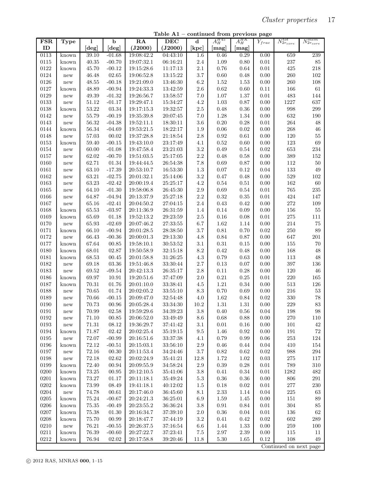Table A1 – continued from previous page

| <b>FSR</b>    | Type                 | l         | $\mathbf b$ | RA                           | <b>DEC</b> | $\mathbf d$     | $A_H^{H45}$      | $A_H^{HK}$ | $\overline{Y}_{frac}$ | $N_{2r_{core}}^{tot}$  | $N_{2r_{core}}^{mem}$ |
|---------------|----------------------|-----------|-------------|------------------------------|------------|-----------------|------------------|------------|-----------------------|------------------------|-----------------------|
| ID            |                      | [deg]     | [deg]       | (J2000)                      | (J2000)    | [kpc]           | $[\mathrm{mag}]$ | [mag]      |                       |                        |                       |
| 0113          | known                | 39.10     | $-01.68$    | 19:08:42.2                   | 04:43:10   | 1.6             | 0.46             | 0.29       | 0.00                  | 659                    | 239                   |
| 0115          | known                | $40.35\,$ | $-00.70$    | 19:07:32.1                   | 06:16:21   | $2.4\,$         | 1.09             | $0.80\,$   | 0.01                  | 237                    | $85\,$                |
| $\sqrt{0122}$ | known                | 45.70     | $-00.12$    | 19:15:28.6                   | 11:17:13   | $2.1\,$         | $0.76\,$         | 0.64       | 0.01                  | $425\,$                | 218                   |
| 0124          |                      | 46.48     | $02.65\,$   |                              |            | 3.7             | 0.60             |            | 0.00                  | $260\,$                | $102\,$               |
| $\,0126\,$    | new                  |           |             | 19:06:52.8                   | 13:15:22   |                 |                  | 0.48       | 0.00                  | $260\,$                |                       |
|               | new                  | 48.55     | $-00.18$    | 19:21:09.0                   | 13:46:30   | 6.2             | 1.52             | 1.53       |                       |                        | 108                   |
| 0127          | known                | 48.89     | $-00.94$    | 19:24:33.3                   | 13:42:59   | $2.6\,$         | $\rm 0.62$       | 0.60       | 0.11                  | 166                    | 61                    |
| 0129          | new                  | 49.39     | $-01.32$    | 19:26:56.7                   | 13:58:57   | 7.0             | $1.07\,$         | 1.37       | $0.01\,$              | $\!483$                | 144                   |
| $\,0133\,$    | new                  | 51.12     | $-01.17$    | 19:29:47.1                   | 15:34:27   | $4.2\,$         | $1.03\,$         | 0.87       | 0.00                  | 1227                   | 637                   |
| 0138          | known                | $53.22\,$ | 03.34       | 19:17:15.3                   | 19:32:57   | $2.5\,$         | $0.48\,$         | 0.36       | 0.00                  | 998                    | 299                   |
| 0142          | new                  | 55.79     | $-00.19$    | 19:35:39.8                   | 20:07:45   | 7.0             | 1.28             | 1.34       | 0.00                  | 632                    | 190                   |
| 0143          | new                  | 56.32     | $-04.38$    | 19:52:11.1                   | 18:30:11   | 3.6             | $0.20\,$         | 0.28       | 0.01                  | ${\bf 264}$            | 48                    |
| 0144          | known                | $56.34\,$ | $-04.69$    | 19:53:21.5                   | 18:22:17   | 1.9             | $0.06\,$         | 0.02       | 0.00                  | $268\,$                | 46                    |
| 0148          | new                  | $57.03\,$ | 00.02       | 19:37:28.8                   | 21:18:54   | $2.8\,$         | 0.92             | $\,0.61\,$ | 0.00                  | $120\,$                | $55\,$                |
| 0153          | known                | 59.40     | $-00.15$    | 19:43:10.0                   | 23:17:49   | 4.1             | $\rm 0.52$       | 0.60       | 0.00                  | $123\,$                | 69                    |
| 0154          | new                  | 60.00     | $-01.08$    | 19:47:58.4                   | 23:21:03   | $3.2\,$         | 0.49             | 0.54       | 0.02                  | $653\,$                | $\bf 234$             |
| 0157          | new                  | 62.02     | $-00.70$    | 19:51:03.5                   | 25:17:05   | $2.2\,$         | 0.48             | 0.58       | 0.00                  | $389\,$                | 152                   |
| 0160          | new                  | 62.71     | 01.34       | 19:44:44.5                   | 26:54:38   | 7.8             | 0.69             | 0.87       | 0.00                  | $112\,$                | $50\,$                |
| 0161          | new                  | 63.10     | $-17.39$    | 20:53:10.7                   | 16:53:30   | $1.3\,$         | $0.07\,$         | 0.12       | 0.04                  | $133\,$                | $\sqrt{49}$           |
| 0162          | new                  | 63.21     | $-02.75$    | 20:01:32.1                   | 25:14:06   | $3.2\,$         | $0.47\,$         | 0.48       | 0.00                  | $529\,$                | 102                   |
| 0163          | new                  | 63.23     | $-02.42$    | 20:00:19.4                   | 25:25:17   | $4.2\,$         | $0.54\,$         | 0.51       | 0.00                  | 162                    | 60                    |
| 0165          | new                  | 64.10     | $-01.30$    | 19:58:06.8                   | 26:45:30   | $2.9\,$         | $0.69\,$         | 0.54       | $0.01\,$              | $765\,$                | 235                   |
| 0166          | new                  | 64.87     | $-04.94$    | 20:13:37.9                   | 25:27:18   | $2.2\,$         | $\rm 0.32$       | 0.35       | $0.01\,$              | 424                    | 147                   |
| 0167          | new                  | 65.16     | $-02.41$    | 20:04:50.2                   | 27:04:15   | $2.4\,$         | 0.43             | 0.42       | 0.00                  | $\bf 272$              | 109                   |
| 0168          | known                | 65.53     | $-03.97$    | 20:11:36.9                   | 26:31:59   | 1.4             | $0.14\,$         | 0.09       | 0.00                  | $156\,$                | 55                    |
| 0169          | known                | 65.69     | 01.18       | 19:52:13.2                   | 29:23:59   | $2.5\,$         | $0.16\,$         | 0.08       | $\rm 0.01$            | $275\,$                | $111\,$               |
| 0170          | new                  | 65.93     | $-02.69$    | 20:07:46.2                   | 27:33:55   | 6.7             | $1.62\,$         | 1.14       | 0.00                  | 214                    | $75\,$                |
| 0171          | known                | 66.10     | $-00.94$    | 20:01:28.5                   | 28:38:50   | $3.7\,$         | $\rm 0.81$       | 0.70       | 0.02                  | $250\,$                | 89                    |
| 0172          | new                  | 66.43     | $-00.36$    | 20:00:01.3                   | 29:13:30   | 4.8             | $\rm 0.84$       | 0.87       | 0.00                  | 647                    | $201\,$               |
| 0177          | known                | 67.64     | 00.85       | 19:58:10.1                   | 30:53:52   | 3.1             | $\rm 0.31$       | 0.15       | 0.00                  | $155\,$                | 70                    |
| 0180          | known                | 68.01     | 02.87       | 19:50:58.9                   | 32:15:18   | $8.2\,$         | 0.42             | 0.48       | 0.00                  | 168                    | 48                    |
| 0181          | known                | 68.53     | 00.45       | 20:01:58.8                   | 31:26:25   | $4.3\,$         | 0.79             | 0.63       | 0.00                  | $113\,$                | 48                    |
| 0182          | new                  | 69.18     | 03.36       | 19:51:46.8                   | 33:30:44   | $2.7\,$         | 0.13             | 0.07       | 0.00                  | $397\,$                | 136                   |
| 0183          | new                  | 69.52     | $-09.54$    | 20:42:13.3                   | 26:35:17   | 2.8             | 0.11             | 0.28       | 0.00                  | 120                    | 46                    |
| 0186          | known                | 69.97     | 10.91       | 19:20:51.6                   | 37:47:09   | $2.0\,$         | $\rm 0.21$       | $0.25\,$   | $0.01\,$              | $220\,$                | 165                   |
| 0187          | known                | 70.31     | 01.76       | 20:01:10.0                   | 33:38:41   | 4.5             | $1.21\,$         | 0.34       | 0.00                  | $513\,$                | $126\,$               |
| 0188          | new                  | 70.65     | 01.74       | 20:02:05.2                   | 33:55:10   | $\!\!\!\!\!8.3$ | $0.70\,$         | 0.69       | 0.00                  | $216\,$                | $53\,$                |
| 0189          | new                  | 70.66     | $-00.15$    | 20:09:47.0                   | 32:54:48   | $4.0\,$         | $1.62\,$         | 0.84       | 0.02                  | $330\,$                | 78                    |
| 0190          | new                  | 70.73     | 00.96       | 20:05:28.4                   | 33:34:30   | 10.2            | 1.31             | 1.31       | 0.00                  | 229                    | $83\,$                |
| 0191          | new                  | 70.99     | $02.58\,$   | 19:59:29.6                   | 34:39:23   | $3.8\,$         | $0.40\,$         | $0.56\,$   | $0.04\,$              | 198                    | $98\,$                |
| 0192          | $\operatorname{new}$ | 71.10     | 00.85       | 20:06:52.0                   | 33:49:49   | 8.6             | 0.68             | 0.88       | 0.00                  | 270                    | 110                   |
| $\,0193\,$    | $\operatorname{new}$ | 71.31     | 08.12       | 19:36:29.7                   | 37:41:42   | 3.1             | 0.01             | 0.16       | 0.00                  | 101                    | $42\,$                |
| 0194          | known                | 71.87     | 02.42       | 20:02:25.4                   | 35:19:15   | $\,9.5$         | 1.46             | 0.92       | 0.00                  | $191\,$                | $72\,$                |
| 0195          | $\operatorname{new}$ | $72.07\,$ | $-00.99$    | $20{:}16{:}51.6$             | 33:37:38   | 4.1             | 0.79             | 0.99       | 0.06                  | $253\,$                | 124                   |
| $\,0196\,$    | known                | $72.12\,$ | $-00.51$    | 20:15:03.1                   | 33:56:10   | $2.9\,$         | 0.46             | 0.44       | 0.04                  | 410                    | 154                   |
| 0197          | $\operatorname{new}$ | 72.16     | 00.30       | 20:11:53.4                   | 34:24:46   | $3.7\,$         | 0.82             | 0.62       | 0.02                  | 988                    | 294                   |
| $\,0198\,$    | $\operatorname{new}$ | 72.18     | 02.62       | 20:02:24.9                   | 35:41:21   | 12.8            | 1.72             | 1.02       | 0.03                  | $275\,$                | 117                   |
| 0199          | known                | $72.40\,$ | $\,00.94\,$ | $20\!\!:\!\!09\!\!:\!\!55.9$ | 34:58:24   | $2.9\,$         | $0.39\,$         | $0.28\,$   | $0.01\,$              | 789                    | $310\,$               |
| 0200          | known                | $73.25\,$ | 00.95       | $20{:}12{:}10.5$             | 35:41:06   | $3.8\,$         | 0.41             | 0.34       | 0.01                  | 1282                   | 482                   |
| $\,0201\,$    | known                | $73.27\,$ | 01.17       | 20:11:18.1                   | 35:49:24   | $5.3\,$         | 0.36             | 0.36       | 0.00                  | 806                    | 291                   |
| $\,0202\,$    | known                | $73.99\,$ | 08.49       | 19:41:18.1                   | 40:12:02   | 1.5             | $0.18\,$         | $\rm 0.02$ | 0.01                  | $277\,$                | $230\,$               |
| 0204          | new                  | 74.78     | 00.61       | 20:17:46.0                   | 36:45:60   | 8.1             | 2.33             | 1.14       | 0.04                  | $225\,$                | 63                    |
| $\,0205\,$    | known                | $75.24\,$ | $-00.67$    | 20:24:21.3                   | 36:25:01   | 6.9             | 1.59             | 1.45       | 0.00                  | 151                    | 89                    |
| $0206\,$      | known                | $75.35\,$ | $-00.49$    | $20\!\!:\!\!23\!\!:\!\!55.2$ | 36:36:24   | $3.8\,$         | $0.91\,$         | 0.84       | 0.01                  | $304\,$                | 85                    |
| $0207\,$      | known                | $75.38\,$ | 01.30       | 20:16:34.7                   | 37:39:10   | $2.0\,$         | 0.36             | 0.04       | 0.01                  | 136                    | $62\,$                |
| 0208          | known                | $75.70\,$ | 00.99       | 20:18:47.7                   | 37:44:19   | $3.2\,$         | $0.41\,$         | 0.42       | 0.02                  | 602                    | 289                   |
| $0210\,$      | new                  | $76.21\,$ | $-00.55$    | 20:26:37.5                   |            |                 | 1.44             | 1.33       | 0.00                  | $259\,$                | 100                   |
|               |                      | 76.39     |             |                              | 37:16:54   | 6.6             |                  |            |                       |                        |                       |
| 0211          | known                |           | $-00.60$    | 20:27:22.7                   | 37:23:41   | 7.5             | 2.97             | 2.39       | 0.00                  | 115<br>108             | 11<br>49              |
| 0212          | known                | 76.94     | 02.02       | 20:17:58.8                   | 39:20:46   | 11.8            | 5.30             | 1.65       | 0.12                  | Continued on next page |                       |
|               |                      |           |             |                              |            |                 |                  |            |                       |                        |                       |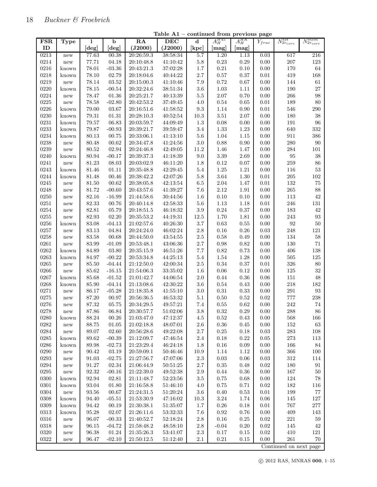| <b>FSR</b> | <b>Type</b>          | ı                    | $\overline{b}$              | $\overline{RA}$              | DEC      | $\mathbf d$ | $A_H^{H45}$ | $A_H^{HK}$ | $Y_{frac}$ | $N_{2r_{core}}^{tot}$  | $N_{2r_{core}}^{mem}$ |
|------------|----------------------|----------------------|-----------------------------|------------------------------|----------|-------------|-------------|------------|------------|------------------------|-----------------------|
| ID         |                      | [deg]                | [deg]                       | (J2000)                      | (J2000)  | [kpc]       | [mag]       | [mag]      |            |                        |                       |
| 0213       | new                  | 77.63                | 00.38                       | 20:26:59.3                   | 38:58:34 | 5.7         | 1.20        | 1.13       | 0.03       | 617                    | $\overline{216}$      |
| 0214       | new                  | 77.71                | 04.18                       | 20:10:48.8                   | 41:10:42 | $5.8\,$     | $0.23\,$    | $0.29\,$   | 0.00       | 207                    | $123\,$               |
| 0216       | known                | $78.01\,$            | $-03.36$                    | 20:43:21.3                   | 37:02:28 | $1.7\,$     | $\rm 0.21$  | 0.10       | $0.00\,$   | $170\,$                | $64\,$                |
| 0218       | known                | 78.10                | 02.79                       | 20:18:04.6                   | 40:44:22 | $2.7\,$     | $0.57\,$    | $0.37\,$   | $\rm 0.01$ | 419                    | 168                   |
| 0219       | new                  | 78.14                | $\ensuremath{03.52}\xspace$ | 20:15:00.3                   | 41:10:46 | 7.9         | $0.72\,$    | $0.67\,$   | 0.00       | 144                    | $61\,$                |
| 0220       | known                | 78.15                | $-00.54$                    | 20:32:24.6                   | 38:51:34 | $3.6\,$     | $1.03\,$    | 1.11       | $0.00\,$   | 190                    | 27                    |
| 0224       | new                  | 78.47                | $01.36\,$                   | 20:25:21.7                   | 40:13:39 | $5.5\,$     | $2.07\,$    | 0.70       | $0.00\,$   | 266                    | 98                    |
| 0225       | new                  | 78.58                | $-02.80$                    | 20:42:53.2                   | 37:49:45 | 4.0         | $0.54\,$    | 0.65       | $\rm 0.01$ | 189                    | 80                    |
| 0226       | known                | 79.00                | 03.67                       | 20:16:51.6                   | 41:58:52 | $\rm 9.3$   | $1.14\,$    | 0.90       | $\rm 0.01$ | 546                    | $\,290$               |
| 0230       | known                | 79.31                | 01.31                       | 20:28:10.3                   | 40:52:54 | $10.3\,$    | $3.51\,$    | 2.07       | 0.00       | 180                    | 38                    |
| $0231\,$   | known                | $79.57\,$            | 06.83                       | 20:03:59.7                   | 44:09:49 | $1.3\,$     | $0.08\,$    | $0.00\,$   | $0.00\,$   | 191                    | $96\,$                |
| 0233       | known                | 79.87                | $-00.93$                    | 20:39:21.7                   | 39:59:47 | $3.4\,$     | $1.33\,$    | 1.23       | $0.00\,$   | 640                    | $332\,$               |
| 0234       | known                | $80.13\,$            | 00.75                       | $20\!\!:\!\!33\!\!:\!\!06.1$ | 41:13:10 | $5.6\,$     | $1.04\,$    | $1.15\,$   | 0.00       | 911                    | 386                   |
| 0238       | new                  | 80.48                | 00.62                       | 20:34:47.8                   | 41:24:56 | $3.0\,$     | 0.88        | 0.90       | 0.00       | $280\,$                | $90\,$                |
| 0239       | new                  | $80.52\,$            | 02.94                       | 20:24:46.8                   | 42:49:05 | 11.2        | $1.46\,$    | 1.47       | 0.00       | 284                    | $101\,$               |
| 0240       | known                | 80.94                | $-00.17$                    | 20:39:37.3                   | 41:18:39 | $9.0\,$     | $3.39\,$    | 2.69       | 0.00       | $\rm 95$               | $38\,$                |
| 0241       | new                  | $81.23\,$            | 08.03                       | 20:03:02.9                   | 46:11:20 | $1.8\,$     | $0.12\,$    | $0.07\,$   | 0.00       | 259                    | $86\,$                |
| 0243       | known                | 81.46                | 01.11                       | 20:35:48.8                   | 42:29:45 | $5.4\,$     | $1.25\,$    | $1.21\,$   | $0.00\,$   | $116\,$                | $53\,$                |
| 0244       | known                | 81.48                | 00.46                       | 20:38:42.2                   | 42:07:26 | $5.8\,$     | $3.64\,$    | 1.30       | $\rm 0.01$ | 205                    | $102\,$               |
| 0245       |                      | $81.50\,$            | 00.62                       |                              |          |             | $2.04\,$    |            | $\rm 0.01$ | 132                    | 75                    |
|            | new                  |                      |                             | 20:38:05.8                   | 42:13:54 | $6.5\,$     |             | 1.47       |            | 265                    |                       |
| 0248       | new                  | 81.72                | $-00.60$                    | 20:43:57.6                   | 41:39:27 | $7.6\,$     | $2.12\,$    | 1.91       | 0.00       |                        | 88                    |
| $0250\,$   | new                  | 82.16                | $-16.99$                    | 21:44:58.6                   | 30:44:56 | 1.6         | $0.10\,$    | 0.10       | 0.00       | $113\,$                | 42                    |
| $0251\,$   | new                  | 82.33                | 00.76                       | 20:40:14.8                   | 42:58:33 | $5.6\,$     | $1.13\,$    | 1.18       | $0.01\,$   | 246                    | $131\,$               |
| 0254       | new                  | 82.81                | 05.79                       | $20{:}18{:}51.5$             | 46:18:32 | $\!.9$      | $0.24\,$    | $0.37\,$   | $0.00\,$   | 183                    | $42\,$                |
| 0255       | new                  | 82.93                | 02.20                       | 20:35:53.2                   | 44:19:31 | $12.5\,$    | $1.70\,$    | $1.81\,$   | 0.00       | 243                    | $\rm 93$              |
| 0256       | known                | 83.08                | $-04.13$                    | 21:02:57.6                   | 40:26:30 | 3.7         | $0.63\,$    | 0.55       | 0.00       | $\rm 92$               | $50\,$                |
| 0257       | new                  | 83.13                | 04.84                       | 20:24:24.0                   | 46:02:24 | $2.8\,$     | $0.16\,$    | 0.26       | 0.03       | 248                    | $121\,$               |
| 0258       | new                  | 83.58                | 00.68                       | 20:44:50.0                   | 43:54:55 | $2.5\,$     | $0.58\,$    | 0.49       | 0.00       | 134                    | $58\,$                |
| $0261\,$   | new                  | $83.99\,$            | $-01.09$                    | 20:53:48.1                   | 43:06:36 | $2.7\,$     | $0.98\,$    | 0.82       | 0.00       | $130\,$                | $71\,$                |
| 0262       | known                | 84.89                | 03.80                       | 20:35:15.9                   | 46:51:26 | $7.7\,$     | $\rm 0.82$  | 0.73       | $0.00\,$   | 406                    | 138                   |
| 0263       | known                | 84.97                | $-00.22$                    | 20:53:34.8                   | 44:25:13 | $5.4\,$     | 1.54        | 1.28       | 0.00       | $505\,$                | $125\,$               |
| 0265       | new                  | 85.50                | $-04.44$                    | 21:12:50.0                   | 42:00:34 | $2.5\,$     | $0.34\,$    | $0.37\,$   | $\rm 0.01$ | 326                    | 80                    |
| 0266       | new                  | 85.62                | $-16.15$                    | 21:54:06.3                   | 33:35:02 | 1.6         | $0.06\,$    | 0.12       | 0.00       | $125\,$                | $32\,$                |
| 0267       | known                | 85.68                | $-01.52$                    | 21:01:42.7                   | 44:06:54 | $2.0\,$     | $0.44\,$    | $0.36\,$   | 0.06       | $151\,$                | 48                    |
| 0268       | known                | 85.90                | $-04.14$                    | $21{:}13{:}08.6$             | 42:30:22 | $3.6\,$     | $0.54\,$    | $0.43\,$   | $0.00\,$   | 218                    | $182\,$               |
| 0271       | new                  | 86.17                | $-05.28$                    | 21:18:35.8                   | 41:55:10 | $3.0\,$     | $0.31\,$    | 0.33       | 0.00       | 291                    | $\boldsymbol{93}$     |
| 0275       | new                  | $87.20\,$            | 00.97                       | 20:56:36.5                   | 46:53:32 | 5.1         | 0.50        | 0.52       | $\rm 0.02$ | $777\,$                | $\,238$               |
| 0276       | new                  | 87.32                | 05.75                       | 20:34:29.5                   | 49:57:21 | 7.4         | 0.55        | 0.62       | 0.00       | 242                    | $74\,$                |
| 0278       | new                  | 87.86                | 06.84                       | 20:30:57.7                   | 51:02:06 | $3.8\,$     | 0.32        | 0.29       | 0.00       | 288                    | 86                    |
| 0280       | known                | $88.24\,$            | $00.26\,$                   | $21{:}03{:}47.0\,$           | 47:12:37 | 4.5         | 0.52        | 0.43       | $0.00\,$   | 568                    | 166                   |
| 0282       | new                  | 88.75                | 01.05                       | $21{:}02{:}18.8$             | 48:07:01 | $2.6\,$     | $0.36\,$    | 0.45       | $0.00\,$   | $152\,$                | $63\,$                |
| $0284\,$   | new                  | 89.07                | 02.60                       | 20:56:28.6                   | 49:22:08 | $2.7\,$     | $0.25\,$    | 0.18       | 0.03       | $\bf 283$              | 108                   |
| $\,0285\,$ | known                | $89.62\,$            | $-00.39$                    | 21:12:09.7                   | 47:46:54 | $2.4\,$     | $0.18\,$    | $0.22\,$   | $0.05\,$   | $\bf 273$              | 113                   |
| 0286       | known                | 89.98                | $-02.73$                    | 21:23:29.4                   | 46:24:18 | $1.8\,$     | 0.16        | 0.09       | 0.00       | 166                    | $84\,$                |
| 0290       | new                  | $\boldsymbol{90.42}$ | 03.19                       | 20:59:09.1                   | 50:46:46 | 10.9        | 1.14        | 1.12       | 0.00       | 366                    | 100                   |
| $\,0293$   | new                  | $91.03\,$            | $-02.75$                    | 21:27:56.7                   | 47:07:06 | $2.3\,$     | $0.03\,$    | $0.06\,$   | $\rm 0.03$ | $312\,$                | 114                   |
| 0294       | new                  | 91.27                | 02.34                       | 21:06:44.9                   | 50:51:25 | $2.7\,$     | 0.35        | 0.48       | 0.02       | 180                    | $\rm 91$              |
| 0295       | new                  | 92.32                | $-00.16$                    | 21:22:39.0                   | 49:52:38 | $2.9\,$     | 0.44        | 0.36       | 0.00       | $167\,$                | $50\,$                |
| $\,0300\,$ | known                | 92.94                | 02.81                       | 21:11:48.7                   | 52:23:56 | $3.5\,$     | $0.75\,$    | $\,0.68\,$ | $0.00\,$   | $124\,$                | $78\,$                |
| 0301       | known                | 93.04                | 01.80                       | 21:16:58.8                   | 51:46:10 | 4.0         | 0.75        | $0.71\,$   | $0.02\,$   | 182                    | 116                   |
| 0304       | $\operatorname{new}$ | 93.56                | 00.67                       | 21:24:31.5                   | 51:20:24 | $3.6\,$     | 0.40        | 0.53       | $0.01\,$   | 199                    | $77\,$                |
| $\,0308\,$ | known                | 94.40                | $-05.51$                    | 21:53:30.9                   | 47:16:02 | $10.3\,$    | $3.24\,$    | 1.74       | $0.06\,$   | $145\,$                | 127                   |
| 0309       | known                | 94.42                | 00.19                       | $21\!\!:\!\!30\!\!:\!\!38.1$ | 51:35:07 | $1.7\,$     | $0.26\,$    | 0.18       | 0.01       | 767                    | $277\,$               |
| $\,0313\,$ | known                | 95.28                | 02.07                       | 21:26:11.6                   | 53:32:33 | $7.6\,$     | 0.92        | 0.76       | $0.00\,$   | 409                    | 143                   |
| $\,0316\,$ | new                  | 96.07                | $-00.33$                    | 21:40:52.7                   | 52:18:24 | $2.8\,$     | $0.16\,$    | $0.25\,$   | $\rm 0.02$ | $221\,$                | $59\,$                |
| 0318       | new                  | 96.15                | $-04.72$                    | 21:58:48.2                   | 48:58:10 | $2.8\,$     | $-0.04$     | $0.20\,$   | 0.02       | 145                    | 42                    |
| $\,0320\,$ | new                  | 96.38                | 01.24                       | 21:35:26.3                   | 53:41:07 | $2.3\,$     | 0.17        | 0.15       | 0.02       | 410                    | $121\,$               |
| 0322       | new                  | 96.47                | $-02.10$                    | $21{:}50{:}12.5\,$           | 51:12:40 | $2.1\,$     | $\rm 0.21$  | $0.15\,$   | $0.00\,$   | $261\,$                | 70                    |
|            |                      |                      |                             |                              |          |             |             |            |            | Continued on next page |                       |
|            |                      |                      |                             |                              |          |             |             |            |            |                        |                       |

Table A1 – continued from previous page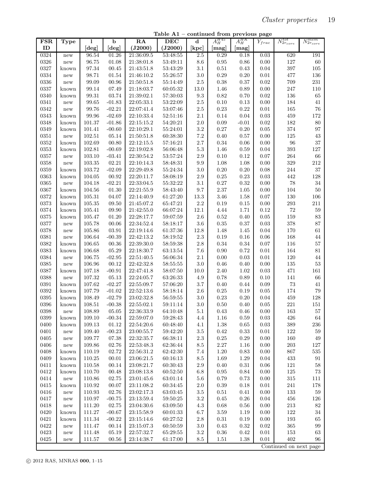Table A1 – continued from previous page

| <b>FSR</b> | Type                 | 1                    | $\mathbf b$          | RA                       | <b>DEC</b> | $\mathbf d$        | $A_H^{H45}$      | $A_H^{HK}$ | $\bar{Y}_{frac}$ | $N_{2r_{core}}^{tot}$  | $N_{2r_{core}}^{mem}$ |
|------------|----------------------|----------------------|----------------------|--------------------------|------------|--------------------|------------------|------------|------------------|------------------------|-----------------------|
| ID         |                      | [deg]                | [deg]                | (J2000)                  | (J2000)    | [kpc]              | [mag]            | [mag]      |                  |                        |                       |
| 0324       | new                  | 96.54                | 01.26                | 21:36:09.5               | 53:48:55   | 2.5                | 0.29             | 0.18       | 0.03             | 620                    | 191                   |
| 0326       | new                  | 96.75                | 01.08                | 21:38:01.8               | 53:49:11   | $8.6\,$            | $\rm 0.95$       | $0.86\,$   | 0.00             | 127                    | $60\,$                |
| 0327       | known                | 97.34                | 00.45                | 21:43:51.8               | 53:43:29   | 3.1                | $0.51\,$         | 0.43       | $0.04\,$         | $397\,$                | $105\,$               |
| 0334       | new                  | 98.71                | $\ensuremath{01.54}$ | 21:46:10.2               | 55:26:57   | $3.0\,$            | $0.29\,$         | $0.20\,$   | $\rm 0.01$       | 477                    | 136                   |
| 0336       | new                  | 99.09                | 00.96                | 21:50:51.8               | 55:14:49   | $2.5\,$            | $0.38\,$         | 0.37       | 0.02             | 709                    | $231\,$               |
| 0337       | known                | 99.14                | 07.49                | 21:18:03.7               | 60:05:32   | $13.0\,$           | 1.46             | 0.89       | 0.00             | $247\,$                | $110\,$               |
| 0340       | known                | $\boldsymbol{99.31}$ | 03.74                | 21:39:02.1               | 57:30:03   | $\,9.3$            | $\rm 0.82$       | $0.70\,$   | 0.02             | 136                    | 65                    |
| 0341       | new                  | 99.65                | $-01.83$             | 22:05:33.1               | 53:22:09   | $2.5\,$            | 0.10             | 0.13       | 0.00             | 184                    | $41\,$                |
| 0342       | new                  | 99.76                | $-02.21$             | 22:07:41.4               | 53:07:46   | $2.5\,$            | $0.23\,$         | 0.22       | $0.01\,$         | $165\,$                | 76                    |
| 0343       | known                | 99.96                | $-02.69$             | 22:10:33.4               | 52:51:16   | $2.1\,$            | 0.14             | 0.04       | 0.03             | $459\,$                | 172                   |
|            |                      |                      |                      |                          | 54:20:21   |                    |                  |            | 0.02             | 182                    |                       |
| 0348       | known                | 101.37               | $-01.86$             | 22:15:15.2               |            | $2.0\,$<br>$3.2\,$ | 0.09<br>$0.27\,$ | $-0.01$    | $0.05\,$         |                        | 80<br>$\rm 97$        |
| 0349       | known                | 101.41               | $-00.60$             | 22:10:29.1               | 55:24:01   |                    |                  | 0.20       |                  | $374\,$                |                       |
| 0351       | new                  | $102.51\,$           | 05.14                | 21:50:51.8               | 60:38:30   | $7.2\,$            | 0.40             | 0.57       | 0.00             | $125\,$                | $43\,$                |
| 0352       | known                | 102.69               | 00.80                | 22:12:15.5               | 57:16:21   | $2.7\,$            | $0.34\,$         | 0.06       | 0.00             | $96\,$                 | $37\,$                |
| $\,0353\,$ | known                | 102.81               | $-00.69$             | 22:19:02.8               | 56:06:48   | $5.3\,$            | 1.46             | 0.59       | 0.04             | $393\,$                | $127\,$               |
| $\,0357\,$ | new                  | 103.10               | $-03.41$             | 22:30:54.2               | 53:57:24   | $2.9\,$            | $0.10\,$         | 0.12       | 0.07             | ${\bf 264}$            | 66                    |
| 0358       | new                  | $103.35\,$           | 02.21                | 22:10:14.3               | 58:48:31   | $\,9.9$            | 1.08             | 1.08       | 0.00             | $329\,$                | $212\,$               |
| 0359       | known                | 103.72               | $-02.09$             | 22:29:49.8               | 55:24:34   | $3.0\,$            | $0.20\,$         | $0.20\,$   | 0.08             | $\bf 244$              | 37                    |
| 0363       | known                | 104.05               | 00.92                | 22:20:11.7               | 58:08:19   | $2.9\,$            | 0.25             | 0.23       | 0.03             | 442                    | 128                   |
| 0365       | new                  | 104.18               | $-02.21$             | 22:33:04.5               | 55:32:22   | 3.1                | $0.27\,$         | 0.32       | 0.00             | 78                     | $34\,$                |
| 0367       | known                | 104.56               | 01.30                | 22:21:55.9               | 58:43:40   | $9.7\,$            | $2.37\,$         | 1.05       | 0.00             | $104\,$                | $50\,$                |
| 0372       | known                | 105.31               | 04.07                | 22:14:40.9               | 61:27:20   | $13.3\,$           | 3.46             | 1.58       | 0.07             | $130\,$                | 106                   |
| $\,0373\,$ | known                | 105.35               | 09.50                | 21:45:07.2               | 65:47:21   | $2.2\,$            | $0.19\,$         | $0.15\,$   | $0.00\,$         | $\,293$                | $211\,$               |
| $\,0374$   | known                | 105.41               | 09.90                | 21:42:55.0               | 66:07:24   | $12.1\,$           | 4.44             | 1.71       | 0.12             | $72\,$                 | $59\,$                |
| 0375       | known                | 105.47               | 01.20                | 22:28:17.7               | 59:07:59   | $2.6\,$            | $\rm 0.52$       | 0.40       | 0.05             | $159\,$                | $83\,$                |
| 0377       | new                  | 105.78               | 00.06                | 22:34:52.4               | 58:18:17   | $3.6\,$            | $0.35\,$         | 0.37       | 0.03             | 378                    | $87\,$                |
| 0378       | new                  | 105.86               | 03.91                | 22:19:14.6               | 61:37:36   | 12.8               | 1.48             | 1.45       | 0.04             | 170                    | $61\,$                |
| 0381       | new                  | 106.64               | $-00.39$             | 22:42:13.2               | 58:19:52   | $2.3\,$            | 0.19             | 0.16       | 0.06             | 168                    | $44\,$                |
| $\,0382\,$ | known                | 106.65               | 00.36                | 22:39:30.0               | 58:59:38   | $2.8\,$            | $0.34\,$         | 0.34       | 0.07             | $116\,$                | 57                    |
| 0383       | known                | 106.68               | 05.29                | 22:18:30.7               | 63:13:54   | 7.6                | $0.90\,$         | 0.72       | $\rm 0.01$       | $164\,$                | $81\,$                |
| 0384       | new                  | 106.75               | $-02.95$             | 22:51:40.5               | 56:06:34   | $2.1\,$            | 0.00             | 0.03       | 0.01             | $120\,$                | $44\,$                |
| 0385       | new                  | 106.96               | 00.12                | 22:42:32.8               | 58:55:55   | $3.0\,$            | $0.46\,$         | 0.40       | $0.00\,$         | $135\,$                | $53\,$                |
| 0387       | known                | 107.18               | $-00.91$             | 22:47:41.8               | 58:07:50   | $10.0\,$           | 2.40             | 1.02       | 0.03             | $471\,$                | 161                   |
| 0388       | new                  | 107.32               | 05.13                | 22:24:05.7               | 63:26:33   | 4.9                | $0.78\,$         | 0.89       | 0.10             | $141\,$                | 66                    |
| $\!0391$   | known                | 107.62               | $-02.27$             | 22:55:09.7               | 57:06:20   | $3.7\,$            | $0.40\,$         | 0.44       | 0.09             | $73\,$                 | 41                    |
| 0392       | known                | 107.79               | $-01.02$             | 22:52:13.6               | 58:18:14   | $2.6\,$            | $0.25\,$         | 0.19       | $0.05\,$         | $174\,$                | $79\,$                |
| 0395       | known                | 108.49               | $-02.79$             | 23:02:32.8               | 56:59:55   | 3.0                | $0.23\,$         | 0.20       | 0.04             | $459\,$                | 128                   |
| 0396       | known                | 108.51               | $-00.38$             | 22:55:02.1               | 59:11:14   | 3.0                | 0.50             | 0.40       | 0.05             | $221\,$                | $151\,$               |
| 0398       | new                  | 108.89               | 05.05                | 22:36:33.9               | 64:10:48   | 5.1                | 0.43             | 0.46       | 0.00             | 163                    | 57                    |
| 0399       | known                | 109.10               | $-00.34$             | 22:59:07.0               | 59:28:43   | 4.4                | 1.16             | 0.59       | 0.03             | 426                    | 64                    |
| 0400       | known                | 109.13               | 01.12                | 22:54:20.6               | 60:48:40   | 4.1                | 1.38             | 0.65       | $\rm 0.03$       | $389\,$                | $\,236$               |
| 0401       | $\operatorname{new}$ | 109.40               | $-00.23$             | 23:00:55.7               | 59:42:20   | $3.5\,$            | 0.42             | 0.33       | 0.01             | $122\,$                | 59                    |
| 0405       | new                  | 109.77               | 07.38                | 22:32:35.7               | 66:38:11   | $2.3\,$            | $0.25\,$         | $\rm 0.29$ | 0.00             | $160\,$                | $49\,$                |
| 0406       | $\operatorname{new}$ | 109.86               | 02.76                | 22:53:48.3               | 62:36:44   | 8.5                | 2.27             | 1.16       | 0.00             | 203                    | 127                   |
| 0408       | known                | 110.19               | 02.72                | 22:56:31.2               | 62:42:30   | 7.4                | 1.20             | $0.83\,$   | 0.00             | 867                    | $535\,$               |
| 0409       | known                | 110.25               | 00.01                | 23:06:21.5               | 60:16:13   | $\!\!\!\!\!8.5$    | 1.69             | $1.29\,$   | 0.04             | 433                    | 91                    |
| 0411       | known                | 110.58               | $\rm 00.14$          | 23:08:21.7               | 60:30:43   | $2.9\,$            | 0.40             | 0.31       | 0.06             | $121\,$                | 58                    |
| 0412       | known                | 110.70               | 00.48                | 23:08:13.8               | 60:52:50   | 6.8                | 0.95             | 0.84       | 0.00             | 125                    | 73                    |
| 0414       | $\operatorname{new}$ | 110.86               | 02.75                | 23:01:45.6               | 63:01:14   | 5.6                | 0.79             | $0.73\,$   | 0.00             | $315\,$                | 111                   |
| 0415       |                      | 110.92               | 00.07                |                          | 60:34:45   | $2.0\,$            | 0.39             | 0.18       | 0.01             | 241                    |                       |
| 0416       | known                | 110.93               | 02.76                | 23:11:08.2<br>23:02:17.3 | 63:03:45   | $3.5\,$            | $0.51\,$         | 0.41       | 0.00             | 133                    | 178<br>59             |
| 0417       | new                  | 110.97               | $-00.75$             | $23:13:59.4\,$           |            | $3.2\,$            | $0.45\,$         | $0.26\,$   | 0.04             | 456                    | $126\,$               |
|            | new                  |                      |                      |                          | 59:50:25   |                    |                  |            |                  |                        |                       |
| 0418       | $\operatorname{new}$ | 111.20               | 02.75                | 23:04:30.6               | 63:09:50   | $4.3\,$            | 0.68             | 0.56       | $0.00\,$         | $213\,$                | 82                    |
| 0420       | known                | 111.27               | $-00.67$             | 23:15:58.9               | 60:01:33   | $6.7\,$            | $3.59\,$         | 1.19       | 0.00             | $122\,$                | $34\,$                |
| 0421       | known                | 111.34               | $-00.22$             | 23:15:14.6               | 60:27:52   | $2.8\,$            | $0.31\,$         | $0.19\,$   | 0.00             | 193                    | 65                    |
| 0422       | $\operatorname{new}$ | 111.47               | 00.14                | 23:15:07.3               | 60:50:59   | 3.0                | 0.43             | 0.32       | 0.02             | $365\,$                | 99                    |
| 0423       | new                  | 111.48               | 05.19                | 22:57:32.7               | 65:29:55   | $3.2\,$            | $0.36\,$         | 0.42       | 0.01             | 153                    | 63                    |
| 0425       | new                  | 111.57               | 00.56                | 23:14:38.7               | 61:17:00   | 8.5                | 1.51             | $1.38\,$   | 0.01             | 402                    | 96                    |
|            |                      |                      |                      |                          |            |                    |                  |            |                  | Continued on next page |                       |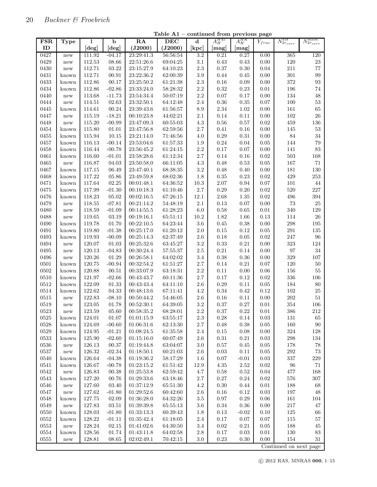$\mathbf l$ 

| <b>FSR</b> | Type                 | 1          | b         | RA         | <b>DEC</b> | d                | $A_H^{H45}$ | $A_H^{HK}$       | ${\cal Y}_{frac}$ | $N_{2r_{core}}^{tot}$ | $N_{2r_{core}}^{mem}$ |
|------------|----------------------|------------|-----------|------------|------------|------------------|-------------|------------------|-------------------|-----------------------|-----------------------|
| ID         |                      | $[\deg]$   | [deg]     | (J2000)    | (J2000)    | $[\mathrm{kpc}]$ | [mag]       | $[\mathrm{mag}]$ |                   |                       |                       |
| 0427       | new                  | 111.92     | $-04.17$  | 23:29:41.3 | 56:56:54   | $\overline{3.2}$ | 0.21        | 0.27             | 0.00              | 365                   | 120                   |
| 0429       | new                  | 112.53     | 08.66     | 22:51:26.6 | 69:04:25   | 3.1              | 0.43        | 0.43             | 0.00              | 120                   | $23\,$                |
| 0430       | new                  | 112.71     | 03.22     | 23:15:27.9 | 64:10:23   | $2.3\,$          | 0.37        | 0.30             | 0.04              | 211                   | 77                    |
| 0431       | known                | 112.71     | 00.91     | 23:22:36.2 | 62:00:39   | $3.9\,$          | 0.44        | 0.45             | 0.00              | $301\,$               | 99                    |
| 0433       | known                | 112.86     | 00.17     | 23:25:50.2 | 61:21:38   | $2.3\,$          | 0.16        | 0.09             | 0.00              | 372                   | $\boldsymbol{93}$     |
| 0434       | known                | 112.86     | $-02.86$  | 23:33:24.0 | 58:28:32   | $2.2\,$          | 0.32        | 0.23             | $\rm 0.01$        | 196                   | 74                    |
| 0440       | new                  | 113.68     | $-11.73$  | 23:54:34.4 | 50:07:19   | $2.2\,$          | $0.07\,$    | 0.17             | 0.00              | 134                   | 48                    |
| 0444       | new                  | 114.51     | 02.63     | 23:32:50.1 | 64:12:48   | $2.4\,$          | $0.36\,$    | 0.35             | 0.07              | 100                   | $53\,$                |
| 0445       | known                | 114.61     | 00.24     | 23:39:43.6 | 61:56:57   | 8.9              | $2.34\,$    | 1.02             | 0.00              | 161                   | 65                    |
| 0447       | new                  | 115.19     | $-18.21$  | 00:10:23.8 | 44:02:21   | 2.1              | $0.14\,$    | 0.11             | 0.00              | 102                   | ${\bf 26}$            |
| 0448       | new                  | 115.20     | $-00.99$  | 23:47:09.3 | 60:55:03   | $4.3\,$          | 0.56        | 0.57             | 0.02              | 459                   | $136\,$               |
| 0454       | known                | 115.80     | 01.01     | 23:47:56.8 | 62:59:56   | $2.7\,$          | $0.41\,$    | 0.16             | 0.00              | 145                   | $53\,$                |
| 0455       | known                | 115.94     | 10.15     | 23:21:14.0 | 71:46:56   | 4.0              | 0.29        | 0.31             | 0.00              | 84                    | 34                    |
| 0457       | known                | 116.13     | $-00.14$  | 23:53:04.6 | 61:57:33   | 1.9              | 0.24        | 0.04             | 0.05              | 144                   | $79\,$                |
| 0458       | known                | 116.44     | $-00.78$  | 23:56:45.2 | 61:24:15   | $2.2\,$          | 0.17        | 0.07             | $0.00\,$          | 141                   | 83                    |
| 0461       | known                | 116.60     | $-01.01$  | 23:58:28.6 | 61:12:34   | 2.7              | 0.14        | 0.16             | 0.02              | 503                   | 168                   |
| 0465       | new                  | 116.87     | 04.03     | 23:50:58.0 | 66:11:05   | 4.3              | 0.48        | 0.53             | $0.05\,$          | 167                   | 71                    |
| 0467       | known                | 117.15     | 06.49     | 23:47:40.1 | 68:38:35   | $3.2\,$          | 0.48        | 0.40             | 0.00              | 181                   | 130                   |
| 0468       | known                | 117.22     | 05.86     | 23:49:59.8 | 68:02:36   | 1.8              | 0.35        | 0.23             | 0.02              | 429                   | $253\,$               |
| 0471       | known                | 117.64     | 02.25     | 00:01:48.1 | 64:36:52   | 10.3             | 2.07        | 0.94             | $0.07\,$          | 101                   | 44                    |
| 0475       | known                | 117.99     | $-01.30$  | 00:10:18.3 | 61:10:46   | 2.7              | 0.29        | 0.20             | 0.02              | 520                   | $227\,$               |
| 0476       | known                | 118.23     | 05.02     | 00:02:16.5 | 67:26:15   | $12.1\,$         | $2.68\,$    | 1.35             | 0.02              | 496                   | 394                   |
| 0479       | new                  | 118.55     | $-07.81$  | 00:21:14.2 | 54:48:19   | 2.1              | 0.13        | 0.07             | 0.00              | $73\,$                | $25\,$                |
| 0480       | new                  | 118.59     | $-01.09$  | 00:14:55.5 | 61:28:23   | $6.0\,$          | 0.58        | 0.65             | $0.01\,$          | 340                   | 129                   |
| 0488       | new                  | 119.65     | 03.19     | 00:19:16.1 | 65:51:11   | $10.2\,$         | 1.82        | 1.66             | 0.13              | 114                   | $26\,$                |
| 0490       | known                | 119.78     | 01.70     | 00:22:10.5 | 64:23:44   | $3.6\,$          | 0.45        | 0.38             | 0.00              | 298                   | 195                   |
| 0491       | known                | 119.80     | $-01.38$  | 00:25:17.0 | 61:20:12   | 2.0              | 0.15        | 0.12             | 0.05              | $\,291$               | 135                   |
| 0493       | known                | 119.93     | $-00.09$  | 00:25:14.3 | 62:37:49   | $2.6\,$          | 0.18        | 0.05             | 0.02              | 247                   | 96                    |
| 0494       | new                  | 120.07     | 01.03     | 00:25:32.6 | 63:45:27   | $3.2\,$          | $0.33\,$    | 0.21             | 0.00              | $323\,$               | 124                   |
| 0495       | new                  | 120.13     | $-04.83$  | 00:30:24.4 | 57:55:37   | $2.5\,$          | $\rm 0.21$  | 0.14             | 0.00              | 97                    | 34                    |
| 0496       | new                  | 120.26     | 01.29     | 00:26:58.1 | 64:02:02   | 3.4              | 0.38        | 0.36             | 0.00              | 329                   | 107                   |
| 0501       | known                | 120.75     | $-00.94$  | 00:32:54.2 | 61:51:27   | $2.7\,$          | 0.14        | 0.21             | 0.07              | 120                   | $50\,$                |
| 0502       | known                | 120.88     | 00.51     | 00:33:07.9 | 63:18:31   | $2.2\,$          | $0.11\,$    | 0.00             | $0.06\,$          | 156                   | $55\,$                |
| 0510       | known                | 121.97     | $-02.66$  | 00:43:43.7 | 60:11:36   | $2.7\,$          | 0.17        | 0.12             | 0.02              | 336                   | 106                   |
| 0512       | known                | 122.09     | 01.33     | 00:43:43.4 | 64:11:10   | $2.6\,$          | 0.29        | 0.11             | $0.05\,$          | 184                   | $80\,$                |
| 0514       | known                | $122.62\,$ | 04.33     | 00:48:13.6 | 67:11:41   | $4.2\,$          | 0.34        | $\rm 0.42$       | 0.12              | 102                   | $25\,$                |
| 0515       | new                  | 122.83     | $-08.10$  | 00:50:44.2 | 54:46:05   | $2.6\,$          | 0.16        | 0.11             | 0.00              | $202\,$               | $51\,$                |
| 0519       | new                  | 123.05     | 01.78     | 00:52:30.1 | 64:39:05   | 3.2              | 0.37        | 0.27             | $\rm 0.01$        | 354                   | 106                   |
| 0523       | new                  | 123.59     | $05.60\,$ | 00:58:35.2 | 68:28:01   | 2.2              | $0.37\,$    | 0.22             | $0.01\,$          | 386                   | 212                   |
| 0525       | known                | 124.01     | 01.07     | 01:01:15.9 | 63:55:17   | $2.3\,$          | 0.28        | 0.14             | $\rm 0.03$        | 131                   | 65                    |
| 0528       | known                | 124.69     | $-00.60$  | 01:06:31.6 | 62:13:30   | 2.7              | 0.48        | 0.38             | $0.05\,$          | 160                   | 90                    |
| 0529       | known                | 124.95     | $-01.21$  | 01:08:24.5 | 61:35:58   | $2.4\,$          | 0.15        | 0.08             | 0.00              | 324                   | 128                   |
| 0533       | known                | 125.90     | $-02.60$  | 01:15:16.0 | 60:07:49   | $2.6\,$          | 0.31        | 0.21             | 0.03              | 298                   | 134                   |
| 0536       | new                  | 126.13     | 00.37     | 01:19:44.8 | 63:04:07   | $3.0\,$          | 0.57        | 0.45             | 0.05              | 178                   | 78                    |
| 0537       | new                  | 126.32     | $-02.34$  | 01:18:50.1 | 60:21:03   | $2.6\,$          | 0.03        | 0.11             | 0.05              | 292                   | 73                    |
| 0540       | known                | 126.64     | $-04.38$  | 01:19:36.2 | 58:17:29   | $1.6\,$          | 0.07        | $-0.01$          | 0.03              | 337                   | $229\,$               |
| $0541\,$   | known                | 126.67     | $-00.78$  | 01:23:15.2 | 61:51:42   | $12.9\,$         | 4.35        | 2.52             | $\rm 0.02$        | $96\,$                | 71                    |
| 0542       | new                  | 126.83     | 00.38     | 01:25:53.8 | 62:59:42   | 4.7              | 0.58        | 0.52             | $\,0.04\,$        | 477                   | 168                   |
| 0543       | known                | 127.20     | 00.76     | 01:29:33.6 | 63:18:46   | $2.7\,$          | 0.27        | 0.24             | 0.02              | 576                   | 307                   |
| 0546       | new                  | 127.60     | 03.40     | 01:37:12.9 | 65:51:30   | 4.2              | 0.30        | 0.44             | 0.01              | 188                   | 68                    |
| 0547       | new                  | 127.62     | $-01.80$  | 01:29:52.6 | 60:42:60   | $2.6\,$          | 0.16        | 0.12             | 0.03              | 197                   | 48                    |
| 0548       | known                | 127.75     | 02.09     | 01:36:28.0 | 64:32:26   | $3.5\,$          | 0.97        | 0.29             | 0.06              | $161\,$               | 104                   |
| 0549       | new                  | 127.83     | 03.51     | 01:39:39.8 | 65:55:13   | $3.6\,$          | 0.34        | 0.36             | 0.00              | 217                   | 47                    |
| 0550       | known                | 128.03     | $-01.80$  | 01:33:13.3 | 60:39:43   | 1.8              | 0.13        | $-0.02$          | 0.10              | 125                   | $66\,$                |
| 0552       | known                | 128.22     | $-01.11$  | 01:35:42.4 | 61:18:05   | $2.4\,$          | 0.17        | 0.07             | 0.07              | 115                   | 57                    |
| 0553       | new                  | 128.24     | 02.15     | 01:41:02.6 | 64:30:50   | $3.4\,$          | 0.02        | 0.21             | 0.05              | 188                   | $45\,$                |
| 0554       | known                | 128.56     | 01.74     | 01:43:11.8 | 64:02:58   | $2.8\,$          | 0.17        | 0.03             | 0.01              | 130                   | $83\,$                |
| $0555\,$   | $\operatorname{new}$ | 128.81     | 08.65     | 02:02:49.1 | 70:42:15   | $3.0\,$          | $0.23\,$    | 0.30             | 0.00              | $154\,$               | $31\,$                |

Table A1 – continued from previous page

Continued on next page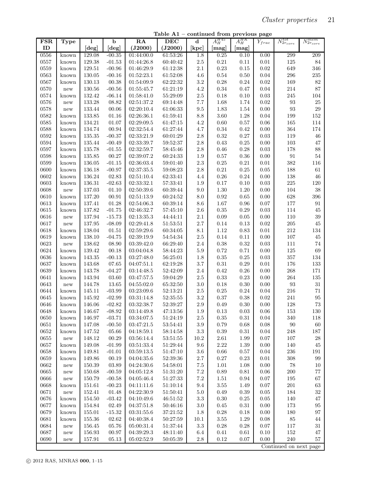Table A1 – continued from previous page

| <b>FSR</b>   | <b>Type</b>                   | 1                | $\mathbf b$       | $\overline{RA}$          | <b>DEC</b>           | d                  | $A_H^{H45}$      | $A_H^{HK}$   | $Y_{frac}$ | $N_{2r_{core}}^{tot}$  | $N_{2r_{core}}^{mem}$ |
|--------------|-------------------------------|------------------|-------------------|--------------------------|----------------------|--------------------|------------------|--------------|------------|------------------------|-----------------------|
| ID           |                               | [deg]            | [deg]             | (J2000)                  | (J2000)              | [kpc]              | $[\mathrm{mag}]$ | [mag]        |            |                        |                       |
| 0556         | known                         | 129.08           | $-00.35$          | 01:44:00.0               | 61:53:26             | 1.8                | 0.25             | 0.10         | 0.00       | 299                    | 209                   |
| 0557         | known                         | 129.38           | $-01.53$          | 01:44:26.8               | 60:40:42             | $2.5\,$            | $\rm 0.21$       | 0.11         | 0.01       | 125                    | 84                    |
| 0559         | known                         | 129.51           | $-00.96$          | 01:46:29.9               | 61:12:38             | $2.1\,$            | $\rm 0.23$       | $0.15\,$     | 0.02       | 649                    | 346                   |
| 0563         | known                         | 130.05           | $-00.16$          | 01:52:23.1               | 61:52:08             | 4.6                | $\rm 0.54$       | 0.50         | $\,0.04\,$ | $\,296$                | $235\,$               |
| 0567         | known                         | 130.13           | 00.38             | 01:54:09.9               | 62:22:32             | $3.2\,$            | $0.28\,$         | 0.24         | 0.02       | 169                    | 82                    |
| 0570         | $\operatorname{new}$          | 130.56           | $-00.56$          | 01:55:45.7               | 61:21:19             | $4.2\,$            | $0.34\,$         | 0.47         | 0.04       | $214\,$                | 87                    |
| 0574         | known                         | 132.42           | $-06.14$          | 01:58:41.0               | 55:29:09             | $2.5\,$            | 0.18             | 0.10         | 0.03       | $245\,$                | 104                   |
| 0576         | $\operatorname{new}$          | 133.28           | 08.82             | 02:51:37.2               | 69:14:48             | 7.7                | $1.68\,$         | 1.74         | $\rm 0.02$ | 93                     | $25\,$                |
| 0578         | $\operatorname{new}$          | 133.44           | 00.06             | 02:20:10.4               | 61:06:33             | $\,9.5$            | 1.83             | 1.54         | 0.00       | 93                     | $\,29$                |
| 0582         | known                         | 133.85           | 01.16             | 02:26:36.1               | 61:59:41             | 8.8                | 3.60             | 1.28         | 0.04       | 199                    | $152\,$               |
| 0585         | known                         | 134.21           | 01.07             | 02:29:09.5               | 61:47:15             | 4.2                | 0.60             | 0.57         | 0.06       | 165                    | 114                   |
| 0588         | known                         | 134.74           | 00.94             | 02:32:54.4               | 61:27:44             | 4.7                | 0.34             | 0.42         | 0.00       | 364                    | 174                   |
| 0592         | known                         | 135.35           | $-00.37$          | 02:33:21.9               | 60:01:29             | $2.8\,$            | $\rm 0.32$       | 0.27         | 0.03       | 119                    | $46\,$                |
| 0594         | known                         | 135.44           | $-00.49$          | 02:33:39.7               | 59:52:37             | $2.8\,$            | 0.43             | $0.25\,$     | 0.00       | 103                    | $47\,$                |
| 0597         | known                         | 135.78           | $-01.55$          | 02:32:59.7               | 58:45:46             | $2.8\,$            | 0.46             | 0.28         | 0.03       | 178                    | 88                    |
| 0598         | known                         | 135.85           | 00.27             | 02:39:07.2               | 60:24:33             | 1.9                | $0.57\,$         | 0.36         | $0.00\,$   | $\rm 91$               | $54\,$                |
| 0599         | known                         | 136.05           | $-01.15$          | 02:36:03.4               | 59:01:40             | $2.3\,$            | $0.25\,$         | 0.21         | 0.01       | 382                    | 116                   |
| 0600         | known                         | 136.18           | $-00.97$          | 02:37:35.5               | 59:08:23             | $2.8\,$            | $\rm 0.21$       | 0.25         | $0.05\,$   | 188                    | $61\,$                |
| 0602         | known                         | 136.24           | 02.83             | 02:51:10.4               | 62:33:41             | 4.4                | $0.26\,$         | $\rm 0.24$   | 0.00       | 138                    | $46\,$                |
| 0603         | known                         | 136.31           | $-02.63$          | 02:33:32.1               | 57:33:41             | 1.9                | 0.17             | 0.10         | 0.03       | $225\,$                | 120                   |
| 0608         | new                           | 137.03           | 01.10             | 02:50:39.6               | 60:39:44             | 9.0                | 1.30             | 1.20         | 0.00       | 104                    | 38                    |
| 0610         | known                         | 137.20           | 00.91             | 02:51:13.9               | 60:24:52             | 8.0                | $\rm 0.92$       | 0.65         | 0.00       | 628                    | 396                   |
| 0613         | known                         | 137.41           | 01.28             | 02:54:06.3               | 60:39:14             | 8.6                | $1.67\,$         | 0.96         | $0.07\,$   | 177                    | 91                    |
| 0615         | known                         | 137.82           | $-01.75$          | 02:46:32.7               | 57:45:10             | $2.6\,$            | $0.35\,$         | 0.29         | 0.03       | 114                    | $45\,$                |
| 0616         | new                           | 137.94           | $-15.73$          | 02:13:35.3               | 44:44:11             | $2.1\,$            | 0.09             | $0.05\,$     | $0.00\,$   | 110                    | $39\,$                |
| 0617         | new                           | 137.95           | $-08.09$          | 02:29:41.8               | 51:53:51             | $2.7\,$            | $0.14\,$         | 0.13         | 0.02       | $205\,$                | $45\,$                |
| 0618         | known                         | 138.04           | 01.51             | 02:59:29.6               | 60:34:05             | 8.1                | 1.12             | 0.83         | $\rm 0.01$ | $212\,$                | $134\,$               |
| 0619         | known                         | 138.10           | $-04.75$          | 02:39:19.9               | 54:54:34             | $2.5\,$            | 0.14             | 0.11         | 0.00       | $107\,$                | $\rm 45$              |
| 0623         | new                           | 138.62           | 08.90             | 03:39:42.0               | 66:29:40             | $2.4\,$            | $0.38\,$         | 0.32         | 0.03       | 111                    | $74\,$                |
| 0624         | known                         | 139.42           | 00.18             | 03:04:04.8               | 58:44:23             | $5.9\,$            | $0.72\,$         | 0.71         | $0.00\,$   | 125                    | 69                    |
| 0636         | known                         | 143.35           | $-00.13$          | 03:27:48.0               | 56:25:01             | 1.8                | $\rm 0.35$       | 0.25         | 0.03       | $357\,$                | 134                   |
| 0637         | known                         | 143.68           | 07.65             | 04:07:51.1               | 62:19:28             | $3.7\,$            | $\rm 0.31$       | 0.29         | $\rm 0.01$ | 176                    | 133                   |
| 0639         | known                         | 143.78           | $-04.27$          | 03:14:48.5               | 52:42:09             | $2.4\,$            | $\rm 0.42$       | 0.26         | 0.00       | 268                    | 171                   |
|              |                               |                  |                   |                          | 59:04:29             | $2.5\,$            | $\rm 0.33$       |              | $0.00\,$   | 264                    | $135\,$               |
| 0641         | known                         | 143.94           | 03.60             | 03:47:57.5<br>04:55:02.0 |                      | $3.0\,$            |                  | 0.23         | 0.00       | $\boldsymbol{93}$      | $31\,$                |
| 0643<br>0644 | $\operatorname{new}$<br>known | 144.78<br>145.11 | 13.65<br>$-03.99$ | 03:23:09.6               | 65:32:50<br>52:13:21 | $2.5\,$            | 0.18<br>$0.25\,$ | 0.30<br>0.24 | $\,0.04\,$ | $216\,$                | $71\,$                |
| 0645         | known                         | 145.92           | $-02.99$          | 03:31:14.8               | 52:35:55             | $3.2\,$            | $0.37\,$         | 0.38         | 0.02       | $241\,$                | 95                    |
| 0646         | known                         | 146.06           | $-02.82$          | 03:32:38.7               | 52:39:27             | $2.9\,$            | 0.49             | 0.30         | 0.00       | 128                    | 73                    |
|              |                               |                  |                   |                          |                      |                    |                  |              |            |                        |                       |
| 0648<br>0650 | known                         | 146.67           | $-08.92$          | 03:14:49.8               | 47:13:56             | $1.9\,$<br>$2.5\,$ | $0.13\,$         | $\rm 0.03$   | $0.06\,$   | 153                    | 130                   |
|              | known                         | 146.97           | $-03.71$          | 03:34:07.5               | 51:24:19<br>53:54:41 |                    | 0.35             | 0.31         | 0.04       | 340                    | 118                   |
| 0651         | known                         | 147.08           | $-00.50$          | 03:47:21.5               |                      | $3.9\,$            | 0.79             | 0.68         | 0.08       | 90                     | 60                    |
| 0652         | known                         | 147.52           | 05.66             | 04:18:59.1               | 58:14:58             | $\!3.3$            | 0.39             | 0.31         | 0.04       | 248                    | 187                   |
| 0655         | new                           | 148.12           | 00.29             | 03:56:14.4               | 53:51:55             | 10.2               | 2.61             | 1.99         | 0.07       | 107                    | 28                    |
| 0657         | known                         | 149.08           | $-01.99$          | 03:51:33.4               | 51:29:44             | 9.6                | 2.22             | 1.39         | 0.00       | 140                    | 45                    |
| 0658         | known                         | 149.81           | $-01.01$          | 03:59:13.5               | 51:47:10             | $3.6\,$            | 0.66             | 0.57         | 0.04       | 236                    | 191                   |
| 0659         | known                         | 149.86           | 00.19             | 04:04:35.6               | 52:39:36             | $2.7\,$            | 0.27             | 0.23         | 0.01       | 308                    | 99                    |
| 0662         | $\operatorname{new}$          | 150.39           | 03.89             | 04:24:30.6               | 54:58:01             | $7.5\,$            | 1.01             | 1.08         | 0.00       | 78                     | $10\,$                |
| 0665         | $\operatorname{new}$          | 150.68           | $-00.59$          | 04:05:12.8               | 51:31:20             | $7.2\,$            | 0.89             | 0.81         | 0.06       | 200                    | 77                    |
| 0666         | $\operatorname{new}$          | 150.79           | $-00.58$          | 04:05:46.4               | 51:27:33             | $7.2\,$            | 1.51             | 0.94         | 0.07       | 195                    | 67                    |
| 0668         | known                         | 151.61           | $-00.23$          | 04:11:11.6               | 51:10:14             | 9.4                | $3.55\,$         | 1.49         | 0.07       | 201                    | $63\,$                |
| 0671         | ${\rm new}$                   | 152.41           | 01.48             | 04:22:30.9               | 51:50:41             | $5.0\,$            | 0.49             | 0.39         | 0.05       | 184                    | $32\,$                |
| 0676         | known                         | 154.50           | $-03.42$          | 04:10:49.6               | 46:51:52             | $3.3\,$            | $0.30\,$         | $0.25\,$     | 0.05       | 140                    | 47                    |
| 0677         | known                         | 154.84           | 02.49             | 04:37:51.8               | 50:46:16             | 3.0                | 0.45             | 0.31         | 0.00       | 173                    | 95                    |
| 0679         | known                         | 155.01           | $-15.32$          | 03:31:55.6               | 37:21:52             | 1.8                | 0.28             | 0.18         | 0.00       | 180                    | 97                    |
| 0681         | known                         | 155.36           | 02.62             | 04:40:38.4               | 50:27:59             | 10.1               | $3.55\,$         | 1.29         | 0.08       | 85                     | $44\,$                |
| 0684         | $\operatorname{new}$          | $156.45\,$       | 05.76             | 05:00:31.4               | 51:37:44             | 3.3                | 0.28             | 0.28         | 0.07       | 117                    | $31\,$                |
| 0687         | $\operatorname{new}$          | 156.93           | 00.97             | 04:39:29.3               | 48:11:40             | 6.4                | 0.41             | 0.61         | 0.10       | 152                    | 47                    |
| 0690         | new                           | 157.91           | 05.13             | 05:02:52.9               | 50:05:39             | $2.8\,$            | 0.12             | 0.07         | 0.00       | $240\,$                | 57                    |
|              |                               |                  |                   |                          |                      |                    |                  |              |            | Continued on next page |                       |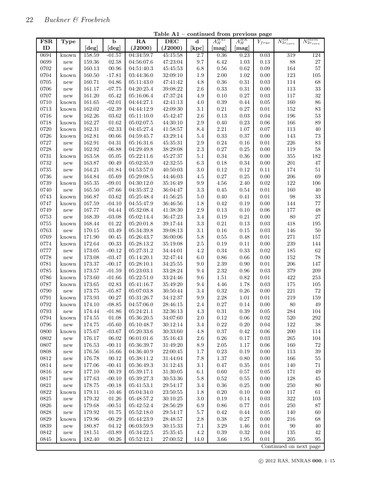| ID<br>(J2000)<br>[deg]<br>(J2000)<br>[kpc]<br>[deg]<br>[mag]<br>$[\mathrm{mag}]$<br>04:34:59.7<br>2.7<br>0.36<br>0.23<br>0694<br>158.59<br>45:15:58<br>319<br>124<br>$-01.57$<br>0.03<br>known<br>$\sqrt{27}$<br>0699<br>159.36<br>$9.7\,$<br>6.42<br>1.03<br>0.13<br>88<br>02.58<br>04:56:07.6<br>47:23:04<br>new<br>57<br>0702<br>160.13<br>00.96<br>$6.8\,$<br>$0.56\,$<br>0.62<br>$0.09\,$<br>164<br>04:51:40.3<br>45:45:53<br>new<br>$2.00\,$<br>0.00<br>$123\,$<br>0704<br>160.50<br>$-17.81$<br>03:44:36.0<br>32:09:10<br>1.9<br>1.02<br>$105\,$<br>known<br>68<br>$4.8\,$<br>$0.36\,$<br>$\rm 0.31$<br>$\rm 0.03$<br>114<br>0705<br>160.71<br>04.86<br>05:11:43.0<br>47:41:42<br>new<br>161.17<br>$2.6\,$<br>$0.33\,$<br>0.00<br>$113\,$<br>33<br>0706<br>$-07.75$<br>04:20:25.4<br>39:08:22<br>0.31<br>new<br>32<br>161.20<br>05.42<br>$0.10\,$<br>$0.27\,$<br>0.03<br>117<br>0707<br>05:16:06.4<br>47:37:24<br>4.9<br>new<br>86<br>161.65<br>$-02.01$<br>$0.39\,$<br>$0.05\,$<br>$160\,$<br>0710<br>04:44:27.1<br>42:41:13<br>4.0<br>0.44<br>known<br>83<br>162.02<br>$-02.39$<br>$3.1\,$<br>$\rm 0.21$<br>$0.27\,$<br>$0.01\,$<br>$152\,$<br>0713<br>04:44:12.9<br>42:09:30<br>known<br>53<br>162.26<br>196<br>0716<br>03.62<br>05:11:10.0<br>45:42:47<br>$2.6\,$<br>0.13<br>0.03<br>0.04<br>new<br>162.27<br>$\ensuremath{01.62}\xspace$<br>$2.9\,$<br>$0.40\,$<br>$\rm 0.23$<br>$0.06\,$<br>166<br>89<br>0718<br>$05\!\!:\!\!02\!\!:\!\!07.5$<br>44:30:10<br>known<br>162.31<br>$-02.33$<br>$2.21\,$<br>$1.07\,$<br>$0.07\,$<br>$113\,$<br>$40\,$<br>0720<br>04:45:27.4<br>41:58:57<br>8.4<br>known<br>162.81<br>$\rm 0.33$<br>143<br>$73\,$<br>0726<br>00.66<br>$5.4\,$<br>$0.37\,$<br>0.00<br>04:59:45.7<br>43:29:14<br>known<br>83<br>0727<br>162.91<br>$2.9\,$<br>$0.24\,$<br>$\rm 0.01$<br>226<br>04.31<br>05:16:31.6<br>45:35:31<br>0.16<br>new<br>$0.27\,$<br>0728<br>162.92<br>$-06.88$<br>$2.3\,$<br>0.00<br>119<br>$58\,$<br>04:29:49.8<br>38:29:08<br>0.25<br>new<br>$0731\,$<br>163.58<br>$0.34\,$<br>0.00<br>$355\,$<br>$182\,$<br>05.05<br>05:22:11.6<br>45:27:37<br>5.1<br>0.36<br>known<br>$6.3\,$<br>$0.00\,$<br>$201\,$<br>47<br>0732<br>163.87<br>00.49<br>05:02:35.9<br>42:32:55<br>$0.18\,$<br>0.34<br>new<br>0735<br>164.21<br>$-01.84$<br>04:53:57.0<br>$3.0\,$<br>$\rm 0.12$<br>0.12<br>$0.11\,$<br>174<br>$51\,$<br>40:50:03<br>new<br>69<br>0736<br>164.84<br>05.69<br>$05\!\!:\!\!29\!\!:\!\!08.5$<br>$0.27\,$<br>$0.25\,$<br>0.00<br>206<br>44:46:03<br>4.5<br>new<br>165.35<br>$4.56\,$<br>$\rm 0.02$<br>$122\,$<br>$106\,$<br>0739<br>$-09.01$<br>04:30:12.0<br>35:16:49<br>$\,9.9$<br>2.40<br>known<br>$\!3.3$<br>$0.01\,$<br>$160\,$<br>0740<br>165.50<br>$-07.66$<br>04:35:37.2<br>36:04:47<br>$0.45\,$<br>0.54<br>40<br>new<br>$98\,$<br>$33\,$<br>166.87<br>$0.40\,$<br>$\rm 0.01$<br>0743<br>03.62<br>05:25:48.4<br>41:56:25<br>$5.0\,$<br>0.41<br>known<br>$77\,$<br>$1.8\,$<br>$\rm 0.42$<br>$0.00\,$<br>144<br>0747<br>167.59<br>$-04.10$<br>04:55:47.9<br>36:46:56<br>0.19<br>known<br>167.77<br>$05\!\!:\!\!32\!\!:\!\!08.4$<br>$2.9\,$<br>$0.13\,$<br>$0.06\,$<br>$177\,$<br>$48\,$<br>0749<br>04.44<br>41:38:30<br>0.10<br>new<br>80<br>27<br>0753<br>168.39<br>$-03.08$<br>05:02:14.4<br>$3.4\,$<br>$0.19\,$<br>$\rm 0.21$<br>0.00<br>36:47:23<br>new<br>168.44<br>$\!3.3$<br>$\rm 0.21$<br>0.13<br>$\rm 0.03$<br>418<br>$195\,$<br>0755<br>01.22<br>05:20:01.8<br>39:17:44<br>known<br>$3.1\,$<br>$0.16\,$<br>$\rm 0.03$<br>$50\,$<br>0763<br>170.15<br>03.49<br>05:34:39.8<br>39:08:13<br>0.15<br>146<br>new<br>00.45<br>$5.8\,$<br>$0.55\,$<br>$0.01\,$<br>$271\,$<br>$157\,$<br>0769<br>171.90<br>05:26:43.7<br>36:00:06<br>0.48<br>known<br>172.64<br>00.33<br>$2.5\,$<br>$0.19\,$<br>$0.00\,$<br>239<br>144<br>0774<br>05:28:13.2<br>35:19:08<br>0.11<br>known<br>173.05<br>05:27:31.2<br>$4.2\,$<br>$0.34\,$<br>0.33<br>0.02<br>$185\,$<br>62<br>0777<br>$-00.12$<br>34:44:01<br>new<br>78<br>173.08<br>$0.86\,$<br>$0.00\,$<br>$152\,$<br>0778<br>$-03.47$<br>05:14:20.1<br>32:47:44<br>6.0<br>0.66<br>new<br>206<br>173.37<br>$2.39\,$<br>$0.01\,$<br>147<br>0781<br>$-00.17$<br>05:28:10.1<br>34:25:55<br>9.0<br>0.90<br>known<br>$2.32\,$<br>379<br>209<br>0785<br>173.57<br>$-01.59$<br>05:23:03.1<br>33:28:24<br>9.4<br>0.96<br>$\rm 0.03$<br>known<br>253<br>05:22:51.0<br>33:24:46<br>$\,9.6$<br>$1.51\,$<br>0.82<br>$0.01\,$<br>422<br>0786<br>173.60<br>$-01.66$<br>known<br>0787<br>173.65<br>$4.46\,$<br>1.78<br>0.03<br>$175\,$<br>$105\,$<br>02.83<br>05:41:16.7<br>35:49:20<br>9.4<br>known<br>$221\,$<br>$72\,$<br>173.75<br>$3.4\,$<br>$\rm 0.32$<br>$0.00\,$<br>0790<br>$-05.87$<br>05:07:03.8<br>30:50:44<br>$0.26\,$<br>new<br>173.93<br>$2.28\,$<br>$219\,$<br>$159\,$<br>$0791\,$<br>00.27<br>05:31:26.7<br>34:12:37<br>$\,9.9$<br>1.01<br>0.01<br>known<br>80<br>0792<br>$-08.85$<br>$0.27\,$<br>0.00<br>$\sqrt{49}$<br>174.10<br>04:57:06.0<br>28:46:15<br>$2.4\,$<br>0.14<br>known<br>0793<br>174.44<br>$4.3\,$<br>$\rm 0.39$<br>$0.05\,$<br>104<br>$-01.86$<br>05:24:21.1<br>32:36:13<br>0.31<br>284<br>new<br>$\,292$<br>0794<br>174.55<br>01.08<br>05:36:20.5<br>34:07:60<br>$2.0\,$<br>$0.12\,$<br>0.06<br>0.02<br>520<br>known<br>0.22<br>$\,0.04\,$<br>0796<br>174.75<br>$-05.60$<br>05:10:48.7<br>30:12:14<br>3.4<br>0.20<br>122<br>38<br>$\operatorname{new}$<br>$0.37\,$<br>0800<br>175.67<br>$-03.67$<br>05:20:33.6<br>30:33:60<br>$4.8\,$<br>0.42<br>$0.06\,$<br>200<br>114<br>known<br>0802<br>176.17<br>06.02<br>$2.6\,$<br>$0.26\,$<br>0.03<br>265<br>104<br>06:01:01.6<br>35:16:43<br>0.17<br>new<br>0807<br>176.53<br>$-00.11$<br>05:36:39.7<br>31:49:20<br>2.05<br>0.06<br>160<br>$72\,$<br>8.9<br>1.17<br>new<br>176.56<br>$-16.66$<br>$0.23\,$<br>0.00<br>113<br>$39\,$<br>0808<br>04:36:40.9<br>22:00:45<br>1.7<br>0.19<br>new<br>0812<br>176.78<br>00.12<br>05:38:11.2<br>$7.8\,$<br>1.37<br>$0.80\,$<br>$0.00\,$<br>166<br>$55\,$<br>31:44:04<br>new<br>0814<br>177.06<br>$-00.41$<br>$05\!\!:\!\!36\!\!:\!\!49.3$<br>3.1<br>0.47<br>0.35<br>$0.01\,$<br>140<br>31:12:43<br>71<br>new<br>0816<br>177.10<br>00.19<br>05:39:17.1<br>6.1<br>0.60<br>0.57<br>0.05<br>$171\,$<br>$49\,$<br>31:30:05<br>new<br>0817<br>177.63<br>$-00.10$<br>$5.8\,$<br>0.52<br>0.00<br>128<br>$45\,$<br>05:39:27.3<br>30:53:36<br>0.55<br>new<br>$0821\,$<br>178.75<br>$-00.18$<br>05:41:53.1<br>$3.4\,$<br>0.36<br>0.25<br>0.00<br>250<br>$80\,$<br>29:54:17<br>new<br>0822<br>179.11<br>$-10.46$<br>1.8<br>$0.20\,$<br>$0.00\,$<br>117<br>05:04:34.0<br>23:50:55<br>0.10<br>61<br>known<br>179.32<br>$322\,$<br>0825<br>01.26<br>05:48:57.2<br>$3.0\,$<br>0.19<br>0.14<br>$\rm 0.03$<br>$103\,$<br>30:10:25<br>new<br>0826<br>179.68<br>$-00.51$<br>05:42:52.4<br>28:56:29<br>6.9<br>0.86<br>0.77<br>0.01<br>250<br>$87\,$<br>new<br>0828<br>179.92<br>01.75<br>05:52:18.0<br>$5.7\,$<br>0.42<br>0.44<br>$0.05\,$<br>140<br>60<br>29:54:17<br>new<br>0829<br>179.96<br>$-00.29$<br>05:44:23.9<br>$2.8\,$<br>0.38<br>0.27<br>0.00<br>$216\,$<br>68<br>28:48:57<br>known<br>0839<br>180.87<br>04.12<br>06:03:59.9<br>3.29<br>0.01<br>$90\,$<br>30:15:33<br>7.1<br>1.46<br>40<br>new<br>0842<br>181.51<br>$-03.89$<br>05:34:22.5<br>25:35:45<br>$4.2\,$<br>$0.39\,$<br>0.32<br>0.04<br>135<br>42<br>new<br>$205\,$<br>0845<br>182.40<br>00.26<br>05:52:12.1<br>3.66<br>1.95<br>0.01<br>95<br>27:00:52<br>14.0<br>known<br>Continued on next page | <b>FSR</b> | <b>Type</b> | 1 | $\overline{b}$ | RA | DEC | $\mathbf d$ | $A_H^{H45}$ | $A_H^{HK}$ | ${\cal Y}_{frac}$ | $N_{2r_{core}}^{tot}$ | $N_{2r_{core}}^{mem}$ |
|-------------------------------------------------------------------------------------------------------------------------------------------------------------------------------------------------------------------------------------------------------------------------------------------------------------------------------------------------------------------------------------------------------------------------------------------------------------------------------------------------------------------------------------------------------------------------------------------------------------------------------------------------------------------------------------------------------------------------------------------------------------------------------------------------------------------------------------------------------------------------------------------------------------------------------------------------------------------------------------------------------------------------------------------------------------------------------------------------------------------------------------------------------------------------------------------------------------------------------------------------------------------------------------------------------------------------------------------------------------------------------------------------------------------------------------------------------------------------------------------------------------------------------------------------------------------------------------------------------------------------------------------------------------------------------------------------------------------------------------------------------------------------------------------------------------------------------------------------------------------------------------------------------------------------------------------------------------------------------------------------------------------------------------------------------------------------------------------------------------------------------------------------------------------------------------------------------------------------------------------------------------------------------------------------------------------------------------------------------------------------------------------------------------------------------------------------------------------------------------------------------------------------------------------------------------------------------------------------------------------------------------------------------------------------------------------------------------------------------------------------------------------------------------------------------------------------------------------------------------------------------------------------------------------------------------------------------------------------------------------------------------------------------------------------------------------------------------------------------------------------------------------------------------------------------------------------------------------------------------------------------------------------------------------------------------------------------------------------------------------------------------------------------------------------------------------------------------------------------------------------------------------------------------------------------------------------------------------------------------------------------------------------------------------------------------------------------------------------------------------------------------------------------------------------------------------------------------------------------------------------------------------------------------------------------------------------------------------------------------------------------------------------------------------------------------------------------------------------------------------------------------------------------------------------------------------------------------------------------------------------------------------------------------------------------------------------------------------------------------------------------------------------------------------------------------------------------------------------------------------------------------------------------------------------------------------------------------------------------------------------------------------------------------------------------------------------------------------------------------------------------------------------------------------------------------------------------------------------------------------------------------------------------------------------------------------------------------------------------------------------------------------------------------------------------------------------------------------------------------------------------------------------------------------------------------------------------------------------------------------------------------------------------------------------------------------------------------------------------------------------------------------------------------------------------------------------------------------------------------------------------------------------------------------------------------------------------------------------------------------------------------------------------------------------------------------------------------------------------------------------------------------------------------------------------------------------------------------------------------------------------------------------------------------------------------------------------------------------------------------------------------------------------------------------------------------------------------------------------------------------------------------------------------------------------------------------------------------------------------------------------------------------------------------------------------------------------------------------------------------------------------------------------------------------------------------------------------------------------------------------------------------------------------------------------------------------------------------------------------------------------------------------------------------------------------------------------------------------------------------------------------------------------------------------------------------------------------------------------------------------------------------------------------------------------------------------------------------------------------------------------------------------------------------------------------------------------------------------------------------------------------------------------------------------------------------------------------------------------------------------------------------------------------------------------------------------------------------------------------------------------------------------------------------------------------------|------------|-------------|---|----------------|----|-----|-------------|-------------|------------|-------------------|-----------------------|-----------------------|
|                                                                                                                                                                                                                                                                                                                                                                                                                                                                                                                                                                                                                                                                                                                                                                                                                                                                                                                                                                                                                                                                                                                                                                                                                                                                                                                                                                                                                                                                                                                                                                                                                                                                                                                                                                                                                                                                                                                                                                                                                                                                                                                                                                                                                                                                                                                                                                                                                                                                                                                                                                                                                                                                                                                                                                                                                                                                                                                                                                                                                                                                                                                                                                                                                                                                                                                                                                                                                                                                                                                                                                                                                                                                                                                                                                                                                                                                                                                                                                                                                                                                                                                                                                                                                                                                                                                                                                                                                                                                                                                                                                                                                                                                                                                                                                                                                                                                                                                                                                                                                                                                                                                                                                                                                                                                                                                                                                                                                                                                                                                                                                                                                                                                                                                                                                                                                                                                                                                                                                                                                                                                                                                                                                                                                                                                                                                                                                                                                                                                                                                                                                                                                                                                                                                                                                                                                                                                                                                                                                                                                                                                                                                                                                                                                                                                                                                                                                                                                                           |            |             |   |                |    |     |             |             |            |                   |                       |                       |
|                                                                                                                                                                                                                                                                                                                                                                                                                                                                                                                                                                                                                                                                                                                                                                                                                                                                                                                                                                                                                                                                                                                                                                                                                                                                                                                                                                                                                                                                                                                                                                                                                                                                                                                                                                                                                                                                                                                                                                                                                                                                                                                                                                                                                                                                                                                                                                                                                                                                                                                                                                                                                                                                                                                                                                                                                                                                                                                                                                                                                                                                                                                                                                                                                                                                                                                                                                                                                                                                                                                                                                                                                                                                                                                                                                                                                                                                                                                                                                                                                                                                                                                                                                                                                                                                                                                                                                                                                                                                                                                                                                                                                                                                                                                                                                                                                                                                                                                                                                                                                                                                                                                                                                                                                                                                                                                                                                                                                                                                                                                                                                                                                                                                                                                                                                                                                                                                                                                                                                                                                                                                                                                                                                                                                                                                                                                                                                                                                                                                                                                                                                                                                                                                                                                                                                                                                                                                                                                                                                                                                                                                                                                                                                                                                                                                                                                                                                                                                                           |            |             |   |                |    |     |             |             |            |                   |                       |                       |
|                                                                                                                                                                                                                                                                                                                                                                                                                                                                                                                                                                                                                                                                                                                                                                                                                                                                                                                                                                                                                                                                                                                                                                                                                                                                                                                                                                                                                                                                                                                                                                                                                                                                                                                                                                                                                                                                                                                                                                                                                                                                                                                                                                                                                                                                                                                                                                                                                                                                                                                                                                                                                                                                                                                                                                                                                                                                                                                                                                                                                                                                                                                                                                                                                                                                                                                                                                                                                                                                                                                                                                                                                                                                                                                                                                                                                                                                                                                                                                                                                                                                                                                                                                                                                                                                                                                                                                                                                                                                                                                                                                                                                                                                                                                                                                                                                                                                                                                                                                                                                                                                                                                                                                                                                                                                                                                                                                                                                                                                                                                                                                                                                                                                                                                                                                                                                                                                                                                                                                                                                                                                                                                                                                                                                                                                                                                                                                                                                                                                                                                                                                                                                                                                                                                                                                                                                                                                                                                                                                                                                                                                                                                                                                                                                                                                                                                                                                                                                                           |            |             |   |                |    |     |             |             |            |                   |                       |                       |
|                                                                                                                                                                                                                                                                                                                                                                                                                                                                                                                                                                                                                                                                                                                                                                                                                                                                                                                                                                                                                                                                                                                                                                                                                                                                                                                                                                                                                                                                                                                                                                                                                                                                                                                                                                                                                                                                                                                                                                                                                                                                                                                                                                                                                                                                                                                                                                                                                                                                                                                                                                                                                                                                                                                                                                                                                                                                                                                                                                                                                                                                                                                                                                                                                                                                                                                                                                                                                                                                                                                                                                                                                                                                                                                                                                                                                                                                                                                                                                                                                                                                                                                                                                                                                                                                                                                                                                                                                                                                                                                                                                                                                                                                                                                                                                                                                                                                                                                                                                                                                                                                                                                                                                                                                                                                                                                                                                                                                                                                                                                                                                                                                                                                                                                                                                                                                                                                                                                                                                                                                                                                                                                                                                                                                                                                                                                                                                                                                                                                                                                                                                                                                                                                                                                                                                                                                                                                                                                                                                                                                                                                                                                                                                                                                                                                                                                                                                                                                                           |            |             |   |                |    |     |             |             |            |                   |                       |                       |
|                                                                                                                                                                                                                                                                                                                                                                                                                                                                                                                                                                                                                                                                                                                                                                                                                                                                                                                                                                                                                                                                                                                                                                                                                                                                                                                                                                                                                                                                                                                                                                                                                                                                                                                                                                                                                                                                                                                                                                                                                                                                                                                                                                                                                                                                                                                                                                                                                                                                                                                                                                                                                                                                                                                                                                                                                                                                                                                                                                                                                                                                                                                                                                                                                                                                                                                                                                                                                                                                                                                                                                                                                                                                                                                                                                                                                                                                                                                                                                                                                                                                                                                                                                                                                                                                                                                                                                                                                                                                                                                                                                                                                                                                                                                                                                                                                                                                                                                                                                                                                                                                                                                                                                                                                                                                                                                                                                                                                                                                                                                                                                                                                                                                                                                                                                                                                                                                                                                                                                                                                                                                                                                                                                                                                                                                                                                                                                                                                                                                                                                                                                                                                                                                                                                                                                                                                                                                                                                                                                                                                                                                                                                                                                                                                                                                                                                                                                                                                                           |            |             |   |                |    |     |             |             |            |                   |                       |                       |
|                                                                                                                                                                                                                                                                                                                                                                                                                                                                                                                                                                                                                                                                                                                                                                                                                                                                                                                                                                                                                                                                                                                                                                                                                                                                                                                                                                                                                                                                                                                                                                                                                                                                                                                                                                                                                                                                                                                                                                                                                                                                                                                                                                                                                                                                                                                                                                                                                                                                                                                                                                                                                                                                                                                                                                                                                                                                                                                                                                                                                                                                                                                                                                                                                                                                                                                                                                                                                                                                                                                                                                                                                                                                                                                                                                                                                                                                                                                                                                                                                                                                                                                                                                                                                                                                                                                                                                                                                                                                                                                                                                                                                                                                                                                                                                                                                                                                                                                                                                                                                                                                                                                                                                                                                                                                                                                                                                                                                                                                                                                                                                                                                                                                                                                                                                                                                                                                                                                                                                                                                                                                                                                                                                                                                                                                                                                                                                                                                                                                                                                                                                                                                                                                                                                                                                                                                                                                                                                                                                                                                                                                                                                                                                                                                                                                                                                                                                                                                                           |            |             |   |                |    |     |             |             |            |                   |                       |                       |
|                                                                                                                                                                                                                                                                                                                                                                                                                                                                                                                                                                                                                                                                                                                                                                                                                                                                                                                                                                                                                                                                                                                                                                                                                                                                                                                                                                                                                                                                                                                                                                                                                                                                                                                                                                                                                                                                                                                                                                                                                                                                                                                                                                                                                                                                                                                                                                                                                                                                                                                                                                                                                                                                                                                                                                                                                                                                                                                                                                                                                                                                                                                                                                                                                                                                                                                                                                                                                                                                                                                                                                                                                                                                                                                                                                                                                                                                                                                                                                                                                                                                                                                                                                                                                                                                                                                                                                                                                                                                                                                                                                                                                                                                                                                                                                                                                                                                                                                                                                                                                                                                                                                                                                                                                                                                                                                                                                                                                                                                                                                                                                                                                                                                                                                                                                                                                                                                                                                                                                                                                                                                                                                                                                                                                                                                                                                                                                                                                                                                                                                                                                                                                                                                                                                                                                                                                                                                                                                                                                                                                                                                                                                                                                                                                                                                                                                                                                                                                                           |            |             |   |                |    |     |             |             |            |                   |                       |                       |
|                                                                                                                                                                                                                                                                                                                                                                                                                                                                                                                                                                                                                                                                                                                                                                                                                                                                                                                                                                                                                                                                                                                                                                                                                                                                                                                                                                                                                                                                                                                                                                                                                                                                                                                                                                                                                                                                                                                                                                                                                                                                                                                                                                                                                                                                                                                                                                                                                                                                                                                                                                                                                                                                                                                                                                                                                                                                                                                                                                                                                                                                                                                                                                                                                                                                                                                                                                                                                                                                                                                                                                                                                                                                                                                                                                                                                                                                                                                                                                                                                                                                                                                                                                                                                                                                                                                                                                                                                                                                                                                                                                                                                                                                                                                                                                                                                                                                                                                                                                                                                                                                                                                                                                                                                                                                                                                                                                                                                                                                                                                                                                                                                                                                                                                                                                                                                                                                                                                                                                                                                                                                                                                                                                                                                                                                                                                                                                                                                                                                                                                                                                                                                                                                                                                                                                                                                                                                                                                                                                                                                                                                                                                                                                                                                                                                                                                                                                                                                                           |            |             |   |                |    |     |             |             |            |                   |                       |                       |
|                                                                                                                                                                                                                                                                                                                                                                                                                                                                                                                                                                                                                                                                                                                                                                                                                                                                                                                                                                                                                                                                                                                                                                                                                                                                                                                                                                                                                                                                                                                                                                                                                                                                                                                                                                                                                                                                                                                                                                                                                                                                                                                                                                                                                                                                                                                                                                                                                                                                                                                                                                                                                                                                                                                                                                                                                                                                                                                                                                                                                                                                                                                                                                                                                                                                                                                                                                                                                                                                                                                                                                                                                                                                                                                                                                                                                                                                                                                                                                                                                                                                                                                                                                                                                                                                                                                                                                                                                                                                                                                                                                                                                                                                                                                                                                                                                                                                                                                                                                                                                                                                                                                                                                                                                                                                                                                                                                                                                                                                                                                                                                                                                                                                                                                                                                                                                                                                                                                                                                                                                                                                                                                                                                                                                                                                                                                                                                                                                                                                                                                                                                                                                                                                                                                                                                                                                                                                                                                                                                                                                                                                                                                                                                                                                                                                                                                                                                                                                                           |            |             |   |                |    |     |             |             |            |                   |                       |                       |
|                                                                                                                                                                                                                                                                                                                                                                                                                                                                                                                                                                                                                                                                                                                                                                                                                                                                                                                                                                                                                                                                                                                                                                                                                                                                                                                                                                                                                                                                                                                                                                                                                                                                                                                                                                                                                                                                                                                                                                                                                                                                                                                                                                                                                                                                                                                                                                                                                                                                                                                                                                                                                                                                                                                                                                                                                                                                                                                                                                                                                                                                                                                                                                                                                                                                                                                                                                                                                                                                                                                                                                                                                                                                                                                                                                                                                                                                                                                                                                                                                                                                                                                                                                                                                                                                                                                                                                                                                                                                                                                                                                                                                                                                                                                                                                                                                                                                                                                                                                                                                                                                                                                                                                                                                                                                                                                                                                                                                                                                                                                                                                                                                                                                                                                                                                                                                                                                                                                                                                                                                                                                                                                                                                                                                                                                                                                                                                                                                                                                                                                                                                                                                                                                                                                                                                                                                                                                                                                                                                                                                                                                                                                                                                                                                                                                                                                                                                                                                                           |            |             |   |                |    |     |             |             |            |                   |                       |                       |
|                                                                                                                                                                                                                                                                                                                                                                                                                                                                                                                                                                                                                                                                                                                                                                                                                                                                                                                                                                                                                                                                                                                                                                                                                                                                                                                                                                                                                                                                                                                                                                                                                                                                                                                                                                                                                                                                                                                                                                                                                                                                                                                                                                                                                                                                                                                                                                                                                                                                                                                                                                                                                                                                                                                                                                                                                                                                                                                                                                                                                                                                                                                                                                                                                                                                                                                                                                                                                                                                                                                                                                                                                                                                                                                                                                                                                                                                                                                                                                                                                                                                                                                                                                                                                                                                                                                                                                                                                                                                                                                                                                                                                                                                                                                                                                                                                                                                                                                                                                                                                                                                                                                                                                                                                                                                                                                                                                                                                                                                                                                                                                                                                                                                                                                                                                                                                                                                                                                                                                                                                                                                                                                                                                                                                                                                                                                                                                                                                                                                                                                                                                                                                                                                                                                                                                                                                                                                                                                                                                                                                                                                                                                                                                                                                                                                                                                                                                                                                                           |            |             |   |                |    |     |             |             |            |                   |                       |                       |
|                                                                                                                                                                                                                                                                                                                                                                                                                                                                                                                                                                                                                                                                                                                                                                                                                                                                                                                                                                                                                                                                                                                                                                                                                                                                                                                                                                                                                                                                                                                                                                                                                                                                                                                                                                                                                                                                                                                                                                                                                                                                                                                                                                                                                                                                                                                                                                                                                                                                                                                                                                                                                                                                                                                                                                                                                                                                                                                                                                                                                                                                                                                                                                                                                                                                                                                                                                                                                                                                                                                                                                                                                                                                                                                                                                                                                                                                                                                                                                                                                                                                                                                                                                                                                                                                                                                                                                                                                                                                                                                                                                                                                                                                                                                                                                                                                                                                                                                                                                                                                                                                                                                                                                                                                                                                                                                                                                                                                                                                                                                                                                                                                                                                                                                                                                                                                                                                                                                                                                                                                                                                                                                                                                                                                                                                                                                                                                                                                                                                                                                                                                                                                                                                                                                                                                                                                                                                                                                                                                                                                                                                                                                                                                                                                                                                                                                                                                                                                                           |            |             |   |                |    |     |             |             |            |                   |                       |                       |
|                                                                                                                                                                                                                                                                                                                                                                                                                                                                                                                                                                                                                                                                                                                                                                                                                                                                                                                                                                                                                                                                                                                                                                                                                                                                                                                                                                                                                                                                                                                                                                                                                                                                                                                                                                                                                                                                                                                                                                                                                                                                                                                                                                                                                                                                                                                                                                                                                                                                                                                                                                                                                                                                                                                                                                                                                                                                                                                                                                                                                                                                                                                                                                                                                                                                                                                                                                                                                                                                                                                                                                                                                                                                                                                                                                                                                                                                                                                                                                                                                                                                                                                                                                                                                                                                                                                                                                                                                                                                                                                                                                                                                                                                                                                                                                                                                                                                                                                                                                                                                                                                                                                                                                                                                                                                                                                                                                                                                                                                                                                                                                                                                                                                                                                                                                                                                                                                                                                                                                                                                                                                                                                                                                                                                                                                                                                                                                                                                                                                                                                                                                                                                                                                                                                                                                                                                                                                                                                                                                                                                                                                                                                                                                                                                                                                                                                                                                                                                                           |            |             |   |                |    |     |             |             |            |                   |                       |                       |
|                                                                                                                                                                                                                                                                                                                                                                                                                                                                                                                                                                                                                                                                                                                                                                                                                                                                                                                                                                                                                                                                                                                                                                                                                                                                                                                                                                                                                                                                                                                                                                                                                                                                                                                                                                                                                                                                                                                                                                                                                                                                                                                                                                                                                                                                                                                                                                                                                                                                                                                                                                                                                                                                                                                                                                                                                                                                                                                                                                                                                                                                                                                                                                                                                                                                                                                                                                                                                                                                                                                                                                                                                                                                                                                                                                                                                                                                                                                                                                                                                                                                                                                                                                                                                                                                                                                                                                                                                                                                                                                                                                                                                                                                                                                                                                                                                                                                                                                                                                                                                                                                                                                                                                                                                                                                                                                                                                                                                                                                                                                                                                                                                                                                                                                                                                                                                                                                                                                                                                                                                                                                                                                                                                                                                                                                                                                                                                                                                                                                                                                                                                                                                                                                                                                                                                                                                                                                                                                                                                                                                                                                                                                                                                                                                                                                                                                                                                                                                                           |            |             |   |                |    |     |             |             |            |                   |                       |                       |
|                                                                                                                                                                                                                                                                                                                                                                                                                                                                                                                                                                                                                                                                                                                                                                                                                                                                                                                                                                                                                                                                                                                                                                                                                                                                                                                                                                                                                                                                                                                                                                                                                                                                                                                                                                                                                                                                                                                                                                                                                                                                                                                                                                                                                                                                                                                                                                                                                                                                                                                                                                                                                                                                                                                                                                                                                                                                                                                                                                                                                                                                                                                                                                                                                                                                                                                                                                                                                                                                                                                                                                                                                                                                                                                                                                                                                                                                                                                                                                                                                                                                                                                                                                                                                                                                                                                                                                                                                                                                                                                                                                                                                                                                                                                                                                                                                                                                                                                                                                                                                                                                                                                                                                                                                                                                                                                                                                                                                                                                                                                                                                                                                                                                                                                                                                                                                                                                                                                                                                                                                                                                                                                                                                                                                                                                                                                                                                                                                                                                                                                                                                                                                                                                                                                                                                                                                                                                                                                                                                                                                                                                                                                                                                                                                                                                                                                                                                                                                                           |            |             |   |                |    |     |             |             |            |                   |                       |                       |
|                                                                                                                                                                                                                                                                                                                                                                                                                                                                                                                                                                                                                                                                                                                                                                                                                                                                                                                                                                                                                                                                                                                                                                                                                                                                                                                                                                                                                                                                                                                                                                                                                                                                                                                                                                                                                                                                                                                                                                                                                                                                                                                                                                                                                                                                                                                                                                                                                                                                                                                                                                                                                                                                                                                                                                                                                                                                                                                                                                                                                                                                                                                                                                                                                                                                                                                                                                                                                                                                                                                                                                                                                                                                                                                                                                                                                                                                                                                                                                                                                                                                                                                                                                                                                                                                                                                                                                                                                                                                                                                                                                                                                                                                                                                                                                                                                                                                                                                                                                                                                                                                                                                                                                                                                                                                                                                                                                                                                                                                                                                                                                                                                                                                                                                                                                                                                                                                                                                                                                                                                                                                                                                                                                                                                                                                                                                                                                                                                                                                                                                                                                                                                                                                                                                                                                                                                                                                                                                                                                                                                                                                                                                                                                                                                                                                                                                                                                                                                                           |            |             |   |                |    |     |             |             |            |                   |                       |                       |
|                                                                                                                                                                                                                                                                                                                                                                                                                                                                                                                                                                                                                                                                                                                                                                                                                                                                                                                                                                                                                                                                                                                                                                                                                                                                                                                                                                                                                                                                                                                                                                                                                                                                                                                                                                                                                                                                                                                                                                                                                                                                                                                                                                                                                                                                                                                                                                                                                                                                                                                                                                                                                                                                                                                                                                                                                                                                                                                                                                                                                                                                                                                                                                                                                                                                                                                                                                                                                                                                                                                                                                                                                                                                                                                                                                                                                                                                                                                                                                                                                                                                                                                                                                                                                                                                                                                                                                                                                                                                                                                                                                                                                                                                                                                                                                                                                                                                                                                                                                                                                                                                                                                                                                                                                                                                                                                                                                                                                                                                                                                                                                                                                                                                                                                                                                                                                                                                                                                                                                                                                                                                                                                                                                                                                                                                                                                                                                                                                                                                                                                                                                                                                                                                                                                                                                                                                                                                                                                                                                                                                                                                                                                                                                                                                                                                                                                                                                                                                                           |            |             |   |                |    |     |             |             |            |                   |                       |                       |
|                                                                                                                                                                                                                                                                                                                                                                                                                                                                                                                                                                                                                                                                                                                                                                                                                                                                                                                                                                                                                                                                                                                                                                                                                                                                                                                                                                                                                                                                                                                                                                                                                                                                                                                                                                                                                                                                                                                                                                                                                                                                                                                                                                                                                                                                                                                                                                                                                                                                                                                                                                                                                                                                                                                                                                                                                                                                                                                                                                                                                                                                                                                                                                                                                                                                                                                                                                                                                                                                                                                                                                                                                                                                                                                                                                                                                                                                                                                                                                                                                                                                                                                                                                                                                                                                                                                                                                                                                                                                                                                                                                                                                                                                                                                                                                                                                                                                                                                                                                                                                                                                                                                                                                                                                                                                                                                                                                                                                                                                                                                                                                                                                                                                                                                                                                                                                                                                                                                                                                                                                                                                                                                                                                                                                                                                                                                                                                                                                                                                                                                                                                                                                                                                                                                                                                                                                                                                                                                                                                                                                                                                                                                                                                                                                                                                                                                                                                                                                                           |            |             |   |                |    |     |             |             |            |                   |                       |                       |
|                                                                                                                                                                                                                                                                                                                                                                                                                                                                                                                                                                                                                                                                                                                                                                                                                                                                                                                                                                                                                                                                                                                                                                                                                                                                                                                                                                                                                                                                                                                                                                                                                                                                                                                                                                                                                                                                                                                                                                                                                                                                                                                                                                                                                                                                                                                                                                                                                                                                                                                                                                                                                                                                                                                                                                                                                                                                                                                                                                                                                                                                                                                                                                                                                                                                                                                                                                                                                                                                                                                                                                                                                                                                                                                                                                                                                                                                                                                                                                                                                                                                                                                                                                                                                                                                                                                                                                                                                                                                                                                                                                                                                                                                                                                                                                                                                                                                                                                                                                                                                                                                                                                                                                                                                                                                                                                                                                                                                                                                                                                                                                                                                                                                                                                                                                                                                                                                                                                                                                                                                                                                                                                                                                                                                                                                                                                                                                                                                                                                                                                                                                                                                                                                                                                                                                                                                                                                                                                                                                                                                                                                                                                                                                                                                                                                                                                                                                                                                                           |            |             |   |                |    |     |             |             |            |                   |                       |                       |
|                                                                                                                                                                                                                                                                                                                                                                                                                                                                                                                                                                                                                                                                                                                                                                                                                                                                                                                                                                                                                                                                                                                                                                                                                                                                                                                                                                                                                                                                                                                                                                                                                                                                                                                                                                                                                                                                                                                                                                                                                                                                                                                                                                                                                                                                                                                                                                                                                                                                                                                                                                                                                                                                                                                                                                                                                                                                                                                                                                                                                                                                                                                                                                                                                                                                                                                                                                                                                                                                                                                                                                                                                                                                                                                                                                                                                                                                                                                                                                                                                                                                                                                                                                                                                                                                                                                                                                                                                                                                                                                                                                                                                                                                                                                                                                                                                                                                                                                                                                                                                                                                                                                                                                                                                                                                                                                                                                                                                                                                                                                                                                                                                                                                                                                                                                                                                                                                                                                                                                                                                                                                                                                                                                                                                                                                                                                                                                                                                                                                                                                                                                                                                                                                                                                                                                                                                                                                                                                                                                                                                                                                                                                                                                                                                                                                                                                                                                                                                                           |            |             |   |                |    |     |             |             |            |                   |                       |                       |
|                                                                                                                                                                                                                                                                                                                                                                                                                                                                                                                                                                                                                                                                                                                                                                                                                                                                                                                                                                                                                                                                                                                                                                                                                                                                                                                                                                                                                                                                                                                                                                                                                                                                                                                                                                                                                                                                                                                                                                                                                                                                                                                                                                                                                                                                                                                                                                                                                                                                                                                                                                                                                                                                                                                                                                                                                                                                                                                                                                                                                                                                                                                                                                                                                                                                                                                                                                                                                                                                                                                                                                                                                                                                                                                                                                                                                                                                                                                                                                                                                                                                                                                                                                                                                                                                                                                                                                                                                                                                                                                                                                                                                                                                                                                                                                                                                                                                                                                                                                                                                                                                                                                                                                                                                                                                                                                                                                                                                                                                                                                                                                                                                                                                                                                                                                                                                                                                                                                                                                                                                                                                                                                                                                                                                                                                                                                                                                                                                                                                                                                                                                                                                                                                                                                                                                                                                                                                                                                                                                                                                                                                                                                                                                                                                                                                                                                                                                                                                                           |            |             |   |                |    |     |             |             |            |                   |                       |                       |
|                                                                                                                                                                                                                                                                                                                                                                                                                                                                                                                                                                                                                                                                                                                                                                                                                                                                                                                                                                                                                                                                                                                                                                                                                                                                                                                                                                                                                                                                                                                                                                                                                                                                                                                                                                                                                                                                                                                                                                                                                                                                                                                                                                                                                                                                                                                                                                                                                                                                                                                                                                                                                                                                                                                                                                                                                                                                                                                                                                                                                                                                                                                                                                                                                                                                                                                                                                                                                                                                                                                                                                                                                                                                                                                                                                                                                                                                                                                                                                                                                                                                                                                                                                                                                                                                                                                                                                                                                                                                                                                                                                                                                                                                                                                                                                                                                                                                                                                                                                                                                                                                                                                                                                                                                                                                                                                                                                                                                                                                                                                                                                                                                                                                                                                                                                                                                                                                                                                                                                                                                                                                                                                                                                                                                                                                                                                                                                                                                                                                                                                                                                                                                                                                                                                                                                                                                                                                                                                                                                                                                                                                                                                                                                                                                                                                                                                                                                                                                                           |            |             |   |                |    |     |             |             |            |                   |                       |                       |
|                                                                                                                                                                                                                                                                                                                                                                                                                                                                                                                                                                                                                                                                                                                                                                                                                                                                                                                                                                                                                                                                                                                                                                                                                                                                                                                                                                                                                                                                                                                                                                                                                                                                                                                                                                                                                                                                                                                                                                                                                                                                                                                                                                                                                                                                                                                                                                                                                                                                                                                                                                                                                                                                                                                                                                                                                                                                                                                                                                                                                                                                                                                                                                                                                                                                                                                                                                                                                                                                                                                                                                                                                                                                                                                                                                                                                                                                                                                                                                                                                                                                                                                                                                                                                                                                                                                                                                                                                                                                                                                                                                                                                                                                                                                                                                                                                                                                                                                                                                                                                                                                                                                                                                                                                                                                                                                                                                                                                                                                                                                                                                                                                                                                                                                                                                                                                                                                                                                                                                                                                                                                                                                                                                                                                                                                                                                                                                                                                                                                                                                                                                                                                                                                                                                                                                                                                                                                                                                                                                                                                                                                                                                                                                                                                                                                                                                                                                                                                                           |            |             |   |                |    |     |             |             |            |                   |                       |                       |
|                                                                                                                                                                                                                                                                                                                                                                                                                                                                                                                                                                                                                                                                                                                                                                                                                                                                                                                                                                                                                                                                                                                                                                                                                                                                                                                                                                                                                                                                                                                                                                                                                                                                                                                                                                                                                                                                                                                                                                                                                                                                                                                                                                                                                                                                                                                                                                                                                                                                                                                                                                                                                                                                                                                                                                                                                                                                                                                                                                                                                                                                                                                                                                                                                                                                                                                                                                                                                                                                                                                                                                                                                                                                                                                                                                                                                                                                                                                                                                                                                                                                                                                                                                                                                                                                                                                                                                                                                                                                                                                                                                                                                                                                                                                                                                                                                                                                                                                                                                                                                                                                                                                                                                                                                                                                                                                                                                                                                                                                                                                                                                                                                                                                                                                                                                                                                                                                                                                                                                                                                                                                                                                                                                                                                                                                                                                                                                                                                                                                                                                                                                                                                                                                                                                                                                                                                                                                                                                                                                                                                                                                                                                                                                                                                                                                                                                                                                                                                                           |            |             |   |                |    |     |             |             |            |                   |                       |                       |
|                                                                                                                                                                                                                                                                                                                                                                                                                                                                                                                                                                                                                                                                                                                                                                                                                                                                                                                                                                                                                                                                                                                                                                                                                                                                                                                                                                                                                                                                                                                                                                                                                                                                                                                                                                                                                                                                                                                                                                                                                                                                                                                                                                                                                                                                                                                                                                                                                                                                                                                                                                                                                                                                                                                                                                                                                                                                                                                                                                                                                                                                                                                                                                                                                                                                                                                                                                                                                                                                                                                                                                                                                                                                                                                                                                                                                                                                                                                                                                                                                                                                                                                                                                                                                                                                                                                                                                                                                                                                                                                                                                                                                                                                                                                                                                                                                                                                                                                                                                                                                                                                                                                                                                                                                                                                                                                                                                                                                                                                                                                                                                                                                                                                                                                                                                                                                                                                                                                                                                                                                                                                                                                                                                                                                                                                                                                                                                                                                                                                                                                                                                                                                                                                                                                                                                                                                                                                                                                                                                                                                                                                                                                                                                                                                                                                                                                                                                                                                                           |            |             |   |                |    |     |             |             |            |                   |                       |                       |
|                                                                                                                                                                                                                                                                                                                                                                                                                                                                                                                                                                                                                                                                                                                                                                                                                                                                                                                                                                                                                                                                                                                                                                                                                                                                                                                                                                                                                                                                                                                                                                                                                                                                                                                                                                                                                                                                                                                                                                                                                                                                                                                                                                                                                                                                                                                                                                                                                                                                                                                                                                                                                                                                                                                                                                                                                                                                                                                                                                                                                                                                                                                                                                                                                                                                                                                                                                                                                                                                                                                                                                                                                                                                                                                                                                                                                                                                                                                                                                                                                                                                                                                                                                                                                                                                                                                                                                                                                                                                                                                                                                                                                                                                                                                                                                                                                                                                                                                                                                                                                                                                                                                                                                                                                                                                                                                                                                                                                                                                                                                                                                                                                                                                                                                                                                                                                                                                                                                                                                                                                                                                                                                                                                                                                                                                                                                                                                                                                                                                                                                                                                                                                                                                                                                                                                                                                                                                                                                                                                                                                                                                                                                                                                                                                                                                                                                                                                                                                                           |            |             |   |                |    |     |             |             |            |                   |                       |                       |
|                                                                                                                                                                                                                                                                                                                                                                                                                                                                                                                                                                                                                                                                                                                                                                                                                                                                                                                                                                                                                                                                                                                                                                                                                                                                                                                                                                                                                                                                                                                                                                                                                                                                                                                                                                                                                                                                                                                                                                                                                                                                                                                                                                                                                                                                                                                                                                                                                                                                                                                                                                                                                                                                                                                                                                                                                                                                                                                                                                                                                                                                                                                                                                                                                                                                                                                                                                                                                                                                                                                                                                                                                                                                                                                                                                                                                                                                                                                                                                                                                                                                                                                                                                                                                                                                                                                                                                                                                                                                                                                                                                                                                                                                                                                                                                                                                                                                                                                                                                                                                                                                                                                                                                                                                                                                                                                                                                                                                                                                                                                                                                                                                                                                                                                                                                                                                                                                                                                                                                                                                                                                                                                                                                                                                                                                                                                                                                                                                                                                                                                                                                                                                                                                                                                                                                                                                                                                                                                                                                                                                                                                                                                                                                                                                                                                                                                                                                                                                                           |            |             |   |                |    |     |             |             |            |                   |                       |                       |
|                                                                                                                                                                                                                                                                                                                                                                                                                                                                                                                                                                                                                                                                                                                                                                                                                                                                                                                                                                                                                                                                                                                                                                                                                                                                                                                                                                                                                                                                                                                                                                                                                                                                                                                                                                                                                                                                                                                                                                                                                                                                                                                                                                                                                                                                                                                                                                                                                                                                                                                                                                                                                                                                                                                                                                                                                                                                                                                                                                                                                                                                                                                                                                                                                                                                                                                                                                                                                                                                                                                                                                                                                                                                                                                                                                                                                                                                                                                                                                                                                                                                                                                                                                                                                                                                                                                                                                                                                                                                                                                                                                                                                                                                                                                                                                                                                                                                                                                                                                                                                                                                                                                                                                                                                                                                                                                                                                                                                                                                                                                                                                                                                                                                                                                                                                                                                                                                                                                                                                                                                                                                                                                                                                                                                                                                                                                                                                                                                                                                                                                                                                                                                                                                                                                                                                                                                                                                                                                                                                                                                                                                                                                                                                                                                                                                                                                                                                                                                                           |            |             |   |                |    |     |             |             |            |                   |                       |                       |
|                                                                                                                                                                                                                                                                                                                                                                                                                                                                                                                                                                                                                                                                                                                                                                                                                                                                                                                                                                                                                                                                                                                                                                                                                                                                                                                                                                                                                                                                                                                                                                                                                                                                                                                                                                                                                                                                                                                                                                                                                                                                                                                                                                                                                                                                                                                                                                                                                                                                                                                                                                                                                                                                                                                                                                                                                                                                                                                                                                                                                                                                                                                                                                                                                                                                                                                                                                                                                                                                                                                                                                                                                                                                                                                                                                                                                                                                                                                                                                                                                                                                                                                                                                                                                                                                                                                                                                                                                                                                                                                                                                                                                                                                                                                                                                                                                                                                                                                                                                                                                                                                                                                                                                                                                                                                                                                                                                                                                                                                                                                                                                                                                                                                                                                                                                                                                                                                                                                                                                                                                                                                                                                                                                                                                                                                                                                                                                                                                                                                                                                                                                                                                                                                                                                                                                                                                                                                                                                                                                                                                                                                                                                                                                                                                                                                                                                                                                                                                                           |            |             |   |                |    |     |             |             |            |                   |                       |                       |
|                                                                                                                                                                                                                                                                                                                                                                                                                                                                                                                                                                                                                                                                                                                                                                                                                                                                                                                                                                                                                                                                                                                                                                                                                                                                                                                                                                                                                                                                                                                                                                                                                                                                                                                                                                                                                                                                                                                                                                                                                                                                                                                                                                                                                                                                                                                                                                                                                                                                                                                                                                                                                                                                                                                                                                                                                                                                                                                                                                                                                                                                                                                                                                                                                                                                                                                                                                                                                                                                                                                                                                                                                                                                                                                                                                                                                                                                                                                                                                                                                                                                                                                                                                                                                                                                                                                                                                                                                                                                                                                                                                                                                                                                                                                                                                                                                                                                                                                                                                                                                                                                                                                                                                                                                                                                                                                                                                                                                                                                                                                                                                                                                                                                                                                                                                                                                                                                                                                                                                                                                                                                                                                                                                                                                                                                                                                                                                                                                                                                                                                                                                                                                                                                                                                                                                                                                                                                                                                                                                                                                                                                                                                                                                                                                                                                                                                                                                                                                                           |            |             |   |                |    |     |             |             |            |                   |                       |                       |
|                                                                                                                                                                                                                                                                                                                                                                                                                                                                                                                                                                                                                                                                                                                                                                                                                                                                                                                                                                                                                                                                                                                                                                                                                                                                                                                                                                                                                                                                                                                                                                                                                                                                                                                                                                                                                                                                                                                                                                                                                                                                                                                                                                                                                                                                                                                                                                                                                                                                                                                                                                                                                                                                                                                                                                                                                                                                                                                                                                                                                                                                                                                                                                                                                                                                                                                                                                                                                                                                                                                                                                                                                                                                                                                                                                                                                                                                                                                                                                                                                                                                                                                                                                                                                                                                                                                                                                                                                                                                                                                                                                                                                                                                                                                                                                                                                                                                                                                                                                                                                                                                                                                                                                                                                                                                                                                                                                                                                                                                                                                                                                                                                                                                                                                                                                                                                                                                                                                                                                                                                                                                                                                                                                                                                                                                                                                                                                                                                                                                                                                                                                                                                                                                                                                                                                                                                                                                                                                                                                                                                                                                                                                                                                                                                                                                                                                                                                                                                                           |            |             |   |                |    |     |             |             |            |                   |                       |                       |
|                                                                                                                                                                                                                                                                                                                                                                                                                                                                                                                                                                                                                                                                                                                                                                                                                                                                                                                                                                                                                                                                                                                                                                                                                                                                                                                                                                                                                                                                                                                                                                                                                                                                                                                                                                                                                                                                                                                                                                                                                                                                                                                                                                                                                                                                                                                                                                                                                                                                                                                                                                                                                                                                                                                                                                                                                                                                                                                                                                                                                                                                                                                                                                                                                                                                                                                                                                                                                                                                                                                                                                                                                                                                                                                                                                                                                                                                                                                                                                                                                                                                                                                                                                                                                                                                                                                                                                                                                                                                                                                                                                                                                                                                                                                                                                                                                                                                                                                                                                                                                                                                                                                                                                                                                                                                                                                                                                                                                                                                                                                                                                                                                                                                                                                                                                                                                                                                                                                                                                                                                                                                                                                                                                                                                                                                                                                                                                                                                                                                                                                                                                                                                                                                                                                                                                                                                                                                                                                                                                                                                                                                                                                                                                                                                                                                                                                                                                                                                                           |            |             |   |                |    |     |             |             |            |                   |                       |                       |
|                                                                                                                                                                                                                                                                                                                                                                                                                                                                                                                                                                                                                                                                                                                                                                                                                                                                                                                                                                                                                                                                                                                                                                                                                                                                                                                                                                                                                                                                                                                                                                                                                                                                                                                                                                                                                                                                                                                                                                                                                                                                                                                                                                                                                                                                                                                                                                                                                                                                                                                                                                                                                                                                                                                                                                                                                                                                                                                                                                                                                                                                                                                                                                                                                                                                                                                                                                                                                                                                                                                                                                                                                                                                                                                                                                                                                                                                                                                                                                                                                                                                                                                                                                                                                                                                                                                                                                                                                                                                                                                                                                                                                                                                                                                                                                                                                                                                                                                                                                                                                                                                                                                                                                                                                                                                                                                                                                                                                                                                                                                                                                                                                                                                                                                                                                                                                                                                                                                                                                                                                                                                                                                                                                                                                                                                                                                                                                                                                                                                                                                                                                                                                                                                                                                                                                                                                                                                                                                                                                                                                                                                                                                                                                                                                                                                                                                                                                                                                                           |            |             |   |                |    |     |             |             |            |                   |                       |                       |
|                                                                                                                                                                                                                                                                                                                                                                                                                                                                                                                                                                                                                                                                                                                                                                                                                                                                                                                                                                                                                                                                                                                                                                                                                                                                                                                                                                                                                                                                                                                                                                                                                                                                                                                                                                                                                                                                                                                                                                                                                                                                                                                                                                                                                                                                                                                                                                                                                                                                                                                                                                                                                                                                                                                                                                                                                                                                                                                                                                                                                                                                                                                                                                                                                                                                                                                                                                                                                                                                                                                                                                                                                                                                                                                                                                                                                                                                                                                                                                                                                                                                                                                                                                                                                                                                                                                                                                                                                                                                                                                                                                                                                                                                                                                                                                                                                                                                                                                                                                                                                                                                                                                                                                                                                                                                                                                                                                                                                                                                                                                                                                                                                                                                                                                                                                                                                                                                                                                                                                                                                                                                                                                                                                                                                                                                                                                                                                                                                                                                                                                                                                                                                                                                                                                                                                                                                                                                                                                                                                                                                                                                                                                                                                                                                                                                                                                                                                                                                                           |            |             |   |                |    |     |             |             |            |                   |                       |                       |
|                                                                                                                                                                                                                                                                                                                                                                                                                                                                                                                                                                                                                                                                                                                                                                                                                                                                                                                                                                                                                                                                                                                                                                                                                                                                                                                                                                                                                                                                                                                                                                                                                                                                                                                                                                                                                                                                                                                                                                                                                                                                                                                                                                                                                                                                                                                                                                                                                                                                                                                                                                                                                                                                                                                                                                                                                                                                                                                                                                                                                                                                                                                                                                                                                                                                                                                                                                                                                                                                                                                                                                                                                                                                                                                                                                                                                                                                                                                                                                                                                                                                                                                                                                                                                                                                                                                                                                                                                                                                                                                                                                                                                                                                                                                                                                                                                                                                                                                                                                                                                                                                                                                                                                                                                                                                                                                                                                                                                                                                                                                                                                                                                                                                                                                                                                                                                                                                                                                                                                                                                                                                                                                                                                                                                                                                                                                                                                                                                                                                                                                                                                                                                                                                                                                                                                                                                                                                                                                                                                                                                                                                                                                                                                                                                                                                                                                                                                                                                                           |            |             |   |                |    |     |             |             |            |                   |                       |                       |
|                                                                                                                                                                                                                                                                                                                                                                                                                                                                                                                                                                                                                                                                                                                                                                                                                                                                                                                                                                                                                                                                                                                                                                                                                                                                                                                                                                                                                                                                                                                                                                                                                                                                                                                                                                                                                                                                                                                                                                                                                                                                                                                                                                                                                                                                                                                                                                                                                                                                                                                                                                                                                                                                                                                                                                                                                                                                                                                                                                                                                                                                                                                                                                                                                                                                                                                                                                                                                                                                                                                                                                                                                                                                                                                                                                                                                                                                                                                                                                                                                                                                                                                                                                                                                                                                                                                                                                                                                                                                                                                                                                                                                                                                                                                                                                                                                                                                                                                                                                                                                                                                                                                                                                                                                                                                                                                                                                                                                                                                                                                                                                                                                                                                                                                                                                                                                                                                                                                                                                                                                                                                                                                                                                                                                                                                                                                                                                                                                                                                                                                                                                                                                                                                                                                                                                                                                                                                                                                                                                                                                                                                                                                                                                                                                                                                                                                                                                                                                                           |            |             |   |                |    |     |             |             |            |                   |                       |                       |
|                                                                                                                                                                                                                                                                                                                                                                                                                                                                                                                                                                                                                                                                                                                                                                                                                                                                                                                                                                                                                                                                                                                                                                                                                                                                                                                                                                                                                                                                                                                                                                                                                                                                                                                                                                                                                                                                                                                                                                                                                                                                                                                                                                                                                                                                                                                                                                                                                                                                                                                                                                                                                                                                                                                                                                                                                                                                                                                                                                                                                                                                                                                                                                                                                                                                                                                                                                                                                                                                                                                                                                                                                                                                                                                                                                                                                                                                                                                                                                                                                                                                                                                                                                                                                                                                                                                                                                                                                                                                                                                                                                                                                                                                                                                                                                                                                                                                                                                                                                                                                                                                                                                                                                                                                                                                                                                                                                                                                                                                                                                                                                                                                                                                                                                                                                                                                                                                                                                                                                                                                                                                                                                                                                                                                                                                                                                                                                                                                                                                                                                                                                                                                                                                                                                                                                                                                                                                                                                                                                                                                                                                                                                                                                                                                                                                                                                                                                                                                                           |            |             |   |                |    |     |             |             |            |                   |                       |                       |
|                                                                                                                                                                                                                                                                                                                                                                                                                                                                                                                                                                                                                                                                                                                                                                                                                                                                                                                                                                                                                                                                                                                                                                                                                                                                                                                                                                                                                                                                                                                                                                                                                                                                                                                                                                                                                                                                                                                                                                                                                                                                                                                                                                                                                                                                                                                                                                                                                                                                                                                                                                                                                                                                                                                                                                                                                                                                                                                                                                                                                                                                                                                                                                                                                                                                                                                                                                                                                                                                                                                                                                                                                                                                                                                                                                                                                                                                                                                                                                                                                                                                                                                                                                                                                                                                                                                                                                                                                                                                                                                                                                                                                                                                                                                                                                                                                                                                                                                                                                                                                                                                                                                                                                                                                                                                                                                                                                                                                                                                                                                                                                                                                                                                                                                                                                                                                                                                                                                                                                                                                                                                                                                                                                                                                                                                                                                                                                                                                                                                                                                                                                                                                                                                                                                                                                                                                                                                                                                                                                                                                                                                                                                                                                                                                                                                                                                                                                                                                                           |            |             |   |                |    |     |             |             |            |                   |                       |                       |
|                                                                                                                                                                                                                                                                                                                                                                                                                                                                                                                                                                                                                                                                                                                                                                                                                                                                                                                                                                                                                                                                                                                                                                                                                                                                                                                                                                                                                                                                                                                                                                                                                                                                                                                                                                                                                                                                                                                                                                                                                                                                                                                                                                                                                                                                                                                                                                                                                                                                                                                                                                                                                                                                                                                                                                                                                                                                                                                                                                                                                                                                                                                                                                                                                                                                                                                                                                                                                                                                                                                                                                                                                                                                                                                                                                                                                                                                                                                                                                                                                                                                                                                                                                                                                                                                                                                                                                                                                                                                                                                                                                                                                                                                                                                                                                                                                                                                                                                                                                                                                                                                                                                                                                                                                                                                                                                                                                                                                                                                                                                                                                                                                                                                                                                                                                                                                                                                                                                                                                                                                                                                                                                                                                                                                                                                                                                                                                                                                                                                                                                                                                                                                                                                                                                                                                                                                                                                                                                                                                                                                                                                                                                                                                                                                                                                                                                                                                                                                                           |            |             |   |                |    |     |             |             |            |                   |                       |                       |
|                                                                                                                                                                                                                                                                                                                                                                                                                                                                                                                                                                                                                                                                                                                                                                                                                                                                                                                                                                                                                                                                                                                                                                                                                                                                                                                                                                                                                                                                                                                                                                                                                                                                                                                                                                                                                                                                                                                                                                                                                                                                                                                                                                                                                                                                                                                                                                                                                                                                                                                                                                                                                                                                                                                                                                                                                                                                                                                                                                                                                                                                                                                                                                                                                                                                                                                                                                                                                                                                                                                                                                                                                                                                                                                                                                                                                                                                                                                                                                                                                                                                                                                                                                                                                                                                                                                                                                                                                                                                                                                                                                                                                                                                                                                                                                                                                                                                                                                                                                                                                                                                                                                                                                                                                                                                                                                                                                                                                                                                                                                                                                                                                                                                                                                                                                                                                                                                                                                                                                                                                                                                                                                                                                                                                                                                                                                                                                                                                                                                                                                                                                                                                                                                                                                                                                                                                                                                                                                                                                                                                                                                                                                                                                                                                                                                                                                                                                                                                                           |            |             |   |                |    |     |             |             |            |                   |                       |                       |
|                                                                                                                                                                                                                                                                                                                                                                                                                                                                                                                                                                                                                                                                                                                                                                                                                                                                                                                                                                                                                                                                                                                                                                                                                                                                                                                                                                                                                                                                                                                                                                                                                                                                                                                                                                                                                                                                                                                                                                                                                                                                                                                                                                                                                                                                                                                                                                                                                                                                                                                                                                                                                                                                                                                                                                                                                                                                                                                                                                                                                                                                                                                                                                                                                                                                                                                                                                                                                                                                                                                                                                                                                                                                                                                                                                                                                                                                                                                                                                                                                                                                                                                                                                                                                                                                                                                                                                                                                                                                                                                                                                                                                                                                                                                                                                                                                                                                                                                                                                                                                                                                                                                                                                                                                                                                                                                                                                                                                                                                                                                                                                                                                                                                                                                                                                                                                                                                                                                                                                                                                                                                                                                                                                                                                                                                                                                                                                                                                                                                                                                                                                                                                                                                                                                                                                                                                                                                                                                                                                                                                                                                                                                                                                                                                                                                                                                                                                                                                                           |            |             |   |                |    |     |             |             |            |                   |                       |                       |
|                                                                                                                                                                                                                                                                                                                                                                                                                                                                                                                                                                                                                                                                                                                                                                                                                                                                                                                                                                                                                                                                                                                                                                                                                                                                                                                                                                                                                                                                                                                                                                                                                                                                                                                                                                                                                                                                                                                                                                                                                                                                                                                                                                                                                                                                                                                                                                                                                                                                                                                                                                                                                                                                                                                                                                                                                                                                                                                                                                                                                                                                                                                                                                                                                                                                                                                                                                                                                                                                                                                                                                                                                                                                                                                                                                                                                                                                                                                                                                                                                                                                                                                                                                                                                                                                                                                                                                                                                                                                                                                                                                                                                                                                                                                                                                                                                                                                                                                                                                                                                                                                                                                                                                                                                                                                                                                                                                                                                                                                                                                                                                                                                                                                                                                                                                                                                                                                                                                                                                                                                                                                                                                                                                                                                                                                                                                                                                                                                                                                                                                                                                                                                                                                                                                                                                                                                                                                                                                                                                                                                                                                                                                                                                                                                                                                                                                                                                                                                                           |            |             |   |                |    |     |             |             |            |                   |                       |                       |
|                                                                                                                                                                                                                                                                                                                                                                                                                                                                                                                                                                                                                                                                                                                                                                                                                                                                                                                                                                                                                                                                                                                                                                                                                                                                                                                                                                                                                                                                                                                                                                                                                                                                                                                                                                                                                                                                                                                                                                                                                                                                                                                                                                                                                                                                                                                                                                                                                                                                                                                                                                                                                                                                                                                                                                                                                                                                                                                                                                                                                                                                                                                                                                                                                                                                                                                                                                                                                                                                                                                                                                                                                                                                                                                                                                                                                                                                                                                                                                                                                                                                                                                                                                                                                                                                                                                                                                                                                                                                                                                                                                                                                                                                                                                                                                                                                                                                                                                                                                                                                                                                                                                                                                                                                                                                                                                                                                                                                                                                                                                                                                                                                                                                                                                                                                                                                                                                                                                                                                                                                                                                                                                                                                                                                                                                                                                                                                                                                                                                                                                                                                                                                                                                                                                                                                                                                                                                                                                                                                                                                                                                                                                                                                                                                                                                                                                                                                                                                                           |            |             |   |                |    |     |             |             |            |                   |                       |                       |
|                                                                                                                                                                                                                                                                                                                                                                                                                                                                                                                                                                                                                                                                                                                                                                                                                                                                                                                                                                                                                                                                                                                                                                                                                                                                                                                                                                                                                                                                                                                                                                                                                                                                                                                                                                                                                                                                                                                                                                                                                                                                                                                                                                                                                                                                                                                                                                                                                                                                                                                                                                                                                                                                                                                                                                                                                                                                                                                                                                                                                                                                                                                                                                                                                                                                                                                                                                                                                                                                                                                                                                                                                                                                                                                                                                                                                                                                                                                                                                                                                                                                                                                                                                                                                                                                                                                                                                                                                                                                                                                                                                                                                                                                                                                                                                                                                                                                                                                                                                                                                                                                                                                                                                                                                                                                                                                                                                                                                                                                                                                                                                                                                                                                                                                                                                                                                                                                                                                                                                                                                                                                                                                                                                                                                                                                                                                                                                                                                                                                                                                                                                                                                                                                                                                                                                                                                                                                                                                                                                                                                                                                                                                                                                                                                                                                                                                                                                                                                                           |            |             |   |                |    |     |             |             |            |                   |                       |                       |
|                                                                                                                                                                                                                                                                                                                                                                                                                                                                                                                                                                                                                                                                                                                                                                                                                                                                                                                                                                                                                                                                                                                                                                                                                                                                                                                                                                                                                                                                                                                                                                                                                                                                                                                                                                                                                                                                                                                                                                                                                                                                                                                                                                                                                                                                                                                                                                                                                                                                                                                                                                                                                                                                                                                                                                                                                                                                                                                                                                                                                                                                                                                                                                                                                                                                                                                                                                                                                                                                                                                                                                                                                                                                                                                                                                                                                                                                                                                                                                                                                                                                                                                                                                                                                                                                                                                                                                                                                                                                                                                                                                                                                                                                                                                                                                                                                                                                                                                                                                                                                                                                                                                                                                                                                                                                                                                                                                                                                                                                                                                                                                                                                                                                                                                                                                                                                                                                                                                                                                                                                                                                                                                                                                                                                                                                                                                                                                                                                                                                                                                                                                                                                                                                                                                                                                                                                                                                                                                                                                                                                                                                                                                                                                                                                                                                                                                                                                                                                                           |            |             |   |                |    |     |             |             |            |                   |                       |                       |
|                                                                                                                                                                                                                                                                                                                                                                                                                                                                                                                                                                                                                                                                                                                                                                                                                                                                                                                                                                                                                                                                                                                                                                                                                                                                                                                                                                                                                                                                                                                                                                                                                                                                                                                                                                                                                                                                                                                                                                                                                                                                                                                                                                                                                                                                                                                                                                                                                                                                                                                                                                                                                                                                                                                                                                                                                                                                                                                                                                                                                                                                                                                                                                                                                                                                                                                                                                                                                                                                                                                                                                                                                                                                                                                                                                                                                                                                                                                                                                                                                                                                                                                                                                                                                                                                                                                                                                                                                                                                                                                                                                                                                                                                                                                                                                                                                                                                                                                                                                                                                                                                                                                                                                                                                                                                                                                                                                                                                                                                                                                                                                                                                                                                                                                                                                                                                                                                                                                                                                                                                                                                                                                                                                                                                                                                                                                                                                                                                                                                                                                                                                                                                                                                                                                                                                                                                                                                                                                                                                                                                                                                                                                                                                                                                                                                                                                                                                                                                                           |            |             |   |                |    |     |             |             |            |                   |                       |                       |
|                                                                                                                                                                                                                                                                                                                                                                                                                                                                                                                                                                                                                                                                                                                                                                                                                                                                                                                                                                                                                                                                                                                                                                                                                                                                                                                                                                                                                                                                                                                                                                                                                                                                                                                                                                                                                                                                                                                                                                                                                                                                                                                                                                                                                                                                                                                                                                                                                                                                                                                                                                                                                                                                                                                                                                                                                                                                                                                                                                                                                                                                                                                                                                                                                                                                                                                                                                                                                                                                                                                                                                                                                                                                                                                                                                                                                                                                                                                                                                                                                                                                                                                                                                                                                                                                                                                                                                                                                                                                                                                                                                                                                                                                                                                                                                                                                                                                                                                                                                                                                                                                                                                                                                                                                                                                                                                                                                                                                                                                                                                                                                                                                                                                                                                                                                                                                                                                                                                                                                                                                                                                                                                                                                                                                                                                                                                                                                                                                                                                                                                                                                                                                                                                                                                                                                                                                                                                                                                                                                                                                                                                                                                                                                                                                                                                                                                                                                                                                                           |            |             |   |                |    |     |             |             |            |                   |                       |                       |
|                                                                                                                                                                                                                                                                                                                                                                                                                                                                                                                                                                                                                                                                                                                                                                                                                                                                                                                                                                                                                                                                                                                                                                                                                                                                                                                                                                                                                                                                                                                                                                                                                                                                                                                                                                                                                                                                                                                                                                                                                                                                                                                                                                                                                                                                                                                                                                                                                                                                                                                                                                                                                                                                                                                                                                                                                                                                                                                                                                                                                                                                                                                                                                                                                                                                                                                                                                                                                                                                                                                                                                                                                                                                                                                                                                                                                                                                                                                                                                                                                                                                                                                                                                                                                                                                                                                                                                                                                                                                                                                                                                                                                                                                                                                                                                                                                                                                                                                                                                                                                                                                                                                                                                                                                                                                                                                                                                                                                                                                                                                                                                                                                                                                                                                                                                                                                                                                                                                                                                                                                                                                                                                                                                                                                                                                                                                                                                                                                                                                                                                                                                                                                                                                                                                                                                                                                                                                                                                                                                                                                                                                                                                                                                                                                                                                                                                                                                                                                                           |            |             |   |                |    |     |             |             |            |                   |                       |                       |
|                                                                                                                                                                                                                                                                                                                                                                                                                                                                                                                                                                                                                                                                                                                                                                                                                                                                                                                                                                                                                                                                                                                                                                                                                                                                                                                                                                                                                                                                                                                                                                                                                                                                                                                                                                                                                                                                                                                                                                                                                                                                                                                                                                                                                                                                                                                                                                                                                                                                                                                                                                                                                                                                                                                                                                                                                                                                                                                                                                                                                                                                                                                                                                                                                                                                                                                                                                                                                                                                                                                                                                                                                                                                                                                                                                                                                                                                                                                                                                                                                                                                                                                                                                                                                                                                                                                                                                                                                                                                                                                                                                                                                                                                                                                                                                                                                                                                                                                                                                                                                                                                                                                                                                                                                                                                                                                                                                                                                                                                                                                                                                                                                                                                                                                                                                                                                                                                                                                                                                                                                                                                                                                                                                                                                                                                                                                                                                                                                                                                                                                                                                                                                                                                                                                                                                                                                                                                                                                                                                                                                                                                                                                                                                                                                                                                                                                                                                                                                                           |            |             |   |                |    |     |             |             |            |                   |                       |                       |
|                                                                                                                                                                                                                                                                                                                                                                                                                                                                                                                                                                                                                                                                                                                                                                                                                                                                                                                                                                                                                                                                                                                                                                                                                                                                                                                                                                                                                                                                                                                                                                                                                                                                                                                                                                                                                                                                                                                                                                                                                                                                                                                                                                                                                                                                                                                                                                                                                                                                                                                                                                                                                                                                                                                                                                                                                                                                                                                                                                                                                                                                                                                                                                                                                                                                                                                                                                                                                                                                                                                                                                                                                                                                                                                                                                                                                                                                                                                                                                                                                                                                                                                                                                                                                                                                                                                                                                                                                                                                                                                                                                                                                                                                                                                                                                                                                                                                                                                                                                                                                                                                                                                                                                                                                                                                                                                                                                                                                                                                                                                                                                                                                                                                                                                                                                                                                                                                                                                                                                                                                                                                                                                                                                                                                                                                                                                                                                                                                                                                                                                                                                                                                                                                                                                                                                                                                                                                                                                                                                                                                                                                                                                                                                                                                                                                                                                                                                                                                                           |            |             |   |                |    |     |             |             |            |                   |                       |                       |
|                                                                                                                                                                                                                                                                                                                                                                                                                                                                                                                                                                                                                                                                                                                                                                                                                                                                                                                                                                                                                                                                                                                                                                                                                                                                                                                                                                                                                                                                                                                                                                                                                                                                                                                                                                                                                                                                                                                                                                                                                                                                                                                                                                                                                                                                                                                                                                                                                                                                                                                                                                                                                                                                                                                                                                                                                                                                                                                                                                                                                                                                                                                                                                                                                                                                                                                                                                                                                                                                                                                                                                                                                                                                                                                                                                                                                                                                                                                                                                                                                                                                                                                                                                                                                                                                                                                                                                                                                                                                                                                                                                                                                                                                                                                                                                                                                                                                                                                                                                                                                                                                                                                                                                                                                                                                                                                                                                                                                                                                                                                                                                                                                                                                                                                                                                                                                                                                                                                                                                                                                                                                                                                                                                                                                                                                                                                                                                                                                                                                                                                                                                                                                                                                                                                                                                                                                                                                                                                                                                                                                                                                                                                                                                                                                                                                                                                                                                                                                                           |            |             |   |                |    |     |             |             |            |                   |                       |                       |
|                                                                                                                                                                                                                                                                                                                                                                                                                                                                                                                                                                                                                                                                                                                                                                                                                                                                                                                                                                                                                                                                                                                                                                                                                                                                                                                                                                                                                                                                                                                                                                                                                                                                                                                                                                                                                                                                                                                                                                                                                                                                                                                                                                                                                                                                                                                                                                                                                                                                                                                                                                                                                                                                                                                                                                                                                                                                                                                                                                                                                                                                                                                                                                                                                                                                                                                                                                                                                                                                                                                                                                                                                                                                                                                                                                                                                                                                                                                                                                                                                                                                                                                                                                                                                                                                                                                                                                                                                                                                                                                                                                                                                                                                                                                                                                                                                                                                                                                                                                                                                                                                                                                                                                                                                                                                                                                                                                                                                                                                                                                                                                                                                                                                                                                                                                                                                                                                                                                                                                                                                                                                                                                                                                                                                                                                                                                                                                                                                                                                                                                                                                                                                                                                                                                                                                                                                                                                                                                                                                                                                                                                                                                                                                                                                                                                                                                                                                                                                                           |            |             |   |                |    |     |             |             |            |                   |                       |                       |
|                                                                                                                                                                                                                                                                                                                                                                                                                                                                                                                                                                                                                                                                                                                                                                                                                                                                                                                                                                                                                                                                                                                                                                                                                                                                                                                                                                                                                                                                                                                                                                                                                                                                                                                                                                                                                                                                                                                                                                                                                                                                                                                                                                                                                                                                                                                                                                                                                                                                                                                                                                                                                                                                                                                                                                                                                                                                                                                                                                                                                                                                                                                                                                                                                                                                                                                                                                                                                                                                                                                                                                                                                                                                                                                                                                                                                                                                                                                                                                                                                                                                                                                                                                                                                                                                                                                                                                                                                                                                                                                                                                                                                                                                                                                                                                                                                                                                                                                                                                                                                                                                                                                                                                                                                                                                                                                                                                                                                                                                                                                                                                                                                                                                                                                                                                                                                                                                                                                                                                                                                                                                                                                                                                                                                                                                                                                                                                                                                                                                                                                                                                                                                                                                                                                                                                                                                                                                                                                                                                                                                                                                                                                                                                                                                                                                                                                                                                                                                                           |            |             |   |                |    |     |             |             |            |                   |                       |                       |
|                                                                                                                                                                                                                                                                                                                                                                                                                                                                                                                                                                                                                                                                                                                                                                                                                                                                                                                                                                                                                                                                                                                                                                                                                                                                                                                                                                                                                                                                                                                                                                                                                                                                                                                                                                                                                                                                                                                                                                                                                                                                                                                                                                                                                                                                                                                                                                                                                                                                                                                                                                                                                                                                                                                                                                                                                                                                                                                                                                                                                                                                                                                                                                                                                                                                                                                                                                                                                                                                                                                                                                                                                                                                                                                                                                                                                                                                                                                                                                                                                                                                                                                                                                                                                                                                                                                                                                                                                                                                                                                                                                                                                                                                                                                                                                                                                                                                                                                                                                                                                                                                                                                                                                                                                                                                                                                                                                                                                                                                                                                                                                                                                                                                                                                                                                                                                                                                                                                                                                                                                                                                                                                                                                                                                                                                                                                                                                                                                                                                                                                                                                                                                                                                                                                                                                                                                                                                                                                                                                                                                                                                                                                                                                                                                                                                                                                                                                                                                                           |            |             |   |                |    |     |             |             |            |                   |                       |                       |
|                                                                                                                                                                                                                                                                                                                                                                                                                                                                                                                                                                                                                                                                                                                                                                                                                                                                                                                                                                                                                                                                                                                                                                                                                                                                                                                                                                                                                                                                                                                                                                                                                                                                                                                                                                                                                                                                                                                                                                                                                                                                                                                                                                                                                                                                                                                                                                                                                                                                                                                                                                                                                                                                                                                                                                                                                                                                                                                                                                                                                                                                                                                                                                                                                                                                                                                                                                                                                                                                                                                                                                                                                                                                                                                                                                                                                                                                                                                                                                                                                                                                                                                                                                                                                                                                                                                                                                                                                                                                                                                                                                                                                                                                                                                                                                                                                                                                                                                                                                                                                                                                                                                                                                                                                                                                                                                                                                                                                                                                                                                                                                                                                                                                                                                                                                                                                                                                                                                                                                                                                                                                                                                                                                                                                                                                                                                                                                                                                                                                                                                                                                                                                                                                                                                                                                                                                                                                                                                                                                                                                                                                                                                                                                                                                                                                                                                                                                                                                                           |            |             |   |                |    |     |             |             |            |                   |                       |                       |
|                                                                                                                                                                                                                                                                                                                                                                                                                                                                                                                                                                                                                                                                                                                                                                                                                                                                                                                                                                                                                                                                                                                                                                                                                                                                                                                                                                                                                                                                                                                                                                                                                                                                                                                                                                                                                                                                                                                                                                                                                                                                                                                                                                                                                                                                                                                                                                                                                                                                                                                                                                                                                                                                                                                                                                                                                                                                                                                                                                                                                                                                                                                                                                                                                                                                                                                                                                                                                                                                                                                                                                                                                                                                                                                                                                                                                                                                                                                                                                                                                                                                                                                                                                                                                                                                                                                                                                                                                                                                                                                                                                                                                                                                                                                                                                                                                                                                                                                                                                                                                                                                                                                                                                                                                                                                                                                                                                                                                                                                                                                                                                                                                                                                                                                                                                                                                                                                                                                                                                                                                                                                                                                                                                                                                                                                                                                                                                                                                                                                                                                                                                                                                                                                                                                                                                                                                                                                                                                                                                                                                                                                                                                                                                                                                                                                                                                                                                                                                                           |            |             |   |                |    |     |             |             |            |                   |                       |                       |
|                                                                                                                                                                                                                                                                                                                                                                                                                                                                                                                                                                                                                                                                                                                                                                                                                                                                                                                                                                                                                                                                                                                                                                                                                                                                                                                                                                                                                                                                                                                                                                                                                                                                                                                                                                                                                                                                                                                                                                                                                                                                                                                                                                                                                                                                                                                                                                                                                                                                                                                                                                                                                                                                                                                                                                                                                                                                                                                                                                                                                                                                                                                                                                                                                                                                                                                                                                                                                                                                                                                                                                                                                                                                                                                                                                                                                                                                                                                                                                                                                                                                                                                                                                                                                                                                                                                                                                                                                                                                                                                                                                                                                                                                                                                                                                                                                                                                                                                                                                                                                                                                                                                                                                                                                                                                                                                                                                                                                                                                                                                                                                                                                                                                                                                                                                                                                                                                                                                                                                                                                                                                                                                                                                                                                                                                                                                                                                                                                                                                                                                                                                                                                                                                                                                                                                                                                                                                                                                                                                                                                                                                                                                                                                                                                                                                                                                                                                                                                                           |            |             |   |                |    |     |             |             |            |                   |                       |                       |
|                                                                                                                                                                                                                                                                                                                                                                                                                                                                                                                                                                                                                                                                                                                                                                                                                                                                                                                                                                                                                                                                                                                                                                                                                                                                                                                                                                                                                                                                                                                                                                                                                                                                                                                                                                                                                                                                                                                                                                                                                                                                                                                                                                                                                                                                                                                                                                                                                                                                                                                                                                                                                                                                                                                                                                                                                                                                                                                                                                                                                                                                                                                                                                                                                                                                                                                                                                                                                                                                                                                                                                                                                                                                                                                                                                                                                                                                                                                                                                                                                                                                                                                                                                                                                                                                                                                                                                                                                                                                                                                                                                                                                                                                                                                                                                                                                                                                                                                                                                                                                                                                                                                                                                                                                                                                                                                                                                                                                                                                                                                                                                                                                                                                                                                                                                                                                                                                                                                                                                                                                                                                                                                                                                                                                                                                                                                                                                                                                                                                                                                                                                                                                                                                                                                                                                                                                                                                                                                                                                                                                                                                                                                                                                                                                                                                                                                                                                                                                                           |            |             |   |                |    |     |             |             |            |                   |                       |                       |
|                                                                                                                                                                                                                                                                                                                                                                                                                                                                                                                                                                                                                                                                                                                                                                                                                                                                                                                                                                                                                                                                                                                                                                                                                                                                                                                                                                                                                                                                                                                                                                                                                                                                                                                                                                                                                                                                                                                                                                                                                                                                                                                                                                                                                                                                                                                                                                                                                                                                                                                                                                                                                                                                                                                                                                                                                                                                                                                                                                                                                                                                                                                                                                                                                                                                                                                                                                                                                                                                                                                                                                                                                                                                                                                                                                                                                                                                                                                                                                                                                                                                                                                                                                                                                                                                                                                                                                                                                                                                                                                                                                                                                                                                                                                                                                                                                                                                                                                                                                                                                                                                                                                                                                                                                                                                                                                                                                                                                                                                                                                                                                                                                                                                                                                                                                                                                                                                                                                                                                                                                                                                                                                                                                                                                                                                                                                                                                                                                                                                                                                                                                                                                                                                                                                                                                                                                                                                                                                                                                                                                                                                                                                                                                                                                                                                                                                                                                                                                                           |            |             |   |                |    |     |             |             |            |                   |                       |                       |
|                                                                                                                                                                                                                                                                                                                                                                                                                                                                                                                                                                                                                                                                                                                                                                                                                                                                                                                                                                                                                                                                                                                                                                                                                                                                                                                                                                                                                                                                                                                                                                                                                                                                                                                                                                                                                                                                                                                                                                                                                                                                                                                                                                                                                                                                                                                                                                                                                                                                                                                                                                                                                                                                                                                                                                                                                                                                                                                                                                                                                                                                                                                                                                                                                                                                                                                                                                                                                                                                                                                                                                                                                                                                                                                                                                                                                                                                                                                                                                                                                                                                                                                                                                                                                                                                                                                                                                                                                                                                                                                                                                                                                                                                                                                                                                                                                                                                                                                                                                                                                                                                                                                                                                                                                                                                                                                                                                                                                                                                                                                                                                                                                                                                                                                                                                                                                                                                                                                                                                                                                                                                                                                                                                                                                                                                                                                                                                                                                                                                                                                                                                                                                                                                                                                                                                                                                                                                                                                                                                                                                                                                                                                                                                                                                                                                                                                                                                                                                                           |            |             |   |                |    |     |             |             |            |                   |                       |                       |
|                                                                                                                                                                                                                                                                                                                                                                                                                                                                                                                                                                                                                                                                                                                                                                                                                                                                                                                                                                                                                                                                                                                                                                                                                                                                                                                                                                                                                                                                                                                                                                                                                                                                                                                                                                                                                                                                                                                                                                                                                                                                                                                                                                                                                                                                                                                                                                                                                                                                                                                                                                                                                                                                                                                                                                                                                                                                                                                                                                                                                                                                                                                                                                                                                                                                                                                                                                                                                                                                                                                                                                                                                                                                                                                                                                                                                                                                                                                                                                                                                                                                                                                                                                                                                                                                                                                                                                                                                                                                                                                                                                                                                                                                                                                                                                                                                                                                                                                                                                                                                                                                                                                                                                                                                                                                                                                                                                                                                                                                                                                                                                                                                                                                                                                                                                                                                                                                                                                                                                                                                                                                                                                                                                                                                                                                                                                                                                                                                                                                                                                                                                                                                                                                                                                                                                                                                                                                                                                                                                                                                                                                                                                                                                                                                                                                                                                                                                                                                                           |            |             |   |                |    |     |             |             |            |                   |                       |                       |

Table A1 – continued from previous page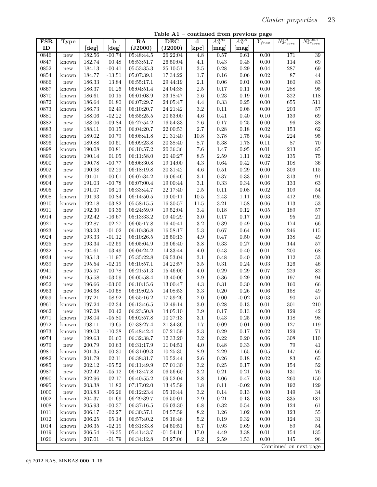Table A1 – continued from previous page

| <b>FSR</b> | <b>Type</b>          | 1          | $\mathbf b$       | RA         | <b>DEC</b>  | $\mathbf d$      | $A_H^{H45}$ | $A_H^{HK}$       | ${\cal Y}_{frac}$ | $N_{2r_{core}}^{tot}$  | $N_{2r_{core}}^{mem}$ |
|------------|----------------------|------------|-------------------|------------|-------------|------------------|-------------|------------------|-------------------|------------------------|-----------------------|
| ID         |                      | [deg]      | [deg]             | (J2000)    | (J2000)     | $[\mathrm{kpc}]$ | [mag]       | $[\mathrm{mag}]$ |                   |                        |                       |
| 0846       | new                  | 182.56     | $-00.74$          | 05:48:44.5 | 26:22:04    | 4.8              | 0.57        | 0.61             | 0.00              | 171                    | 39                    |
| 0847       | known                | 182.74     | 00.48             | 05:53:51.7 | 26:50:04    | 4.1              | $0.43\,$    | 0.48             | 0.00              | 114                    | 69                    |
| 0852       | $\operatorname{new}$ | 184.13     | $-00.41$          | 05:53:35.3 | 25:10:51    | $\!.5$           | 0.28        | 0.29             | 0.04              | 287                    | 69                    |
| 0854       | known                | 184.77     | $\textbf{-13.51}$ | 05:07:39.1 | 17:34:22    | 1.7              | $0.16\,$    | 0.06             | 0.02              | 87                     | 44                    |
| 0866       | $\operatorname{new}$ | 186.33     | 13.84             | 06:55:17.1 | 29:44:19    | 2.1              | 0.06        | 0.01             | 0.00              | 160                    | $83\,$                |
| 0867       | known                | 186.37     | $01.26\,$         | 06:04:51.4 | 24:04:38    | $2.5\,$          | $0.17\,$    | 0.11             | 0.00              | $\boldsymbol{288}$     | 95                    |
| 0870       | known                | 186.61     | 00.15             | 06:01:08.9 | 23:18:47    | $2.6\,$          | $0.23\,$    | 0.19             | $\rm 0.01$        | 322                    | 118                   |
| 0872       | known                | 186.64     | 01.80             | 06:07:29.7 | 24:05:47    | 4.4              | $0.33\,$    | 0.25             | 0.00              | 655                    | 511                   |
| 0873       | known                | 186.73     | 02.49             | 06:10:20.7 | 24:21:42    | $\!3.2\!$        | $0.11\,$    | 0.08             | 0.00              | $\,203$                | $57\,$                |
| 0881       | $\operatorname{new}$ | 188.06     | $-02.22$          | 05:55:25.5 | 20:53:00    | 4.6              | 0.41        | 0.40             | 0.10              | 139                    | 69                    |
| 0882       | new                  | 188.06     | $-09.84$          | 05:27:54.2 | 16:54:33    | $2.6\,$          | 0.17        | 0.25             | 0.00              | 96                     | 38                    |
| 0883       | new                  | 188.11     | 00.15             | 06:04:20.7 | 22:00:53    | $2.7\,$          | $0.28\,$    | 0.18             | 0.02              | 153                    | 62                    |
| 0889       | known                | 189.02     | 00.79             | 06:08:41.8 | 21:31:40    | $10.8\,$         | 3.78        | 1.75             | $\rm 0.04$        | 224                    | 95                    |
| 0896       | known                | 189.88     | 00.51             | 06:09:23.8 | 20:38:40    | 8.7              | 5.38        | 1.78             | $0.11\,$          | 87                     | 70                    |
| 0898       | known                | 190.08     | 00.81             | 06:10:57.2 | 20:36:36    | 7.6              | 1.47        | $\,0.95\,$       | $\rm 0.01$        | 213                    | 85                    |
| 0899       | known                | 190.14     | 01.05             | 06:11:58.0 | 20:40:27    | 8.5              | $2.59\,$    | 1.11             | 0.02              | 135                    | $75\,$                |
| 0900       | $\operatorname{new}$ | 190.78     | $-00.77$          | 06:06:30.8 | 19:14:00    | $4.3\,$          | 0.64        | 0.42             | $0.07\,$          | 108                    | 36                    |
| 0902       | new                  | 190.98     | 02.29             | 06:18:19.8 | 20:31:42    | 4.6              | $0.51\,$    | 0.29             | 0.00              | 309                    | 115                   |
| 0903       | new                  | 191.01     | $-00.61$          | 06:07:34.2 | 19:06:46    | 3.1              | $0.37\,$    | 0.33             | $\rm 0.01$        | $313\,$                | 91                    |
| 0904       | new                  | 191.03     | $-00.78$          | 06:07:00.4 | 19:00:44    | 3.1              | $0.33\,$    | 0.34             | 0.06              | 133                    | 63                    |
| 0905       | $\operatorname{new}$ | 191.07     | 06.29             | 06:33:44.7 | 22:17:40    | $2.5\,$          | 0.11        | 0.08             | 0.02              | 109                    | $54\,$                |
| 0908       | known                | 191.93     | 00.84             | 06:14:50.5 | 19:00:11    | 10.5             | $2.43\,$    | 1.11             | 0.03              | 412                    | $195\,$               |
| 0910       | known                | 192.18     | $-03.82$          | 05:58:15.5 | 16:30:57    | 11.5             | $3.21\,$    | 1.58             | 0.06              | 113                    | $53\,$                |
| 0911       | $\operatorname{new}$ | 192.30     | 03.36             | 06:24:59.9 | 19:52:04    | $3.4\,$          | $0.18\,$    | 0.12             | $0.05\,$          | 189                    | $57\,$                |
| 0914       | new                  | 192.42     | $-16.67$          | 05:13:33.2 | 09:40:29    | $3.0\,$          | $0.17\,$    | $0.17\,$         | 0.00              | 95                     | $21\,$                |
| 0921       | new                  | 192.87     | $-02.27$          | 06:05:17.8 | 16:40:41    | $\!3.2\!$        | 0.39        | 0.49             | 0.05              | 174                    | 66                    |
| 0923       | new                  | 193.23     | $-01.02$          | 06:10:36.8 | 16:58:17    | $5.3\,$          | $0.67\,$    | 0.64             | 0.00              | 246                    | $115\,$               |
| 0924       | new                  | 193.33     | $-01.12$          | 06:10:26.5 | 16:50:13    | 4.9              | 0.47        | 0.50             | 0.00              | 138                    | 49                    |
| 0925       | new                  | 193.34     | $-02.59$          | 06:05:04.9 | 16:06:40    | $3.8\,$          | $0.33\,$    | 0.27             | 0.00              | 144                    | $57\,$                |
| 0932       | new                  | 194.61     | $-03.49$          | 06:04:24.2 | 14:33:44    | 4.0              | 0.43        | 0.40             | $\rm 0.01$        | 200                    | 68                    |
| 0934       | new                  | 195.13     | $-11.97$          | 05:35:22.8 | 09:53:04    | 3.1              | 0.48        | 0.40             | 0.00              | 112                    | $53\,$                |
| 0939       | new                  | 195.54     | $-02.19$          | 06:10:57.1 | 14:22:57    | $\!.5$           | $\rm 0.31$  | 0.24             | 0.03              | 126                    | 46                    |
| 0941       | new                  | 195.57     | 00.78             | 06:21:51.3 | 15:46:00    | 4.0              | $0.29\,$    | 0.29             | 0.07              | 229                    | 82                    |
| 0942       | new                  | 195.58     | $-03.59$          | 06:05:58.4 | 13:40:06    | $2.9\,$          | $0.36\,$    | 0.29             | 0.00              | 197                    | 94                    |
| 0952       | new                  | 196.66     | $-03.00$          | 06:10:15.6 | 13:00:47    | $4.3\,$          | $\rm 0.31$  | 0.30             | 0.00              | 160                    | 66                    |
| 0953       | $\operatorname{new}$ | 196.68     | $-00.58$          | 06:19:02.5 | 14:08:53    | $\!3.3$          | 0.20        | 0.26             | 0.06              | 158                    | $49\,$                |
| 0959       | known                | 197.21     | 08.92             | 06:55:16.2 | 17:59:26    | $2.0\,$          | 0.00        | $-0.02$          | 0.03              | 90                     | $51\,$                |
| 0961       | known                | 197.24     | $-02.34$          | 06:13:46.5 | 12:49:14    | $3.0\,$          | 0.28        | 0.13             | $\rm 0.01$        | 301                    | $210\,$               |
| 0962       | new                  | 197.28     | $\,00.42\,$       | 06:23:50.8 | 14:05:10    | $3.9\,$          | 0.17        | $0.13\,$         | $0.00\,$          | 129                    | 42                    |
| 0971       | known                | 198.04     | $-05.80$          | 06:02:57.8 | 10:27:13    | 3.1              | 0.43        | 0.25             | 0.00              | 118                    | 98                    |
| 0972       | known                | 198.11     | 19.65             | 07:38:27.4 | 21:34:36    | 1.7              | 0.09        | $-0.01$          | 0.00              | 127                    | 119                   |
| 0973       | known                | 199.03     | $-10.38$          | 05:48:42.4 | 07:21:59    | $2.3\,$          | 0.29        | 0.17             | 0.02              | 129                    | 71                    |
| 0974       | $\operatorname{new}$ | 199.63     | 01.60             | 06:32:38.7 | 12:33:20    | $3.2\,$          | 0.22        | 0.20             | 0.06              | 308                    | 110                   |
| 0979       | $\operatorname{new}$ | 200.79     | 00.63             | 06:31:17.9 | 11:04:51    | 4.0              | 0.48        | 0.33             | 0.00              | 79                     | 41                    |
| 0981       | known                | 201.35     | 00.30             | 06:31:09.3 | 10:25:35    | 8.9              | 2.29        | 1.65             | 0.05              | 147                    | 66                    |
| 0982       | known                | 201.79     | 02.11             | 06:38:31.7 | 10:52:44    | 2.6              | 0.26        | 0.18             | 0.02              | 83                     | 65                    |
| 0985       | $\operatorname{new}$ | 202.12     | $-05.52$          | 06:11:49.9 | 07:01:30    | $\!3.2\!$        | $0.25\,$    | 0.17             | 0.00              | 154                    | 52                    |
| 0987       | $\operatorname{new}$ | 202.42     | $-05.12$          | 06:13:47.8 | 06:56:60    | $3.2\,$          | 0.21        | 0.21             | 0.06              | 131                    | 76                    |
| 0990       | known                | $202.96\,$ | 02.17             | 06:40:55.2 | 09:52:04    | $2.8\,$          | 1.06        | 0.47             | 0.03              | 260                    | 150                   |
| 0995       | known                | 203.38     | 11.82             | 07:17:02.0 | 13:45:59    | 1.8              | 0.11        | $-0.02$          | 0.00              | 192                    | 129                   |
| $1000\,$   | $\operatorname{new}$ | 203.83     | $-06.26$          | 06:12:23.4 | 05:10:44    | $3.2\,$          | 0.14        | 0.13             | 0.00              | 149                    | 34                    |
| $1002\,$   | known                | $204.37\,$ | $-01.69$          | 06:29:39.7 | 06:50:01    | $2.9\,$          | $0.21\,$    | 0.13             | 0.03              | $335\,$                | 181                   |
| $1008\,$   | known                | 205.93     | $-00.37$          | 06:37:16.5 | 06:03:30    | 6.8              | $\rm 0.32$  | 0.54             | 0.00              | 124                    | $61\,$                |
| 1011       | known                | 206.17     | $-02.27$          | 06:30:57.1 | 04:57:59    | 8.2              | 1.26        | 1.02             | 0.00              | 123                    | $55\,$                |
| $1012\,$   | known                | 206.25     | $05.14\,$         | 06:57:40.2 | 08:16:46    | $5.2\,$          | 0.19        | 0.32             | 0.00              | 124                    | 31                    |
| 1014       | known                | $206.35\,$ | $-02.19$          | 06:31:33.8 | 04:50:51    | 6.7              | 0.93        | 0.69             | 0.00              | 89                     | 54                    |
| 1019       | known                | 206.54     | $-16.35$          | 05:41:43.7 | $-01:54:16$ | 17.0             | 4.49        | 3.38             | 0.01              | 154                    | 135                   |
| $1026\,$   | known                | 207.01     | $-01.79$          | 06:34:12.8 | 04:27:06    | 9.2              | 2.59        | 1.53             | 0.00              | 145                    | 96                    |
|            |                      |            |                   |            |             |                  |             |                  |                   | Continued on next page |                       |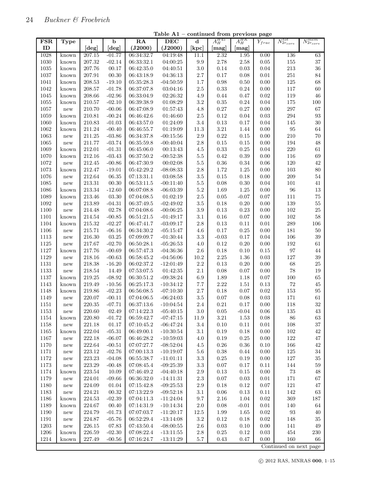| FSR      | Type                 | l          | $\overline{\mathbf{b}}$ | $\overline{RA}$ | $\overline{\text{DEC}}$ | $\mathbf d$                 | $A_H^{H45}$ | $A_H^{HK}$       | $\overline{Y}_{frac}$ | $N_{2r_{core}}^{tot}$  | $N_{2r_{core}}^{mem}$ |
|----------|----------------------|------------|-------------------------|-----------------|-------------------------|-----------------------------|-------------|------------------|-----------------------|------------------------|-----------------------|
| ID       |                      | [deg]      | [deg]                   | (J2000)         | (J2000)                 | $\left[\mathrm{kpc}\right]$ | [mag]       | $[\mathrm{mag}]$ |                       |                        |                       |
| 1028     | known                | 207.15     | $-01.77$                | 06:34:32.7      | 04:19:48                | 11.1                        | 2.32        | 1.95             | 0.00                  | 136                    | 63                    |
| 1030     | known                | 207.32     | $-02.14$                | 06:33:32.1      | 04:00:25                | $\,9.9$                     | 2.78        | $2.58\,$         | $0.05\,$              | $155\,$                | 37                    |
| $1035\,$ | known                | 207.76     | 00.17                   | 06:42:35.0      | 04:40:51                | $3.0\,$                     | $0.14\,$    | $\rm 0.03$       | 0.04                  | 213                    | 36                    |
| 1037     | known                | 207.91     | 00.30                   | 06:43:18.9      | 04:36:13                | $2.7\,$                     | 0.17        | 0.08             | $\rm 0.01$            | $251\,$                | 84                    |
| 1041     | known                | 208.53     | $-19.10$                | 05:35:28.3      | $-04:50:59$             | 1.7                         | 0.98        | 0.50             | 0.00                  | $125\,$                | 68                    |
| 1042     | known                | 208.57     | $-01.78$                | 06:37:07.8      | 03:04:16                | $2.5\,$                     | $0.33\,$    | 0.24             | 0.00                  | 117                    | 60                    |
| 1045     | known                | 208.66     | $-02.96$                | 06:33:04.9      | 02:26:32                | 4.9                         | 0.44        | 0.47             | 0.02                  | 119                    | 46                    |
| 1055     | known                | 210.57     | $-02.10$                | 06:39:38.9      | 01:08:29                | $3.2\,$                     | 0.35        | 0.24             | 0.04                  | $175\,$                | 100                   |
| 1057     | $\operatorname{new}$ | 210.70     | $-00.06$                | 06:47:08.9      | 01:57:43                | $4.8\,$                     | $0.27\,$    | $0.27\,$         | 0.00                  | 297                    | 67                    |
| 1059     | known                | 210.81     | $-00.24$                | 06:46:42.6      | 01:46:60                | $2.5\,$                     | $\rm 0.12$  | 0.04             | 0.03                  | 294                    | $\boldsymbol{93}$     |
| 1060     | known                | 210.83     | $-01.03$                | 06:43:57.0      | 01:24:09                | $3.4\,$                     | $0.13\,$    | 0.17             | 0.04                  | 145                    | $30\,$                |
| 1062     | known                | 211.24     | $-00.40$                | 06:46:55.7      | 01:19:09                | $11.3\,$                    | $3.21\,$    | 1.44             | $0.00\,$              | $\rm 95$               | $64\,$                |
| 1063     |                      | 211.25     | $-03.86$                | 06:34:37.8      |                         | $2.9\,$                     | $\rm 0.22$  |                  | 0.00                  | 210                    |                       |
|          | new                  |            |                         |                 | $-00:15:56$             |                             |             | 0.15             |                       |                        | $70\,$                |
| 1065     | new                  | 211.77     | $-03.74$                | 06:35:59.8      | $-00:40:04$             | $2.8\,$                     | $0.15\,$    | 0.15             | 0.00                  | 194                    | 48                    |
| 1069     | known                | 212.01     | $-01.31$                | 06:45:06.0      | 00:13:43                | $4.5\,$                     | $0.33\,$    | 0.25             | 0.04                  | 220                    | $61\,$                |
| 1070     | known                | 212.16     | $-03.43$                | 06:37:50.2      | $-00:52:38$             | $5.5\,$                     | $\rm 0.42$  | 0.39             | 0.00                  | 116                    | 69                    |
| 1072     | new                  | 212.45     | $-00.86$                | 06:47:30.9      | 00:02:08                | $5.5\,$                     | $0.36\,$    | 0.34             | 0.06                  | $120\,$                | 42                    |
| 1073     | known                | 212.47     | $-19.01$                | 05:42:29.2      | $-08:08:33$             | $2.8\,$                     | 1.72        | 1.25             | 0.00                  | $103\,$                | 80                    |
| 1076     | new                  | 212.64     | 06.35                   | 07:13:31.1      | 03:08:58                | $3.5\,$                     | 0.15        | 0.18             | 0.00                  | 209                    | $54\,$                |
| 1085     | new                  | 213.31     | 00.30                   | 06:53:11.5      | $-00:11:40$             | $5.5\,$                     | 0.08        | 0.30             | 0.04                  | 101                    | $41\,$                |
| 1086     | known                | 213.34     | $-12.60$                | 06:07:08.8      | $-06:03:39$             | $5.2\,$                     | 1.69        | 1.25             | 0.00                  | 96                     | $13\,$                |
| 1089     | known                | 213.46     | 03.30                   | 07:04:08.5      | 01:02:19                | $2.5\,$                     | 0.05        | $-0.07$          | 0.07                  | 111                    | 75                    |
| 1092     | new                  | 213.89     | $-04.31$                | 06:37:49.5      | $-02:49:02$             | $3.5\,$                     | $0.18\,$    | 0.20             | 0.00                  | 139                    | $55\,$                |
| 1100     | new                  | 214.48     | 02.78                   | 07:04:08.6      | $-00:06:25$             | $3.9\,$                     | $0.13\,$    | 0.23             | 0.00                  | $102\,$                | 25                    |
| 1101     | known                | 214.54     | $-00.85$                | 06:51:21.5      | $-01:49:17$             | $3.1\,$                     | $0.16\,$    | 0.07             | 0.00                  | $102\,$                | 58                    |
| 1104     | known                | 215.32     | $-02.27$                | 06:47:41.7      | $-03:09:17$             | $2.8\,$                     | 0.13        | 0.11             | $\rm 0.01$            | 289                    | $106\,$               |
| 1106     | new                  | 215.71     | $-06.16$                | 06:34:30.2      | $-05:15:47$             | 4.6                         | $0.17\,$    | 0.25             | 0.00                  | 181                    | $50\,$                |
| 1113     | new                  | 216.30     | 03.25                   | 07:09:09.7      | $-01:30:44$             | $3.3\,$                     | $-0.03$     | 0.17             | 0.04                  | 106                    | 39                    |
| 1125     | new                  | 217.67     | $-02.70$                | 06:50:28.1      | $-05:26:53$             | 4.0                         | $0.12\,$    | 0.20             | 0.00                  | $192\,$                | 61                    |
| 1127     | known                | 217.76     | $-00.69$                | 06:57:47.3      | $-04:36:36$             | $2.6\,$                     | 0.18        | 0.10             | $0.15\,$              | 97                     | $44\,$                |
| 1129     | new                  | 218.16     | $-00.63$                | 06:58:45.2      | $-04:56:06$             | 10.2                        | $2.25\,$    | 1.36             | 0.03                  | 127                    | 39                    |
| $1131\,$ | new                  | 218.38     | $-16.20$                | 06:02:37.2      | $-12:01:49$             | $2.2\,$                     | $0.13\,$    | 0.20             | 0.00                  | 68                     | 25                    |
| 1133     | new                  | 218.54     | 14.49                   | 07:53:07.5      | 01:42:35                | $2.1\,$                     | 0.08        | 0.07             | 0.00                  | $78\,$                 | 19                    |
| 1137     | known                | 219.25     | $-08.92$                | 06:30:51.2      | $-09:38:24$             | 6.9                         | 1.89        | 1.18             | $0.07\,$              | $100\,$                | 65                    |
| 1143     | known                | 219.49     | $-10.56$                | 06:25:17.3      | $-10:34:12$             | 7.7                         | $2.22\,$    | 1.51             | $0.13\,$              | $72\,$                 | $45\,$                |
| 1148     | known                | 219.86     | $-02.23$                | 06:56:08.5      | $-07:10:30$             | $2.7\,$                     | 0.18        | 0.07             | 0.02                  | $153\,$                | $\rm 95$              |
| 1149     | new                  | 220.07     | $-00.11$                | 07:04:06.5      | $-06:24:03$             | $3.5\,$                     | 0.07        | 0.08             | 0.03                  | 171                    | $61\,$                |
| $1151\,$ | new                  | 220.35     | $-07.71$                | 06:37:13.6      | $-10:04:54$             | $2.4\,$                     | $\rm 0.21$  | 0.17             | 0.00                  | 118                    | $32\,$                |
| 1153     | new                  | 220.60     | 02.49                   | 07:14:22.3      | $-05:40:15$             | $3.0\,$                     | 0.05        | $-0.04$          | 0.06                  | 135                    | 43                    |
| 1154     | known                | 220.80     | $-01.72$                | 06:59:42.7      | $-07:47:15$             | 11.9                        | $3.21\,$    | 1.53             | 0.08                  | 86                     | 63                    |
| 1158     | new                  | 221.18     | 01.17                   | 07:10:45.2      | $-06:47:24$             | 3.4                         | $0.10\,$    | 0.11             | $0.01\,$              | $108\,$                | $37\,$                |
| 1165     | known                | 222.04     | $-05.31$                | 06:49:00.1      | $-10:30:54$             | $3.1\,$                     | 0.19        | 0.18             | 0.00                  | $102\,$                | $42\,$                |
| 1167     |                      | 222.18     | $-06.07$                | 06:46:28.2      |                         | $4.0\,$                     | $0.19\,$    | $0.25\,$         | $0.00\,$              | $122\,$                | $47\,$                |
|          | $\operatorname{new}$ |            |                         | 07:07:27.7      | $-10:59:03$             |                             |             |                  |                       |                        |                       |
| 1170     | new                  | 222.64     | $-00.51$                |                 | $-08:52:04$             | 4.5                         | 0.26        | 0.36             | 0.10                  | 166                    | $42\,$                |
| $1171\,$ | new                  | 223.12     | $-02.76$                | 07:00:13.3      | $-10:19:07$             | $5.6\,$                     | 0.38        | 0.44             | 0.00                  | 125                    | $34\,$                |
| $1172\,$ | new                  | 223.23     | $-04.08$                | 06:55:38.7      | $-11:01:11$             | $3.3\,$                     | $0.25\,$    | $0.19\,$         | $0.00\,$              | $127\,$                | $35\,$                |
| $1173\,$ | $\operatorname{new}$ | 223.29     | $-00.48$                | 07:08:45.4      | $-09:25:39$             | 3.3                         | 0.07        | 0.17             | 0.11                  | 144                    | $59\,$                |
| 1174     | known                | 223.54     | 10.09                   | 07:46:49.2      | $-04:40:18$             | $2.9\,$                     | 0.13        | 0.15             | $0.00\,$              | $73\,$                 | $\sqrt{48}$           |
| 1179     | new                  | 224.01     | $-09.66$                | 06:36:32.0      | $-14:11:31$             | $2.3\,$                     | 0.07        | $\rm 0.03$       | 0.01                  | $171\,$                | 67                    |
| 1180     | new                  | 224.09     | 01.04                   | 07:15:42.8      | $-09:25:53$             | $2.9\,$                     | 0.18        | 0.12             | $0.07\,$              | $121\,$                | 47                    |
| 1183     | $\operatorname{new}$ | 224.21     | 00.32                   | 07:13:22.9      | $-09:52:18$             | 3.1                         | 0.06        | 0.13             | $0.11\,$              | 142                    | 63                    |
| 1186     | known                | $224.53\,$ | $-02.39$                | 07:04:11.3      | $-11:24:04$             | $9.7\,$                     | $2.16\,$    | 1.04             | $\rm 0.02$            | 369                    | $187\,$               |
| 1189     | known                | 224.67     | 00.40                   | 07:14:31.9      | $-10:14:34$             | $2.0\,$                     | 0.08        | $-0.01$          | $\rm 0.01$            | 140                    | 64                    |
| 1190     | $\operatorname{new}$ | 224.79     | $-01.73$                | 07:07:03.7      | $-11:20:17$             | $12.5\,$                    | 1.99        | 1.65             | 0.02                  | $\boldsymbol{93}$      | $40\,$                |
| 1191     | new                  | 224.87     | $-05.76$                | 06:52:29.4      | $-13:14:08$             | $3.2\,$                     | $0.12\,$    | $0.18\,$         | 0.02                  | 148                    | $35\,$                |
| 1203     | new                  | 226.15     | 07.83                   | 07:43:50.4      | $-08:00:55$             | $2.6\,$                     | 0.03        | 0.10             | 0.00                  | 141                    | 49                    |
| 1206     | known                | 226.59     | $-02.30$                | 07:08:22.4      | $-13:11:55$             | 2.8                         | $0.25\,$    | 0.12             | 0.03                  | 454                    | 230                   |
| 1214     | known                | 227.49     | $-00.56$                | 07:16:24.7      | $-13:11:29$             | 5.7                         | $0.43\,$    | 0.47             | $0.00\,$              | 160                    | 66                    |
|          |                      |            |                         |                 |                         |                             |             |                  |                       | Continued on next page |                       |

Table A1 – continued from previous page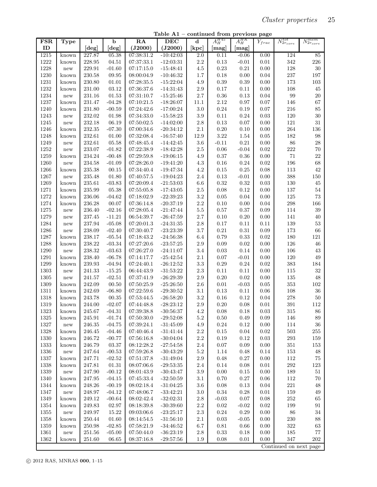Table A1 – continued from previous page

| <b>FSR</b> | <b>Type</b>          | 1          | $\mathbf b$ | RA         | DEC         | $\mathbf d$      | $A_H^{H45}$          | $A_H^{HK}$       | $Y_{frac}$ | $N_{2r_{core}}^{tot}$  | $N_{2r_{core}}^{mem}$ |
|------------|----------------------|------------|-------------|------------|-------------|------------------|----------------------|------------------|------------|------------------------|-----------------------|
| ID         |                      | [deg]      | [deg]       | (J2000)    | (J2000)     | [kpc]            | [mag]                | $[\mathrm{mag}]$ |            |                        |                       |
| 1215       | known                | 227.87     | 05.38       | 07:38:31.2 | $-10:42:03$ | $\overline{2.0}$ | 0.11                 | $-0.06$          | 0.00       | 124                    | 85                    |
| $1222\,$   | known                | 228.95     | 04.51       | 07:37:33.1 | $-12:03:31$ | $2.2\,$          | $0.13\,$             | $-0.01$          | 0.01       | 342                    | 226                   |
| 1228       | new                  | 229.91     | $-01.60$    | 07:17:15.0 | $-15:48:41$ | $4.5\,$          | $0.23\,$             | 0.21             | 0.00       | 128                    | $30\,$                |
| 1230       | known                | 230.58     | 09.95       | 08:00:04.9 | $-10:46:32$ | $1.7\,$          | $0.18\,$             | 0.00             | 0.04       | 237                    | 197                   |
| 1231       | known                | 230.80     | 01.01       | 07:28:35.5 | $-15:22:04$ | 4.9              | 0.39                 | 0.39             | 0.00       | 173                    | $103\,$               |
| 1232       | known                | 231.00     | 03.12       | 07:36:37.6 | $-14:31:43$ | $2.9\,$          | 0.17                 | 0.11             | 0.00       | 108                    | $45\,$                |
| $1234\,$   | $\operatorname{new}$ | 231.16     | 01.53       | 07:31:10.7 | $-15:25:46$ | $2.7\,$          | $0.36\,$             | 0.13             | 0.04       | 99                     | $20\,$                |
| 1237       | known                | 231.47     | $-04.28$    | 07:10:21.5 | $-18:26:07$ | 11.1             | 2.12                 | 0.97             | $0.07\,$   | 146                    | 67                    |
| 1240       | known                | 231.80     | $-00.59$    | 07:24:42.6 | $-17:00:24$ | $3.0\,$          | $0.24\,$             | 0.19             | $0.07\,$   | 216                    | 85                    |
| 1243       | $\operatorname{new}$ | 232.02     | 01.98       | 07:34:33.0 | $-15:58:23$ | $3.9\,$          | 0.11                 | 0.24             | 0.03       | $120\,$                | $30\,$                |
| 1245       | $\operatorname{new}$ | 232.18     | 06.19       | 07:50:02.5 | $-14:02:00$ | $2.8\,$          | $0.13\,$             | 0.07             | 0.00       | 121                    | $31\,$                |
| 1246       | known                | 232.35     | $-07.30$    | 07:00:34.6 | $-20:34:12$ | $2.1\,$          | $0.20\,$             | 0.10             | 0.00       | 264                    | 136                   |
| 1248       | known                | 232.61     | 01.00       | 07:32:08.4 | $-16:57:40$ | 12.9             | $3.22\,$             | 1.54             | 0.05       | 182                    | $98\,$                |
| 1249       | $\operatorname{new}$ | 232.61     | 05.58       | 07:48:45.4 | $-14:42:45$ | $3.6\,$          | $-0.11$              | $0.21\,$         | 0.00       | 86                     | 28                    |
| 1252       | $\operatorname{new}$ | 233.07     | $-01.82$    | 07:22:38.9 | $-18:42:28$ | $2.5\,$          | 0.06                 | $-0.04$          | 0.02       | 222                    | 70                    |
| 1259       | known                | 234.24     | $-00.48$    | 07:29:59.8 | $-19:06:15$ | 4.9              | 0.37                 | 0.36             | 0.00       | 71                     | 22                    |
| 1260       | $\operatorname{new}$ | 234.58     | $-01.09$    | 07:28:26.0 | $-19:41:20$ | $4.3\,$          | $0.16\,$             | 0.24             | 0.02       | 196                    | 68                    |
| 1266       | known                | 235.38     | 00.15       | 07:34:40.4 | $-19:47:34$ | $4.2\,$          | 0.15                 | 0.25             | 0.08       | 113                    | 42                    |
| 1267       | $\operatorname{new}$ | 235.48     | 01.80       | 07:40:57.5 | $-19:04:23$ | $2.4\,$          | 0.13                 | $-0.01$          | 0.00       | 388                    | $150\,$               |
| 1269       | known                | 235.61     | $-03.83$    | 07:20:09.4 | $-21:53:03$ | $6.6\,$          | 0.32                 | 0.32             | $\rm 0.03$ | $130\,$                | $45\,$                |
| 1271       | known                | 235.99     | 05.38       | 07:55:05.8 | $-17:43:05$ | $2.5\,$          | 0.08                 | 0.12             | 0.00       | $137\,$                | $54\,$                |
| 1272       |                      | 236.06     |             |            |             | $3.2\,$          |                      | 0.04             | 0.00       | 125                    | 73                    |
| 1274       | known                |            | $-04.62$    | 07:18:02.9 | $-22:39:23$ | $2.2\,$          | $0.05\,$             |                  | 0.04       |                        |                       |
|            | known                | 236.28     | 00.07       | 07:36:14.8 | $-20:37:19$ | $5.5\,$          | $0.10\,$<br>$0.57\,$ | 0.00             | 0.09       | $\,298$                | 166<br>$39\,$         |
| 1275       | $\operatorname{new}$ | 236.40     | $-02.16$    | 07:28:05.4 | $-21:47:44$ |                  |                      | 0.37             |            | 114                    |                       |
| 1279       | $\operatorname{new}$ | 237.45     | $-11.21$    | 06:54:39.7 | $-26:47:59$ | $2.7\,$          | 0.10                 | 0.20             | 0.00       | 141                    | 40                    |
| 1284       | $\operatorname{new}$ | 237.94     | $-05.08$    | 07:20:01.3 | $-24:31:35$ | $2.8\,$          | 0.17                 | 0.11             | 0.11       | 139                    | 53                    |
| 1286       | $\operatorname{new}$ | 238.09     | $-02.40$    | 07:30:40.7 | $-23:23:39$ | $3.7\,$          | $\rm 0.21$           | 0.31             | 0.09       | 173                    | 66                    |
| 1287       | known                | 238.17     | $-05.54$    | 07:18:43.2 | $-24:56:38$ | 6.4              | 0.79                 | 0.33             | 0.02       | 180                    | $121\,$               |
| 1288       | known                | 238.22     | $-03.34$    | 07:27:20.6 | $-23:57:25$ | $2.9\,$          | 0.09                 | 0.02             | 0.00       | 126                    | 46                    |
| 1290       | $\operatorname{new}$ | 238.32     | $-03.63$    | 07:26:27.0 | $-24:11:07$ | $3.4\,$          | 0.03                 | 0.14             | 0.00       | 106                    | $43\,$                |
| 1291       | known                | 238.40     | $-06.78$    | 07:14:17.7 | $-25:42:54$ | 2.1              | $0.07\,$             | $-0.01$          | 0.00       | 120                    | $\sqrt{49}$           |
| 1299       | known                | 239.93     | $-04.94$    | 07:24:40.1 | $-26:12:52$ | $\!3.3$          | $0.29\,$             | 0.24             | 0.02       | $383\,$                | 184                   |
| $1303\,$   | $\operatorname{new}$ | 241.33     | $-15.25$    | 06:44:43.9 | $-31:53:22$ | $2.3\,$          | 0.11                 | 0.11             | 0.00       | 115                    | $32\,$                |
| 1305       | $\operatorname{new}$ | 241.57     | $-02.51$    | 07:37:41.9 | $-26:29:39$ | $2.9\,$          | $0.20\,$             | 0.02             | 0.00       | 135                    | 48                    |
| 1309       | known                | 242.09     | 00.50       | 07:50:25.9 | $-25:26:50$ | $2.6\,$          | $0.01\,$             | $-0.03$          | $0.05\,$   | 353                    | $102\,$               |
| 1311       | known                | 242.69     | $-06.80$    | 07:22:59.6 | $-29:30:52$ | $3.1\,$          | 0.13                 | 0.11             | 0.06       | 108                    | $36\,$                |
| 1318       | known                | 243.78     | 00.35       | 07:53:44.5 | $-26:58:20$ | $3.2\,$          | 0.16                 | 0.12             | 0.04       | 278                    | $50\,$                |
| 1319       | known                | 244.00     | $-02.07$    | 07:44:48.8 | $-28:23:12$ | $2.9\,$          | 0.20                 | 0.08             | $\rm 0.01$ | 391                    | 112                   |
| 1323       | known                | 245.67     | $-04.31$    | 07:39:38.8 | $-30:56:37$ | 4.2              | 0.08                 | 0.18             | 0.03       | 315                    | 86                    |
| $1325\,$   | known                | 245.91     | $-01.74$    | 07:50:30.0 | $-29:52:08$ | $5.2\,$          | 0.50                 | 0.49             | 0.09       | 146                    | 89                    |
| $1327\,$   | $\operatorname{new}$ | 246.35     | $-04.75$    | 07:39:24.1 | $-31:45:09$ | 4.9              | 0.24                 | 0.12             | 0.00       | 114                    | $36\,$                |
| 1328       | known                | 246.45     | $-04.46$    | 07:40:46.4 | $-31:41:44$ | $2.2\,$          | 0.15                 | 0.04             | 0.02       | $503\,$                | $255\,$               |
| 1330       | known                | 246.72     | $-00.77$    | 07:56:16.8 | $-30:04:04$ | $2.2\,$          | $0.19\,$             | 0.12             | $\rm 0.03$ | $\,293$                | 159                   |
| 1333       | known                | 246.79     | 03.37       | 08:12:28.2 | $-27:54:58$ | $2.4\,$          | 0.07                 | 0.09             | 0.00       | 351                    | 153                   |
| 1336       | $\operatorname{new}$ | 247.64     | $-00.53$    | 07:59:26.8 | $-30:43:29$ | $5.2\,$          | 1.14                 | 0.48             | 0.14       | 153                    | 48                    |
| $1337\,$   | known                | 247.71     | $-02.52$    | 07:51:37.8 | $-31:49:04$ | $2.9\,$          | $0.48\,$             | $0.27\,$         | $0.00\,$   | 112                    | 75                    |
| 1338       | known                | 247.81     | 01.31       | 08:07:06.6 | $-29:53:35$ | $2.4\,$          | 0.14                 | 0.08             | 0.01       | 292                    | 123                   |
| 1339       | $\operatorname{new}$ | 247.90     | $-00.12$    | 08:01:43.9 | $-30:43:47$ | $3.9\,$          | 0.00                 | 0.15             | 0.00       | 189                    | $51\,$                |
| 1340       | known                | 247.95     | $-04.15$    | 07:45:33.4 | $-32:50:59$ | 3.1              | 0.70                 | 0.27             | 0.06       | 112                    | 70                    |
| 1344       | known                | 248.26     | $-00.19$    | 08:02:18.4 | $-31:04:25$ | $3.6\,$          | 0.08                 | 0.13             | 0.04       | $221\,$                | 48                    |
| 1347       | $\operatorname{new}$ | 248.97     | $-04.12$    | 07:48:06.7 | $-33:42:21$ | 3.0              | 0.34                 | 0.28             | 0.01       | 159                    | 49                    |
| 1349       | known                | 249.12     | $-00.64$    | 08:02:42.4 | $-32:02:31$ | $2.8\,$          | $-0.03$              | 0.07             | $0.08\,$   | 252                    | 65                    |
| $1354\,$   | known                | 249.83     | 02.97       | 08:18:39.8 | $-30:39:60$ | $2.2\,$          | 0.02                 | $-0.02$          | 0.02       | 199                    | $\rm 91$              |
| $1355\,$   | $\operatorname{new}$ | 249.97     | 15.22       | 09:03:06.6 | $-23:25:17$ | $2.3\,$          | 0.24                 | 0.29             | 0.00       | 86                     | 34                    |
| 1358       | known                | $250.44\,$ | 01.60       | 08:14:54.5 | $-31:56:10$ | 2.1              | $0.03\,$             | $-0.05$          | 0.00       | $230\,$                | 88                    |
| 1359       | known                | 250.98     | $-02.85$    | 07:58:21.9 | $-34:46:52$ | 6.7              | $0.81\,$             | 0.66             | 0.00       | 322                    | $63\,$                |
| 1361       | $\operatorname{new}$ | 251.56     | $-05.00$    | 07:50:44.0 | $-36:23:19$ | 2.8              | 0.33                 | 0.18             | 0.00       | 185                    | 77                    |
| 1362       | known                | 251.60     | 06.65       | 08:37:16.8 | $-29:57:56$ | 1.9              | 0.08                 | $0.01\,$         | 0.00       | 347                    | $202\,$               |
|            |                      |            |             |            |             |                  |                      |                  |            | Continued on next page |                       |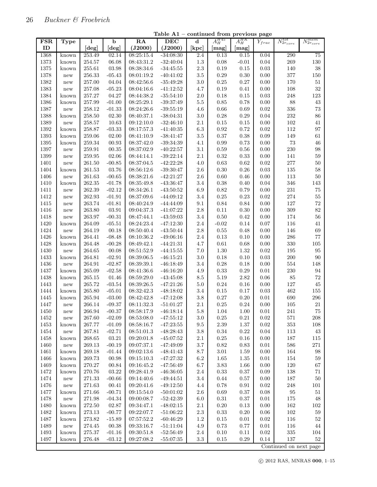$\mathbf l$ 

| <b>FSR</b> | Type  | 1          | $\mathbf b$ | RA         | <b>DEC</b>  | $\mathbf d$     | $A_H^{H45}$ | $A_H^{HK}$       | $Y_{frac}$ | $N_{2r_{core}}^{tot}$  | $N_{2r_{core}}^{mem}$ |
|------------|-------|------------|-------------|------------|-------------|-----------------|-------------|------------------|------------|------------------------|-----------------------|
| ID         |       | $[\deg]$   | [deg]       | (J2000)    | (J2000)     | [kpc]           | [mag]       | $[\mathrm{mag}]$ |            |                        |                       |
| 1368       | known | 253.49     | 02.14       | 08:25:15.4 | $-34:08:30$ | 2.4             | 0.13        | 0.15             | 0.04       | 290                    | 75                    |
| 1373       | known | 254.57     | 06.08       | 08:43:31.2 | $-32:40:04$ | $1.3\,$         | 0.08        | $-0.01$          | $\rm 0.04$ | 269                    | $130\,$               |
| 1375       | known | 255.61     | 03.98       | 08:38:34.6 | $-34:45:55$ | $2.3\,$         | 0.19        | 0.15             | $0.03\,$   | 140                    | 38                    |
| 1378       | new   | 256.33     | $-05.43$    | 08:01:19.2 | $-40:41:02$ | 3.5             | 0.29        | 0.30             | 0.00       | 377                    | $150\,$               |
| 1382       | new   | 257.00     | $04.04\,$   | 08:42:56.6 | $-35:49:28$ | 3.0             | 0.25        | 0.27             | 0.00       | 170                    | $51\,$                |
| 1383       | new   | 257.08     | $-05.23$    | 08:04:16.6 | $-41:12:52$ | 4.7             | 0.19        | 0.41             | $0.00\,$   | 108                    | $32\,$                |
| 1384       | known | 257.27     | 04.27       | 08:44:38.2 | $-35:54:10$ | $2.0\,$         | 0.18        | 0.15             | $\rm 0.03$ | 248                    | 123                   |
| 1386       | known | 257.99     | $-01.00$    | 08:25:29.1 | $-39:37:49$ | $5.5\,$         | 0.85        | 0.78             | 0.00       | 88                     | 43                    |
| 1387       | new   | 258.12     | $-01.33$    | 08:24:26.6 | $-39:55:19$ | 4.6             | 0.66        | 0.69             | 0.02       | 336                    | 73                    |
| 1388       | known | 258.50     | 02.30       | 08:40:37.1 | $-38:04:31$ | 3.0             | 0.28        | 0.29             | 0.04       | 232                    | 86                    |
| 1389       | new   | 258.57     | 10.63       | 09:12:10.0 | $-32:46:10$ | $2.1\,$         | 0.15        | 0.15             | 0.00       | 102                    | 41                    |
| 1392       | known | 258.87     | $-03.33$    | 08:17:57.3 | $-41:40:35$ | $6.3\,$         | 0.92        | 0.72             | $0.02\,$   | $112\,$                | 97                    |
| 1393       | known | $259.06\,$ | 02.00       | 08:41:10.9 | $-38:41:47$ | $3.5\,$         | 0.37        | 0.38             | 0.09       | 149                    | $61\,$                |
| 1395       | known | $259.34\,$ | 00.93       | 08:37:42.0 | $-39:34:39$ | 4.1             | 0.99        | 0.73             | 0.00       | 73                     | $\sqrt{46}$           |
| 1397       | new   | 259.91     | 00.35       | 08:37:02.9 | $-40:22:57$ | $3.1\,$         | 0.59        | 0.56             | 0.00       | 230                    | $98\,$                |
| 1399       | new   | $259.95\,$ | 02.06       | 08:44:14.1 | $-39:22:14$ | 2.1             | $\rm 0.32$  | 0.33             | 0.00       | 141                    | $59\,$                |
| 1401       | new   | 261.50     | $-00.85$    | 08:37:04.5 | $-42:22:28$ | 4.0             | $\rm 0.63$  | 0.62             | 0.02       | 277                    | $50\,$                |
| 1404       | known | 261.53     | 03.76       | 08:56:12.6 | $-39:30:47$ | $2.6\,$         | 0.30        | 0.26             | 0.03       | 135                    | 58                    |
| 1406       | new   | 261.63     | $-00.65$    | 08:38:21.6 | $-42:21:27$ | $2.6\,$         | 0.60        | 0.46             | 0.00       | 113                    | $50\,$                |
| 1410       | known | 262.35     | $-01.78$    | 08:35:49.8 | $-43:36:47$ | 3.4             | 0.38        | 0.40             | 0.04       | 346                    | 143                   |
| 1411       | new   | 262.39     | $-02.12$    | 08:34:26.1 | $-43:50:52$ | 6.9             | $\rm 0.82$  | 0.79             | 0.00       | 231                    | $75\,$                |
| 1412       | new   | 262.93     | $-01.91$    | 08:37:09.6 | $-44:09:12$ | 3.4             | 0.25        | 0.23             | 0.02       | 274                    | $55\,$                |
| 1415       | new   | 263.74     | $-01.81$    | 08:40:24.9 | $-44:44:09$ | 9.1             | $0.84\,$    | 0.84             | 0.00       | 127                    | 72                    |
| 1416       | new   | 263.80     | 03.91       | 09:04:37.3 | $-41:07:22$ | $2.8\,$         | $0.11\,$    | 0.30             | 0.00       | 309                    | $82\,$                |
| 1418       | new   | 263.97     | $-00.31$    | 08:47:44.1 | $-43:59:03$ | 3.4             | $0.50\,$    | 0.42             | 0.00       | 174                    | $56\,$                |
| 1420       | known | 264.09     | $-05.51$    | 08:24:23.4 | $-47:12:30$ | 2.4             | $-0.02$     | 0.14             | 0.07       | 116                    | $41\,$                |
| 1424       | new   | 264.19     | 00.18       | 08:50:40.4 | $-43:50:44$ | $2.8\,$         | 0.55        | 0.48             | 0.00       | 146                    | 69                    |
| 1426       | known | 264.41     | $-08.48$    | 08:10:36.2 | $-49:06:16$ | $2.4\,$         | 0.13        | 0.10             | 0.00       | 286                    | 77                    |
| 1428       | known | 264.48     | $-00.28$    | 08:49:42.1 | $-44:21:31$ | 4.7             | 0.61        | 0.68             | $0.00\,$   | 330                    | $105\,$               |
| 1430       | new   | 264.65     | 00.08       | 08:51:52.9 | $-44:15:55$ | 7.0             | 1.30        | 1.32             | 0.02       | 195                    | 95                    |
| 1433       | known | 264.81     | $-02.91$    | 08:39:06.5 | $-46:15:21$ | $3.0\,$         | 0.18        | 0.10             | 0.03       | $200\,$                | $90\,$                |
| 1436       | new   | 264.91     | $-02.87$    | 08:39:39.1 | $-46:18:49$ | 3.4             | 0.28        | 0.18             | 0.00       | 554                    | 148                   |
| 1437       | known | 265.09     | $-02.58$    | 08:41:36.6 | $-46:16:20$ | 4.9             | $0.33\,$    | 0.29             | 0.01       | 230                    | 94                    |
| 1438       | known | 265.15     | 01.46       | 08:59:29.0 | $-43:45:08$ | $\!\!\!\!\!8.5$ | 5.19        | 2.82             | 0.06       | 85                     | 72                    |
| 1443       | new   | 265.72     | $-03.54$    | 08:39:26.5 | $-47:21:26$ | $5.0\,$         | 0.24        | 0.16             | $0.00\,$   | 127                    | $45\,$                |
| 1444       | known | 265.80     | $-05.01$    | 08:32:42.3 | $-48:18:02$ | $3.4\,$         | 0.15        | 0.17             | 0.03       | 462                    | $155\,$               |
| 1445       | known | 265.94     | $-03.00$    | 08:42:42.8 | $-47:12:08$ | $3.8\,$         | 0.27        | 0.20             | 0.01       | 690                    | 296                   |
| 1447       | new   | 266.14     | $-09.37$    | 08:11:32.3 | $-51:01:27$ | 2.1             | 0.25        | 0.24             | 0.00       | 105                    | $21\,$                |
| 1450       | new   | 266.94     | $-00.37$    | 08:58:17.9 | $-46:18:14$ | 5.8             | 1.04        | 1.00             | 0.01       | 241                    | 75                    |
| 1452       | new   | 267.60     | $-02.09$    | 08:53:08.0 | $-47:55:12$ | 3.0             | $0.25\,$    | 0.21             | 0.02       | 571                    | 208                   |
| 1453       | known | 267.77     | $-01.09$    | 08:58:16.7 | $-47:23:55$ | $\,9.5$         | 2.39        | 1.37             | $0.02\,$   | 353                    | $108\,$               |
| 1454       | new   | 267.81     | $-02.71$    | 08:51:01.3 | $-48:28:43$ | $3.8\,$         | 0.34        | 0.22             | 0.04       | 113                    | 43                    |
| 1458       | known | 268.65     | 03.21       | 09:20:01.8 | $-45:07:52$ | $2.1\,$         | 0.25        | 0.16             | $0.00\,$   | 187                    | $115\,$               |
| 1460       | new   | 269.13     | $-00.19$    | 09:07:37.1 | $-47:49:09$ | $3.7\,$         | 0.82        | 0.83             | 0.01       | 586                    | 271                   |
| 1461       | known | 269.18     | $-01.44$    | 09:02:13.6 | $-48:41:43$ | $8.7\,$         | 3.01        | 1.59             | 0.00       | 164                    | $98\,$                |
| 1466       | known | 269.73     | 00.98       | 09:15:10.3 | $-47:27:32$ | $6.2\,$         | $1.65\,$    | 1.35             | $0.01\,$   | 154                    | $59\,$                |
| 1469       | known | 270.27     | 00.84       | 09:16:45.2 | $-47:56:49$ | 6.7             | $3.83\,$    | 1.66             | 0.00       | $120\,$                | $67\,$                |
| 1472       | known | 270.76     | 03.22       | 09:28:41.9 | $-46:36:05$ | $2.4\,$         | 0.33        | 0.37             | 0.09       | 138                    | 71                    |
| 1474       | new   | 271.33     | $-00.66$    | 09:14:40.6 | $-49:44:51$ | $3.4\,$         | 0.44        | 0.57             | $0.00\,$   | $187\,$                | $50\,$                |
| 1476       | new   | 271.63     | 00.41       | 09:20:41.6 | $-49:12:50$ | 4.4             | 0.78        | 0.91             | 0.02       | $248\,$                | $101\,$               |
| 1477       | known | 271.66     | $-00.71$    | 09:15:54.0 | $-50:01:02$ | 2.6             | 0.69        | 0.37             | 0.08       | $\rm 95$               | $51\,$                |
| 1478       | new   | 271.98     | $-04.34$    | 09:00:08.7 | $-52:42:39$ | $6.0\,$         | $\rm 0.31$  | 0.37             | $0.01\,$   | $175\,$                | 48                    |
| 1480       | known | 272.50     | 02.87       | 09:34:47.1 | $-48:02:15$ | $2.1\,$         | 0.20        | 0.13             | 0.00       | 162                    | $102\,$               |
| 1482       | known | 273.13     | $-00.77$    | 09:22:07.7 | $-51:06:22$ | $2.3\,$         | 0.33        | 0.20             | 0.06       | 102                    | $59\,$                |
| 1487       | known | $273.82\,$ | $-15.89$    | 07:57:52.2 | $-60:46:29$ | $1.2\,$         | 0.15        | 0.01             | $0.02\,$   | 116                    | $52\,$                |
| 1489       | new   | 274.45     | 00.38       | 09:33:16.7 | $-51:11:04$ | 4.9             | 0.73        | 0.77             | 0.01       | 116                    | 44                    |
| 1493       | known | 275.37     | $-01.16$    | 09:30:51.8 | $-52:56:49$ | 2.4             | 0.10        | 0.11             | 0.02       | $335\,$                | 104                   |
| 1497       | known | 276.48     | $-03.12$    | 09:27:08.2 | $-55:07:35$ | $3.3\,$         | 0.15        | 0.29             | 0.14       | 137                    | 52                    |
|            |       |            |             |            |             |                 |             |                  |            | Continued on next page |                       |

Table A1 – continued from previous page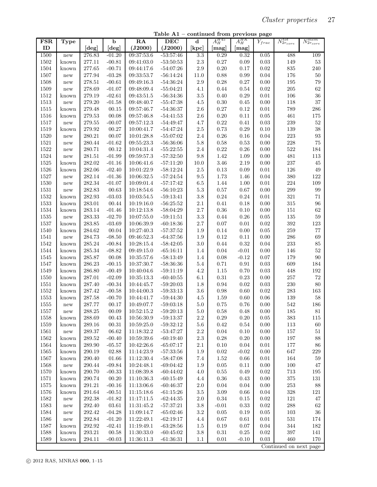Table A1 – continued from previous page

| <b>FSR</b> | <b>Type</b>          | 1          | $\mathbf b$          | RA         | <b>DEC</b>  | $\mathbf d$      | $A_H^{H45}$      | $A_H^{HK}$ | ${\cal Y}_{frac}$ | $N_{2r_{core}}^{tot}$  | $N_{2r_{core}}^{mem}$ |
|------------|----------------------|------------|----------------------|------------|-------------|------------------|------------------|------------|-------------------|------------------------|-----------------------|
| ID         |                      | [deg]      | [deg]                | (J2000)    | (J2000)     | $[\mathbf{kpc}]$ | $[\mathrm{mag}]$ | [mag]      |                   |                        |                       |
| 1500       | new                  | 276.83     | $-01.20$             | 09:37:53.6 | $-53:57:46$ | $\overline{3.3}$ | 0.29             | 0.32       | 0.05              | 488                    | 109                   |
| 1502       | known                | 277.11     | $-00.81$             | 09:41:03.0 | $-53:50:53$ | $2.3\,$          | $0.27\,$         | 0.09       | 0.03              | 149                    | 53                    |
| 1504       | known                | 277.65     | $-00.71$             | 09:44:17.6 | $-54:07:26$ | $2.9\,$          | $0.20\,$         | 0.17       | 0.02              | $835\,$                | 240                   |
| 1507       | new                  | 277.94     | $-03.28$             | 09:33:53.7 | $-56:14:24$ | 11.0             | $0.88\,$         | 0.99       | $\,0.04\,$        | 176                    | $50\,$                |
| 1508       | new                  | 278.51     | $-00.61$             | 09:49:16.3 | $-54:36:24$ | $2.9\,$          | $0.28\,$         | 0.27       | 0.00              | 195                    | 79                    |
| 1509       | new                  | 278.69     | $-01.07$             | 09:48:09.4 | $-55:04:21$ | 4.1              | 0.44             | 0.54       | 0.02              | 205                    | 62                    |
| 1512       | known                | 279.19     | $-02.61$             | 09:43:51.5 | $-56:34:36$ | $3.5\,$          | $0.40\,$         | 0.29       | $\rm 0.01$        | 106                    | 36                    |
| 1513       | new                  | 279.20     | $-01.58$             | 09:48:40.7 | $-55:47:38$ | $4.5\,$          | $0.30\,$         | 0.45       | 0.00              | 118                    | 37                    |
| 1515       | known                | 279.48     | 00.15                | 09:57:46.7 | $-54:36:37$ | $2.6\,$          | 0.27             | 0.12       | 0.01              | 789                    | ${\bf 286}$           |
| 1516       | known                | 279.53     | 00.08                | 09:57:46.8 | $-54:41:53$ | $2.6\,$          | $0.20\,$         | 0.11       | 0.05              | 461                    | 175                   |
| 1517       | new                  | $279.55\,$ | $-00.07$             | 09:57:12.3 | $-54:49:47$ | 4.7              | $\rm 0.22$       | 0.41       | 0.03              | 239                    | $52\,$                |
| 1519       | known                | 279.92     | 00.27                | 10:00:41.7 | $-54:47:24$ | $2.5\,$          | 0.73             | 0.29       | 0.10              | $139\,$                | 38                    |
| 1520       | new                  | 280.21     | 00.07                | 10:01:28.8 | $-55:07:02$ | $2.4\,$          | $0.26\,$         | 0.16       | $\,0.04\,$        | 223                    | $\boldsymbol{93}$     |
| 1521       | new                  | 280.44     | $-01.62$             | 09:55:23.3 | $-56:36:06$ | $5.8\,$          | $0.58\,$         | 0.53       | 0.00              | 228                    | $75\,$                |
| 1522       | new                  | 280.71     | 00.12                | 10:04:31.4 | $-55:22:55$ | $2.4\,$          | $\rm 0.22$       | 0.26       | 0.00              | 522                    | 184                   |
| 1524       | $\operatorname{new}$ | 281.51     | $-01.99$             | 09:59:57.3 | $-57:32:50$ | 9.8              | $1.42\,$         | 1.09       | 0.00              | 481                    | 113                   |
| 1525       | known                | 282.02     | $-01.16$             | 10:06:41.6 | $-57:11:20$ | 10.0             | $3.46\,$         | 2.19       | 0.00              | $237\,$                | 45                    |
| 1526       | known                | 282.06     | $-02.40$             | 10:01:22.9 | $-58:12:24$ | $2.5\,$          | $0.13\,$         | 0.09       | $\rm 0.01$        | 126                    | $49\,$                |
| 1527       | new                  | 282.14     | $-01.36$             | 10:06:32.5 | $-57:24:54$ | $\,9.5$          | $1.73\,$         | 1.46       | 0.04              | 380                    | 122                   |
| 1530       | new                  | 282.34     | $-01.07$             | 10:09:01.4 | $-57:17:42$ | 6.5              | 1.44             | 1.00       | 0.01              | $224\,$                | 109                   |
| 1531       | $\operatorname{new}$ | 282.83     | 00.63                | 10:18:54.6 | $-56:10:23$ | $5.3\,$          | $0.57\,$         | 0.67       | 0.00              | 299                    | 99                    |
| 1532       | known                | 282.93     | $-03.03$             | 10:03:54.5 | $-59:13:41$ | 3.8              | $\rm 0.24$       | 0.24       | $\rm 0.01$        | 321                    | 71                    |
| 1533       | known                | 283.01     | 00.44                | 10:19:16.0 | $-56:25:52$ | $2.1\,$          | 0.41             | 0.18       | 0.00              | 315                    | 96                    |
| 1534       | known                | 283.14     | $-01.46$             | 10:12:13.8 | $-58:04:29$ | $2.7\,$          | $0.36\,$         | 0.10       | 0.00              | $151\,$                | $62\,$                |
| 1535       | new                  | 283.33     | $-02.70$             | 10:07:55.0 | $-59:11:51$ | $\!3.3$          | 0.44             | $0.26\,$   | $0.05\,$          | 135                    | $59\,$                |
| 1537       | known                | 283.85     | $-03.69$             | 10:06:39.9 | $-60:18:36$ | $2.7\,$          | $0.07\,$         | 0.01       | 0.02              | 392                    | 123                   |
| 1540       | known                | 284.62     | 00.04                | 10:27:40.3 | $-57:37:52$ | 1.9              | 0.14             | 0.00       | $0.05\,$          | 259                    | $77\,$                |
| 1541       | $\operatorname{new}$ | 284.73     | $-08.50$             | 09:46:52.3 | $-64:37:56$ | 1.9              | 0.12             | 0.11       | 0.00              | 286                    | 69                    |
| 1542       | known                | 285.24     | $-00.84$             | 10:28:15.4 | $-58:42:05$ | 3.0              | 0.44             | 0.32       | 0.04              | 233                    | 85                    |
| 1544       | known                | 285.34     | $-08.82$             | 09:49:15.0 | $-65:16:11$ | 1.4              | 0.04             | $-0.01$    | 0.00              | 146                    | $52\,$                |
| 1545       | known                | 285.87     | 00.08                | 10:35:57.6 | $-58:13:49$ | 1.4              | 0.08             | $-0.12$    | 0.07              | 179                    | 90                    |
| 1547       | known                | 286.23     | $-00.15$             | 10:37:30.7 | $-58:36:36$ | $5.4\,$          | 0.71             | 0.91       | 0.03              | 609                    | 184                   |
| 1549       | known                | 286.80     | $-00.49$             | 10:40:04.6 | $-59:11:19$ | 4.2              | 1.15             | 0.70       | 0.03              | 448                    | 192                   |
| 1550       | known                | 287.01     | $-02.09$             | 10:35:13.3 | $-60:40:55$ | 6.1              | $\rm 0.31$       | 0.23       | 0.00              | $257\,$                | 72                    |
| 1551       | known                | 287.40     | $-00.34$             | 10:44:45.7 | $-59:20:03$ | 1.8              | 0.94             | 0.02       | 0.03              | $230\,$                | $80\,$                |
| 1552       | known                | 287.42     | $-00.58$             | 10:44:00.3 | $-59:33:13$ | 3.6              | 0.98             | 0.60       | 0.02              | $\,283$                | 163                   |
| 1553       | known                | 287.58     | $-00.70$             | 10:44:41.7 | $-59:44:30$ | 4.5              | 1.59             | 0.60       | 0.06              | $139\,$                | 58                    |
| 1555       | new                  | 287.77     | 00.17                | 10:49:07.7 | $-59:03:18$ | $5.0\,$          | 0.75             | 0.76       | 0.00              | 542                    | $186\,$               |
| 1557       | new                  | 288.25     | $\,00.09\,$          | 10:52:15.2 | $-59:20:13$ | $5.0\,$          | $0.58\,$         | $0.48\,$   | $0.00\,$          | 185                    | 81                    |
| 1558       | known                | 288.69     | 00.43                | 10:56:30.9 | $-59:13:37$ | $2.2\,$          | 0.29             | 0.20       | 0.05              | 383                    | 115                   |
| 1559       | known                | 289.16     | $\bf 00.31$          | 10:59:25.0 | $-59:32:12$ | $5.6\,$          | 0.42             | 0.54       | 0.00              | 113                    | $60\,$                |
| $1561\,$   | new                  | 289.37     | 06.62                | 11:18:32.2 | $-53:47:27$ | $2.2\,$          | 0.04             | 0.10       | 0.00              | 157                    | $51\,$                |
| 1562       | known                | 289.52     | $-00.40$             | 10:59:39.6 | $-60:19:40$ | $2.3\,$          | 0.28             | 0.20       | 0.00              | 197                    | 88                    |
| 1564       | known                | 289.90     | $-05.57$             | 10:42:26.6 | $-65:07:17$ | $2.1\,$          | 0.10             | 0.04       | 0.01              | 177                    | 86                    |
| 1565       | known                | 290.19     | 02.88                | 11:14:23.9 | $-57:33:56$ | 1.9              | 0.02             | $-0.02$    | 0.00              | 647                    | $229\,$               |
| 1567       | known                | 290.40     | 01.66                | 11:12:30.4 | $-58:47:08$ | 7.4              | 1.52             | 0.66       | 0.01              | 164                    | 59                    |
| 1568       | $\operatorname{new}$ | 290.44     | $-09.84$             | 10:24:48.1 | $-69:04:42$ | $1.9\,$          | $0.05\,$         | 0.11       | 0.00              | 100                    | 47                    |
| 1570       | known                | 290.70     | $-00.33$             | 11:08:39.8 | $-60:44:02$ | $4.0\,$          | 0.55             | 0.49       | 0.02              | 713                    | 195                   |
| 1571       | known                | 290.74     | 00.20                | 11:10:36.3 | $-60:15:49$ | 4.4              | 0.36             | 0.43       | 0.00              | $375\,$                | 131                   |
| $1575\,$   | known                | 291.21     | $-00.16$             | 11:13:06.6 | $-60:46:37$ | $2.0\,$          | 0.04             | 0.04       | 0.00              | 253                    | 88                    |
| $1576\,$   | known                | 291.64     | $-00.51$             | 11:15:18.6 | $-61:15:26$ | 3.5              | $3.09\,$         | 0.66       | 0.04              | $328\,$                | 121                   |
| 1582       | $\operatorname{new}$ | 292.38     | $-01.82$             | 11:17:11.5 | $-62:44:35$ | $2.0\,$          | 0.34             | 0.15       | 0.02              | 121                    | $47\,$                |
| 1583       | $\operatorname{new}$ | 292.40     | $\ensuremath{03.61}$ | 11:31:45.2 | $-57:37:21$ | $3.8\,$          | $-0.01$          | 0.33       | 0.02              | 288                    | 62                    |
| 1584       | $\operatorname{new}$ | 292.42     | $-04.28$             | 11:09:14.7 | $-65:02:46$ | $3.2\,$          | 0.05             | 0.19       | 0.05              | 103                    | $36\,$                |
| 1586       | ${\rm new}$          | 292.84     | $-01.20$             | 11:22:49.1 | $-62:19:17$ | 4.4              | 0.67             | 0.61       | 0.01              | $531\,$                | 174                   |
| $1587\,$   | known                | 292.92     | $-02.41$             | 11:19:49.1 | $-63:28:56$ | 1.5              | 0.19             | 0.07       | 0.04              | 344                    | 182                   |
| 1588       | known                | 293.21     | 00.58                | 11:30:33.0 | $-60:45:02$ | $3.8\,$          | 0.31             | $0.25\,$   | 0.02              | 397                    | 141                   |
| 1589       | known                | 294.11     | $-00.03$             | 11:36:11.3 | $-61:36:31$ | 1.1              | 0.01             | $-0.10$    | 0.03              | 460                    | 170                   |
|            |                      |            |                      |            |             |                  |                  |            |                   | Continued on next page |                       |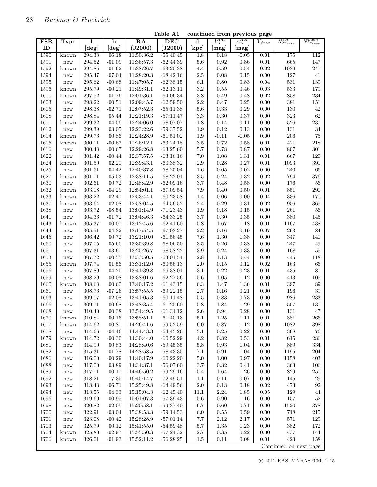$\mathbf l$ 

| <b>FSR</b>   | <b>Type</b>          | 1                | b                    | RA                       | <b>DEC</b>                 | $\mathbf d$                 | $A_H^{H45}$      | $A_H^{HK}$   | ${\cal Y}_{frac}$ | $N_{2r_{core}}^{tot}$ | $N_{2r_{core}}^{mem}$ |
|--------------|----------------------|------------------|----------------------|--------------------------|----------------------------|-----------------------------|------------------|--------------|-------------------|-----------------------|-----------------------|
| ID           |                      | $[\deg]$         | [deg]                | (J2000)                  | (J2000)                    | $\left[\mathrm{kpc}\right]$ | $[\mathrm{mag}]$ | [mag]        |                   |                       |                       |
| 1590         | known                | 294.38           | 06.18                | 11:50:36.2               | $-55:40:45$                | 1.8                         | 0.18             | $-0.05$      | 0.01              | 175                   | 112                   |
| 1591         | new                  | 294.52           | $-01.09$             | 11:36:57.3               | $-62:44:39$                | 5.6                         | 0.92             | 0.86         | 0.01              | 665                   | 147                   |
| 1592         | known                | 294.85           | $-01.62$             | 11:38:26.7               | $-63:20:38$                | 4.4                         | 0.59             | 0.54         | 0.02              | 1039                  | 247                   |
| 1594         | new                  | 295.47           | $-07.04$             | 11:28:20.3               | $-68:42:16$                | $2.5\,$                     | 0.08             | 0.15         | 0.00              | 127                   | 41                    |
| 1595         | new                  | 295.62           | $-00.68$             | 11:47:05.7               | $-62:38:15$                | 6.1                         | 0.80             | 0.83         | 0.04              | 531                   | 139                   |
| 1596         | known                | 295.79           | $-00.21$             | 11:49:31.1               | $-62:13:11$                | 3.2                         | 0.55             | 0.46         | 0.03              | $533\,$               | 179                   |
| 1600         | known                | 297.52           | $-01.76$             | 12:01:36.1               | $-64:06:34$                | 3.8                         | 0.49             | 0.48         | 0.02              | 858                   | 234                   |
| 1603         | new                  | 298.22           | $-00.51$             | 12:09:45.7               | $-62:59:50$                | $2.2\,$                     | 0.47             | 0.25         | 0.00              | $381\,$               | 151                   |
| 1605         | new                  | 298.38           | $-02.71$             | 12:07:52.3               | $-65:11:38$                | $5.6\,$                     | 0.33             | 0.29         | 0.00              | 130                   | 42                    |
| 1608         | new                  | 298.84           | $05.44\,$            | 12:21:19.3               | $-57:11:47$                | 3.3                         | 0.30             | 0.37         | 0.00              | 323                   | 62                    |
| 1611         | known                | 299.32           | $04.56\,$            | 12:24:06.0               | $-58:07:07$                | 1.8                         | 0.14             | 0.11         | 0.00              | 526                   | $237\,$               |
| 1612         | new                  | 299.39           | 03.05                | 12:23:22.6               | $-59:37:52$                | 1.9                         | 0.12             | 0.13         | 0.00              | $131\,$               | 34                    |
| 1614         | known                | 299.76           | 00.86                | 12:24:28.9               | $-61:51:02$                | 1.9                         | $-0.11$          | $-0.05$      | 0.00              | 206                   | 75                    |
| 1615         | known                | 300.11           | $-00.67$             | 12:26:12.1               | $-63:24:18$                | $3.5\,$                     | 0.72             | 0.58         | 0.01              | 421                   | 218                   |
| 1616         | new                  | 300.48           | $-00.67$             | 12:29:26.8               | $-63:25:60$                | $5.7\,$                     | 0.78             | 0.87         | 0.00              | 807                   | $301\,$               |
| 1622         | new                  | 301.42           | $-00.44$             | 12:37:57.5               | $-63:16:16$                | 7.0                         | 1.08             | 1.31         | 0.01              | 667                   | 120                   |
| 1624         | known                | 301.50           | 02.20                | 12:39:43.1               | $-60:38:32$                | $2.9\,$                     | 0.28             | 0.27         | 0.01              | 1093                  | $391\,$               |
| 1625         | new                  | 301.51           | 04.42                | 12:40:37.8               | $-58:25:04$                | 1.6                         | 0.05             | 0.02         | 0.00              | 240                   | 66                    |
| 1627         | known                | 301.71           | $-05.53$             | 12:38:11.5               | $-68:22:01$                | 3.5                         | 0.24             | 0.32         | 0.02              | 794                   | 376                   |
| 1630         | new                  | 302.61           | 00.72                | 12:48:42.9               | $-62:09:16$                | $3.7\,$                     | 0.48             | 0.58         | 0.00              | 176                   | 56                    |
| 1632         | known                | 303.18           | $-04.29$             | 12:54:01.1               | $-67:09:54$                | 7.9                         | 0.40             | 0.50         | 0.01              | 851                   | 290                   |
| 1633         |                      | 303.22           | 02.47                | 12:53:44.1               | $-60:23:58$                | 1.4                         | 0.06             | 0.00         | 0.04              | 336                   | 170                   |
|              | known                |                  |                      |                          |                            | 2.4                         | $0.29\,$         |              | 0.02              | 956                   | $365\,$               |
| 1637<br>1638 | known                | 303.64<br>303.72 | $-02.08$<br>$-08.54$ | 12:58:04.5<br>13:01:14.9 | $-64:56:52$<br>$-71:23:43$ | 1.9                         | 0.18             | 0.31<br>0.15 | 0.00              | 261                   | 56                    |
|              | new                  |                  | $-01.72$             |                          |                            |                             |                  |              |                   |                       |                       |
| 1641         | new                  | 304.36           |                      | 13:04:46.3               | $-64:33:25$                | 3.7                         | 0.30             | 0.35         | 0.00              | 380                   | 145                   |
| 1643         | known                | 305.37           | 00.07                | 13:12:45.6               | $-62:41:60$                | 5.8                         | 1.67             | 1.18         | 0.01              | 1167                  | 438                   |
| 1644         | new                  | 305.51           | $-04.32$             | 13:17:54.5               | $-67:03:27$                | $2.2\,$                     | $0.16\,$         | 0.19         | 0.07              | 293                   | 84                    |
| 1645         | new                  | 306.42           | 00.72                | 13:21:10.0               | $-61:56:45$                | 7.6                         | 1.30             | 1.38         | 0.00              | 347                   | 140                   |
| 1650         | new                  | 307.05           | $-05.60$             | 13:35:39.8               | $-68:06:50$                | 3.5                         | $0.26\,$         | 0.38         | 0.00              | 247                   | $\sqrt{49}$           |
| 1651         | new                  | 307.31           | 03.61                | 13:25:26.7               | $-58:58:22$                | $3.9\,$                     | 0.24             | 0.33         | 0.00              | 168                   | 55                    |
| 1653         | new                  | 307.72           | $-00.55$             | 13:33:50.5               | $-63:01:54$                | $2.8\,$                     | 1.13             | 0.44         | 0.00              | 445                   | 118                   |
| 1655         | known                | 307.74           | 01.56                | 13:31:12.0               | $-60:56:13$                | 2.0                         | 0.15             | 0.12         | 0.02              | 163                   | 66                    |
| 1656         | new                  | 307.89           | $-04.25$             | 13:41:39.8               | $-66:38:01$                | 3.1                         | 0.22             | 0.23         | 0.01              | 435                   | 87                    |
| 1659         | new                  | 308.29           | $-00.08$             | 13:38:01.6               | $-62:27:56$                | $5.6\,$                     | 1.05             | 1.12         | 0.00              | 413                   | 105                   |
| 1660         | known                | 308.68           | 00.60                | 13:40:17.2               | $-61:43:15$                | $6.3\,$                     | 1.47             | 1.36         | 0.01              | 397                   | 89                    |
| 1661         | new                  | 308.76           | $-07.26$             | 13:57:55.5               | $-69:22:15$                | 2.7                         | 0.16             | 0.21         | 0.00              | 196                   | $39\,$                |
| 1663         | new                  | 309.07           | 02.08                | 13:41:05.3               | $-60:11:48$                | $5.5\,$                     | 0.83             | 0.73         | 0.00              | 986                   | 233                   |
| 1666         | new                  | 309.71           | 00.68                | 13:48:35.4               | $-61:25:60$                | 5.8                         | 1.84             | 1.29         | 0.00              | 507                   | 130                   |
| 1668         | new                  | 310.40           | 00.38                | 13:54:49.5               | $-61:34:12$                | 2.6                         | 0.94             | 0.28         | 0.00              | 131                   | 47                    |
| 1670         | known                | 310.84           | 00.16                | 13:58:51.1               | $-61:40:13$                | 5.1                         | 1.25             | 1.11         | 0.01              | 881                   | 266                   |
| 1677         | known                | 314.62           | 00.81                | 14:26:41.6               | $-59:52:59$                | $6.0\,$                     | 0.87             | 1.12         | $0.00\,$          | 1082                  | $398\,$               |
| 1678         | new                  | 314.66           | $-04.46$             | 14:44:43.3               | $-64:43:26$                | $3.1\,$                     | 0.25             | 0.22         | 0.00              | 368                   | 76                    |
| 1679         | known                | 314.72           | $-00.30$             | 14:30:44.0               | $-60:52:29$                | $4.2\,$                     | 0.82             | 0.53         | 0.01              | 615                   | $\,286$               |
| 1681         | new                  | 314.90           | 00.83                | 14:28:40.6               | $-59:45:35$                | $5.8\,$                     | 0.93             | 1.04         | 0.00              | 889                   | $334\,$               |
| 1682         | new                  | 315.31           | 01.78                | 14:28:58.5               | $-58:43:35$                | $7.1\,$                     | 0.91             | 1.04         | 0.00              | 1195                  | $\,204$               |
| 1686         | new                  | 316.00           | $-00.29$             | 14:40:17.9               | $-60:22:20$                | 5.0                         | 1.00             | $0.97\,$     | 0.00              | 1158                  | $403\,$               |
| 1688         | $\operatorname{new}$ | 317.00           | 03.89                | 14:34:37.1               | $-56:07:60$                | $3.7\,$                     | 0.32             | 0.41         | 0.00              | 363                   | 106                   |
| 1689         | new                  | 317.11           | 00.17                | 14:46:50.2               | $-59:29:16$                | $5.4\,$                     | 1.64             | 1.26         | 0.00              | 829                   | $250\,$               |
| 1692         | new                  | 318.21           | $-17.35$             | 16:45:14.7               | $-72:49:51$                | 1.1                         | $0.11\,$         | $0.07\,$     | $0.00\,$          | 145                   | $\,29$                |
| 1693         | new                  | 318.43           | $-06.71$             | 15:25:49.8               | $-64:49:56$                | 2.0                         | 0.13             | 0.18         | 0.02              | 473                   | $\boldsymbol{92}$     |
| 1694         | new                  | 318.55           | $-04.33$             | 15:15:04.3               | $-62:45:40$                | 11.1                        | 2.24             | 1.85         | 0.05              | 129                   | 44                    |
| 1696         | new                  | 319.60           | 00.95                | 15:01:07.3               | $-57:39:43$                | $5.6\,$                     | $0.90\,$         | 1.16         | 0.00              | 157                   | $52\,$                |
| 1698         | new                  | 320.82           | $-02.05$             | 15:20:58.1               | $-59:37:40$                | 6.7                         | 0.60             | 0.71         | 0.00              | 1520                  | $378\,$               |
| 1700         | new                  | 322.91           | $-03.04$             | 15:38:53.3               | $-59:14:53$                | 6.0                         | 0.55             | 0.59         | 0.00              | 718                   | 215                   |
| 1701         | new                  | 323.08           | $-00.42$             | 15:28:28.9               | $-57:01:14$                | 7.7                         | 2.12             | 2.17         | 0.00              | $571\,$               | 129                   |
| 1703         | new                  | 325.79           | 00.12                | 15:41:55.0               | $-54:59:48$                | $5.7\,$                     | 1.35             | 1.23         | 0.00              | 382                   | 172                   |
| 1704         | known                | 325.80           | $-02.97$             | 15:55:50.3               | $-57:24:32$                | $2.7\,$                     | $0.35\,$         | $0.22\,$     | 0.00              | 437                   | 144                   |
| 1706         | known                | 326.01           | $-01.93$             | 15:52:11.2               | $-56:28:25$                | 1.5                         | 0.11             | 0.08         | 0.01              | $423\,$               | 158                   |

Table A1 – continued from previous page

Continued on next page